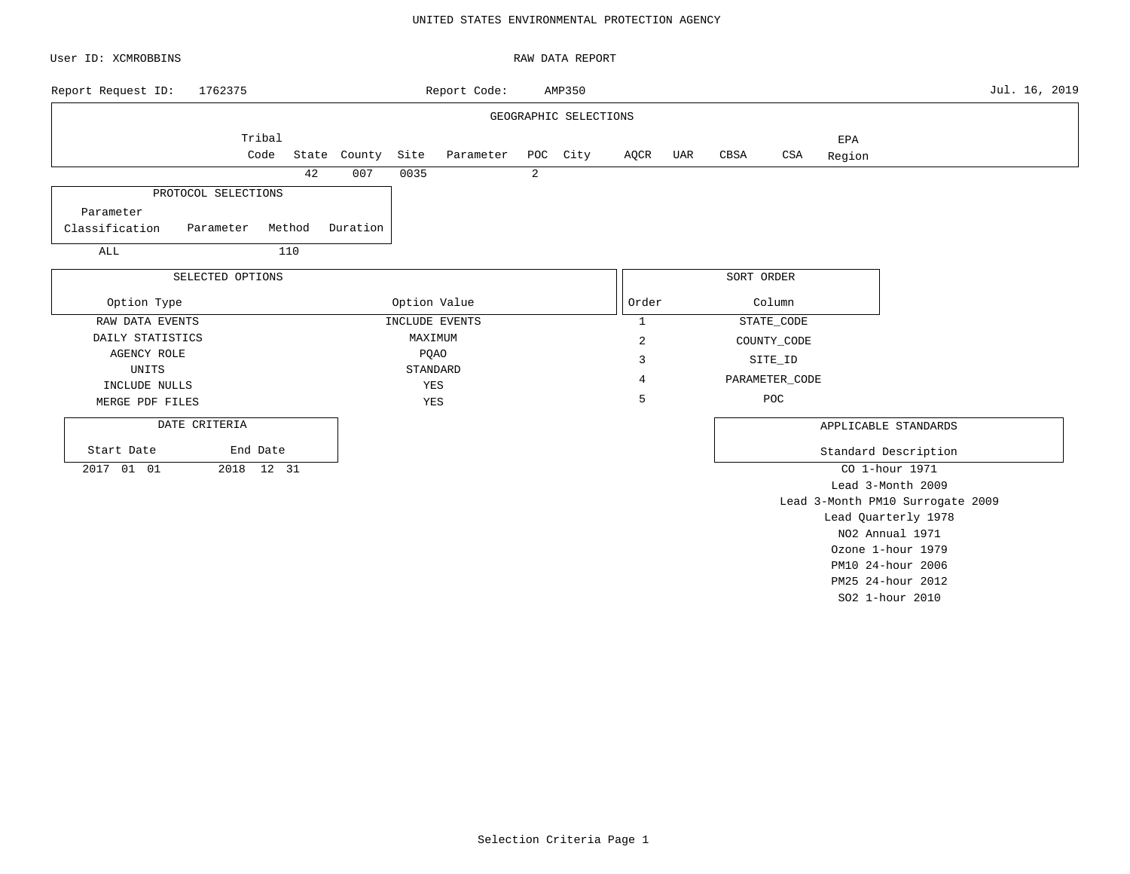## UNITED STATES ENVIRONMENTAL PROTECTION AGENCY

| User ID: XCMROBBINS                      |                  |        |              |      |                |   | RAW DATA REPORT       |              |     |            |                |               |                                  |               |
|------------------------------------------|------------------|--------|--------------|------|----------------|---|-----------------------|--------------|-----|------------|----------------|---------------|----------------------------------|---------------|
| Report Request ID:                       | 1762375          |        |              |      | Report Code:   |   | AMP350                |              |     |            |                |               |                                  | Jul. 16, 2019 |
|                                          |                  |        |              |      |                |   | GEOGRAPHIC SELECTIONS |              |     |            |                |               |                                  |               |
|                                          | Tribal<br>Code   |        | State County | Site | Parameter      |   | POC City              | AQCR         | UAR | CBSA       | CSA            | EPA<br>Region |                                  |               |
|                                          |                  | 42     | 007          | 0035 |                | 2 |                       |              |     |            |                |               |                                  |               |
| PROTOCOL SELECTIONS                      |                  |        |              |      |                |   |                       |              |     |            |                |               |                                  |               |
| Parameter<br>Classification<br>Parameter |                  | Method | Duration     |      |                |   |                       |              |     |            |                |               |                                  |               |
| ALL                                      |                  | 110    |              |      |                |   |                       |              |     |            |                |               |                                  |               |
|                                          | SELECTED OPTIONS |        |              |      |                |   |                       |              |     | SORT ORDER |                |               |                                  |               |
| Option Type                              |                  |        |              |      | Option Value   |   |                       | Order        |     |            | Column         |               |                                  |               |
| RAW DATA EVENTS                          |                  |        |              |      | INCLUDE EVENTS |   |                       | $\mathbf{1}$ |     |            | STATE_CODE     |               |                                  |               |
| DAILY STATISTICS                         |                  |        |              |      | MAXIMUM        |   |                       | $\sqrt{2}$   |     |            | COUNTY_CODE    |               |                                  |               |
| <b>AGENCY ROLE</b>                       |                  |        |              |      | <b>PQAO</b>    |   |                       | 3            |     |            | SITE_ID        |               |                                  |               |
| UNITS                                    |                  |        |              |      | STANDARD       |   |                       | 4            |     |            | PARAMETER_CODE |               |                                  |               |
| INCLUDE NULLS                            |                  |        |              |      | YES            |   |                       |              |     |            |                |               |                                  |               |
| MERGE PDF FILES                          |                  |        |              |      | YES            |   |                       | 5            |     |            | POC            |               |                                  |               |
| DATE CRITERIA                            |                  |        |              |      |                |   |                       |              |     |            |                |               | APPLICABLE STANDARDS             |               |
| Start Date                               | End Date         |        |              |      |                |   |                       |              |     |            |                |               | Standard Description             |               |
| 2017 01 01                               | 2018 12 31       |        |              |      |                |   |                       |              |     |            |                |               | CO 1-hour 1971                   |               |
|                                          |                  |        |              |      |                |   |                       |              |     |            |                |               | Lead 3-Month 2009                |               |
|                                          |                  |        |              |      |                |   |                       |              |     |            |                |               | Lead 3-Month PM10 Surrogate 2009 |               |
|                                          |                  |        |              |      |                |   |                       |              |     |            |                |               | Lead Quarterly 1978              |               |
|                                          |                  |        |              |      |                |   |                       |              |     |            |                |               | NO2 Annual 1971                  |               |
|                                          |                  |        |              |      |                |   |                       |              |     |            |                |               | Ozone 1-hour 1979                |               |
|                                          |                  |        |              |      |                |   |                       |              |     |            |                |               | PM10 24-hour 2006                |               |

Selection Criteria Page 1

PM25 24-hour 2012 SO2 1-hour 2010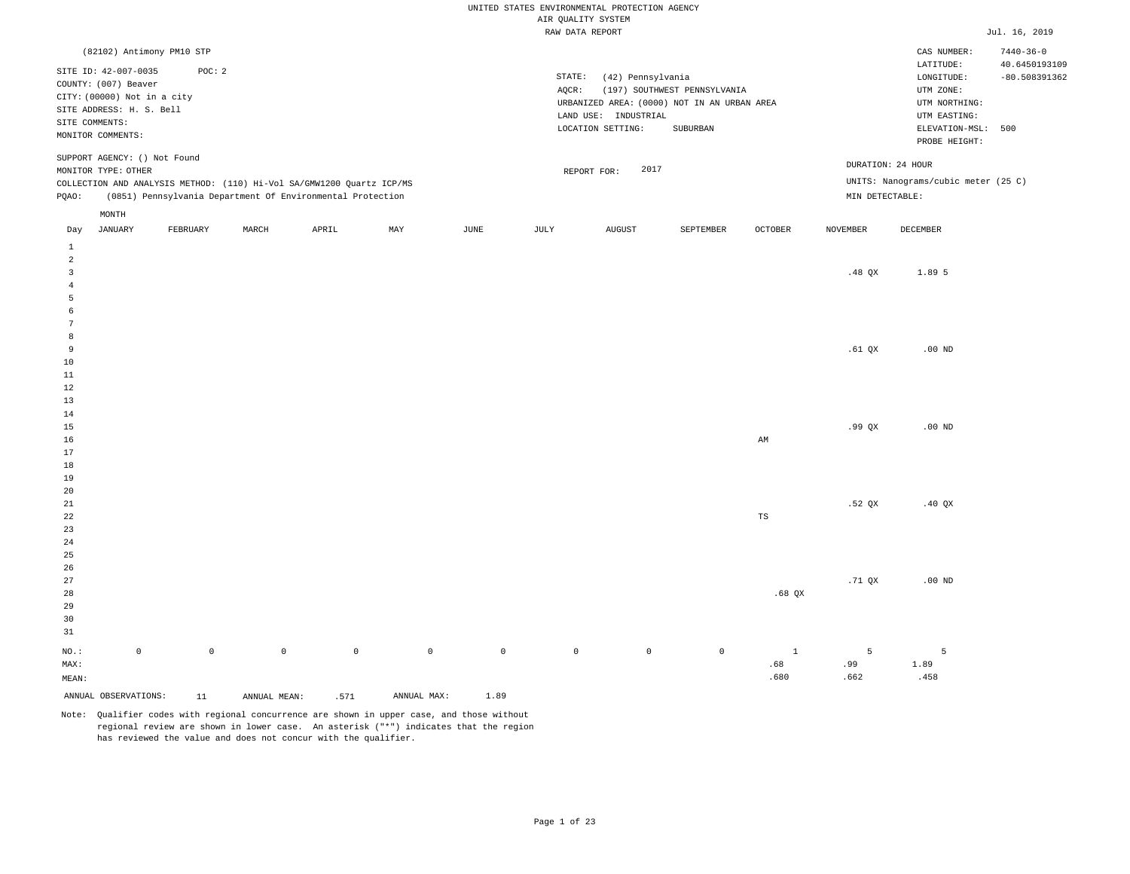|                              |                                                                                                                                                |             |                     |                                                                       |             |                     | AIR QUALITY SYSTEM | UNITED STATES ENVIRONMENTAL PROTECTION AGENCY                  |                                                                                                 |                |                 |                                                                                             |                                  |
|------------------------------|------------------------------------------------------------------------------------------------------------------------------------------------|-------------|---------------------|-----------------------------------------------------------------------|-------------|---------------------|--------------------|----------------------------------------------------------------|-------------------------------------------------------------------------------------------------|----------------|-----------------|---------------------------------------------------------------------------------------------|----------------------------------|
|                              |                                                                                                                                                |             |                     |                                                                       |             |                     | RAW DATA REPORT    |                                                                |                                                                                                 |                |                 |                                                                                             | Jul. 16, 2019                    |
|                              | (82102) Antimony PM10 STP                                                                                                                      |             |                     |                                                                       |             |                     |                    |                                                                |                                                                                                 |                |                 | CAS NUMBER:                                                                                 | $7440 - 36 - 0$                  |
|                              | SITE ID: 42-007-0035<br>COUNTY: (007) Beaver<br>CITY: (00000) Not in a city<br>SITE ADDRESS: H. S. Bell<br>SITE COMMENTS:<br>MONITOR COMMENTS: | POC: 2      |                     |                                                                       |             |                     | STATE:<br>$AQCR$ : | (42) Pennsylvania<br>LAND USE: INDUSTRIAL<br>LOCATION SETTING: | (197) SOUTHWEST PENNSYLVANIA<br>URBANIZED AREA: (0000) NOT IN AN URBAN AREA<br>${\tt SUBURBAN}$ |                |                 | LATITUDE:<br>LONGITUDE:<br>UTM ZONE:<br>UTM NORTHING:<br>UTM EASTING:<br>ELEVATION-MSL: 500 | 40.6450193109<br>$-80.508391362$ |
|                              | SUPPORT AGENCY: () Not Found                                                                                                                   |             |                     |                                                                       |             |                     |                    |                                                                |                                                                                                 |                |                 | PROBE HEIGHT:<br>DURATION: 24 HOUR                                                          |                                  |
|                              | MONITOR TYPE: OTHER                                                                                                                            |             |                     | COLLECTION AND ANALYSIS METHOD: (110) Hi-Vol SA/GMW1200 Quartz ICP/MS |             |                     |                    | 2017<br>REPORT FOR:                                            |                                                                                                 |                |                 | UNITS: Nanograms/cubic meter (25 C)                                                         |                                  |
| PQAO:                        |                                                                                                                                                |             |                     | (0851) Pennsylvania Department Of Environmental Protection            |             |                     |                    |                                                                |                                                                                                 |                | MIN DETECTABLE: |                                                                                             |                                  |
|                              | MONTH                                                                                                                                          |             |                     |                                                                       |             |                     |                    |                                                                |                                                                                                 |                |                 |                                                                                             |                                  |
| Day                          | <b>JANUARY</b>                                                                                                                                 | FEBRUARY    | MARCH               | APRIL                                                                 | MAY         | JUNE                | JULY               | <b>AUGUST</b>                                                  | SEPTEMBER                                                                                       | <b>OCTOBER</b> | <b>NOVEMBER</b> | DECEMBER                                                                                    |                                  |
| $\,1\,$                      |                                                                                                                                                |             |                     |                                                                       |             |                     |                    |                                                                |                                                                                                 |                |                 |                                                                                             |                                  |
| 2<br>$\overline{\mathbf{3}}$ |                                                                                                                                                |             |                     |                                                                       |             |                     |                    |                                                                |                                                                                                 |                | .48 $QX$        | 1.89 5                                                                                      |                                  |
| $\overline{4}$               |                                                                                                                                                |             |                     |                                                                       |             |                     |                    |                                                                |                                                                                                 |                |                 |                                                                                             |                                  |
| 5<br>6                       |                                                                                                                                                |             |                     |                                                                       |             |                     |                    |                                                                |                                                                                                 |                |                 |                                                                                             |                                  |
| 7                            |                                                                                                                                                |             |                     |                                                                       |             |                     |                    |                                                                |                                                                                                 |                |                 |                                                                                             |                                  |
| 8                            |                                                                                                                                                |             |                     |                                                                       |             |                     |                    |                                                                |                                                                                                 |                |                 |                                                                                             |                                  |
| 9                            |                                                                                                                                                |             |                     |                                                                       |             |                     |                    |                                                                |                                                                                                 |                | .61 QX          | $.00$ ND                                                                                    |                                  |
| 10<br>11                     |                                                                                                                                                |             |                     |                                                                       |             |                     |                    |                                                                |                                                                                                 |                |                 |                                                                                             |                                  |
| 12                           |                                                                                                                                                |             |                     |                                                                       |             |                     |                    |                                                                |                                                                                                 |                |                 |                                                                                             |                                  |
| 13                           |                                                                                                                                                |             |                     |                                                                       |             |                     |                    |                                                                |                                                                                                 |                |                 |                                                                                             |                                  |
| 14                           |                                                                                                                                                |             |                     |                                                                       |             |                     |                    |                                                                |                                                                                                 |                |                 |                                                                                             |                                  |
| 15<br>16                     |                                                                                                                                                |             |                     |                                                                       |             |                     |                    |                                                                |                                                                                                 | AM             | .99QX           | $.00$ ND                                                                                    |                                  |
| 17                           |                                                                                                                                                |             |                     |                                                                       |             |                     |                    |                                                                |                                                                                                 |                |                 |                                                                                             |                                  |
| 18                           |                                                                                                                                                |             |                     |                                                                       |             |                     |                    |                                                                |                                                                                                 |                |                 |                                                                                             |                                  |
| 19                           |                                                                                                                                                |             |                     |                                                                       |             |                     |                    |                                                                |                                                                                                 |                |                 |                                                                                             |                                  |
| 20                           |                                                                                                                                                |             |                     |                                                                       |             |                     |                    |                                                                |                                                                                                 |                |                 |                                                                                             |                                  |
| $2\sqrt{1}$<br>22            |                                                                                                                                                |             |                     |                                                                       |             |                     |                    |                                                                |                                                                                                 | $_{\rm TS}$    | .52 QX          | .40 $QX$                                                                                    |                                  |
| 23                           |                                                                                                                                                |             |                     |                                                                       |             |                     |                    |                                                                |                                                                                                 |                |                 |                                                                                             |                                  |
| 24                           |                                                                                                                                                |             |                     |                                                                       |             |                     |                    |                                                                |                                                                                                 |                |                 |                                                                                             |                                  |
| 25                           |                                                                                                                                                |             |                     |                                                                       |             |                     |                    |                                                                |                                                                                                 |                |                 |                                                                                             |                                  |
| 26                           |                                                                                                                                                |             |                     |                                                                       |             |                     |                    |                                                                |                                                                                                 |                |                 |                                                                                             |                                  |
| 27                           |                                                                                                                                                |             |                     |                                                                       |             |                     |                    |                                                                |                                                                                                 |                | $.71$ QX        | $.00$ ND                                                                                    |                                  |
| 28<br>29                     |                                                                                                                                                |             |                     |                                                                       |             |                     |                    |                                                                |                                                                                                 | $.68$ QX       |                 |                                                                                             |                                  |
| 30                           |                                                                                                                                                |             |                     |                                                                       |             |                     |                    |                                                                |                                                                                                 |                |                 |                                                                                             |                                  |
| 31                           |                                                                                                                                                |             |                     |                                                                       |             |                     |                    |                                                                |                                                                                                 |                |                 |                                                                                             |                                  |
| NO.:                         | $\mathbb O$                                                                                                                                    | $\mathbb O$ | $\mathsf{O}\xspace$ | $\mathbb O$                                                           | $\mathbb O$ | $\mathsf{O}\xspace$ | $\mathbb O$        | $\mathbb O$                                                    | $\mathbf{0}$                                                                                    | $\mathbf{1}$   | 5               | 5                                                                                           |                                  |
| MAX:                         |                                                                                                                                                |             |                     |                                                                       |             |                     |                    |                                                                |                                                                                                 | .68            | .99             | 1.89                                                                                        |                                  |
| MEAN:                        |                                                                                                                                                |             |                     |                                                                       |             |                     |                    |                                                                |                                                                                                 | .680           | .662            | .458                                                                                        |                                  |
|                              | ANNUAL OBSERVATIONS:                                                                                                                           | 11          | ANNUAL MEAN:        | .571                                                                  | ANNUAL MAX: | 1.89                |                    |                                                                |                                                                                                 |                |                 |                                                                                             |                                  |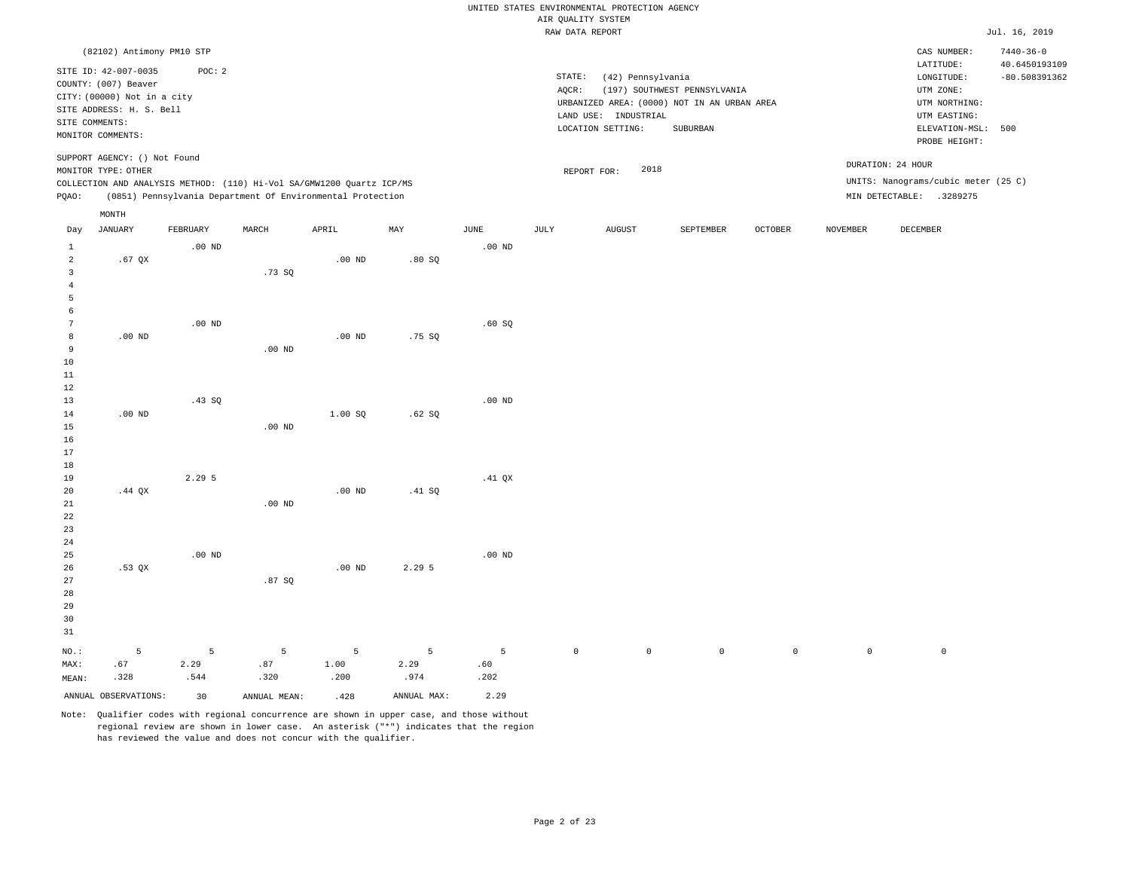|                |                              |                   |                   |                                                                       |             |                   |                    | UNITED STATES ENVIRONMENTAL PROTECTION AGENCY |                                             |                |                 |                                     |                                  |
|----------------|------------------------------|-------------------|-------------------|-----------------------------------------------------------------------|-------------|-------------------|--------------------|-----------------------------------------------|---------------------------------------------|----------------|-----------------|-------------------------------------|----------------------------------|
|                |                              |                   |                   |                                                                       |             |                   | AIR QUALITY SYSTEM |                                               |                                             |                |                 |                                     |                                  |
|                |                              |                   |                   |                                                                       |             |                   | RAW DATA REPORT    |                                               |                                             |                |                 |                                     | Jul. 16, 2019                    |
|                | (82102) Antimony PM10 STP    |                   |                   |                                                                       |             |                   |                    |                                               |                                             |                |                 | CAS NUMBER:<br>LATITUDE:            | $7440 - 36 - 0$<br>40.6450193109 |
|                | SITE ID: 42-007-0035         | POC: 2            |                   |                                                                       |             |                   | STATE:             | (42) Pennsylvania                             |                                             |                |                 | LONGITUDE:                          | $-80.508391362$                  |
|                | COUNTY: (007) Beaver         |                   |                   |                                                                       |             |                   | AQCR:              |                                               | (197) SOUTHWEST PENNSYLVANIA                |                |                 | UTM ZONE:                           |                                  |
|                | CITY: (00000) Not in a city  |                   |                   |                                                                       |             |                   |                    |                                               | URBANIZED AREA: (0000) NOT IN AN URBAN AREA |                |                 | UTM NORTHING:                       |                                  |
|                | SITE ADDRESS: H. S. Bell     |                   |                   |                                                                       |             |                   |                    | LAND USE: INDUSTRIAL                          |                                             |                |                 | UTM EASTING:                        |                                  |
| SITE COMMENTS: |                              |                   |                   |                                                                       |             |                   |                    | LOCATION SETTING:                             | SUBURBAN                                    |                |                 | ELEVATION-MSL:                      | 500                              |
|                | MONITOR COMMENTS:            |                   |                   |                                                                       |             |                   |                    |                                               |                                             |                |                 | PROBE HEIGHT:                       |                                  |
|                | SUPPORT AGENCY: () Not Found |                   |                   |                                                                       |             |                   |                    |                                               |                                             |                |                 |                                     |                                  |
|                | MONITOR TYPE: OTHER          |                   |                   |                                                                       |             |                   |                    | 2018<br>REPORT FOR:                           |                                             |                |                 | DURATION: 24 HOUR                   |                                  |
|                |                              |                   |                   | COLLECTION AND ANALYSIS METHOD: (110) Hi-Vol SA/GMW1200 Quartz ICP/MS |             |                   |                    |                                               |                                             |                |                 | UNITS: Nanograms/cubic meter (25 C) |                                  |
| PQAO:          |                              |                   |                   | (0851) Pennsylvania Department Of Environmental Protection            |             |                   |                    |                                               |                                             |                |                 | MIN DETECTABLE: .3289275            |                                  |
|                | MONTH                        |                   |                   |                                                                       |             |                   |                    |                                               |                                             |                |                 |                                     |                                  |
| Day            | <b>JANUARY</b>               | FEBRUARY          | MARCH             | APRIL                                                                 | MAY         | $_{\rm JUNE}$     | JULY               | <b>AUGUST</b>                                 | SEPTEMBER                                   | <b>OCTOBER</b> | <b>NOVEMBER</b> | <b>DECEMBER</b>                     |                                  |
| $1\,$          |                              | $.00$ ND          |                   |                                                                       |             | .00 <sub>ND</sub> |                    |                                               |                                             |                |                 |                                     |                                  |
| $\overline{a}$ | $.67$ QX                     |                   |                   | .00 <sub>ND</sub>                                                     | .80SQ       |                   |                    |                                               |                                             |                |                 |                                     |                                  |
| $\overline{3}$ |                              |                   | .73S              |                                                                       |             |                   |                    |                                               |                                             |                |                 |                                     |                                  |
| $\overline{4}$ |                              |                   |                   |                                                                       |             |                   |                    |                                               |                                             |                |                 |                                     |                                  |
| 5              |                              |                   |                   |                                                                       |             |                   |                    |                                               |                                             |                |                 |                                     |                                  |
| 6              |                              | .00 <sub>ND</sub> |                   |                                                                       |             |                   |                    |                                               |                                             |                |                 |                                     |                                  |
| 7<br>8         | $.00$ ND                     |                   |                   | $.00$ ND                                                              | .75 SO      | .60SQ             |                    |                                               |                                             |                |                 |                                     |                                  |
| 9              |                              |                   | .00 <sub>ND</sub> |                                                                       |             |                   |                    |                                               |                                             |                |                 |                                     |                                  |
| 10             |                              |                   |                   |                                                                       |             |                   |                    |                                               |                                             |                |                 |                                     |                                  |
| 11             |                              |                   |                   |                                                                       |             |                   |                    |                                               |                                             |                |                 |                                     |                                  |
| 12             |                              |                   |                   |                                                                       |             |                   |                    |                                               |                                             |                |                 |                                     |                                  |
| 13             |                              | .43 SQ            |                   |                                                                       |             | .00 <sub>ND</sub> |                    |                                               |                                             |                |                 |                                     |                                  |
| 14             | $.00$ ND                     |                   |                   | 1.00SQ                                                                | .62SQ       |                   |                    |                                               |                                             |                |                 |                                     |                                  |
| 15             |                              |                   | $.00$ ND          |                                                                       |             |                   |                    |                                               |                                             |                |                 |                                     |                                  |
| 16             |                              |                   |                   |                                                                       |             |                   |                    |                                               |                                             |                |                 |                                     |                                  |
| 17             |                              |                   |                   |                                                                       |             |                   |                    |                                               |                                             |                |                 |                                     |                                  |
| 18             |                              |                   |                   |                                                                       |             |                   |                    |                                               |                                             |                |                 |                                     |                                  |
| 19             |                              | 2.295             |                   |                                                                       |             | $.41$ QX          |                    |                                               |                                             |                |                 |                                     |                                  |
| 20             | $.44$ $OX$                   |                   |                   | $.00$ ND                                                              | .41 S0      |                   |                    |                                               |                                             |                |                 |                                     |                                  |
| 21             |                              |                   | $.00$ ND          |                                                                       |             |                   |                    |                                               |                                             |                |                 |                                     |                                  |
| 22             |                              |                   |                   |                                                                       |             |                   |                    |                                               |                                             |                |                 |                                     |                                  |
| 23             |                              |                   |                   |                                                                       |             |                   |                    |                                               |                                             |                |                 |                                     |                                  |
| 24             |                              |                   |                   |                                                                       |             |                   |                    |                                               |                                             |                |                 |                                     |                                  |
| 25<br>26       | .53 QX                       | $.00$ ND          |                   | $.00$ ND                                                              | 2.295       | $.00$ ND          |                    |                                               |                                             |                |                 |                                     |                                  |
| 27             |                              |                   | .87SQ             |                                                                       |             |                   |                    |                                               |                                             |                |                 |                                     |                                  |
| 28             |                              |                   |                   |                                                                       |             |                   |                    |                                               |                                             |                |                 |                                     |                                  |
| 29             |                              |                   |                   |                                                                       |             |                   |                    |                                               |                                             |                |                 |                                     |                                  |
| 30             |                              |                   |                   |                                                                       |             |                   |                    |                                               |                                             |                |                 |                                     |                                  |
| 31             |                              |                   |                   |                                                                       |             |                   |                    |                                               |                                             |                |                 |                                     |                                  |
|                |                              |                   |                   |                                                                       |             |                   |                    |                                               |                                             |                |                 |                                     |                                  |
| $NO.$ :        | 5                            | $\overline{5}$    | 5                 | 5                                                                     | 5           | 5                 | $\mathbb O$        | $\circ$                                       | $\mathbb O$                                 | $\mathbf{0}$   | $\mathbf{0}$    | $\mathsf{O}$                        |                                  |
| MAX:           | .67                          | 2.29              | .87               | 1.00                                                                  | 2.29        | .60               |                    |                                               |                                             |                |                 |                                     |                                  |
| MEAN:          | .328                         | .544              | .320              | .200                                                                  | .974        | .202              |                    |                                               |                                             |                |                 |                                     |                                  |
|                | ANNUAL OBSERVATIONS:         | 30                | ANNUAL MEAN:      | .428                                                                  | ANNUAL MAX: | 2.29              |                    |                                               |                                             |                |                 |                                     |                                  |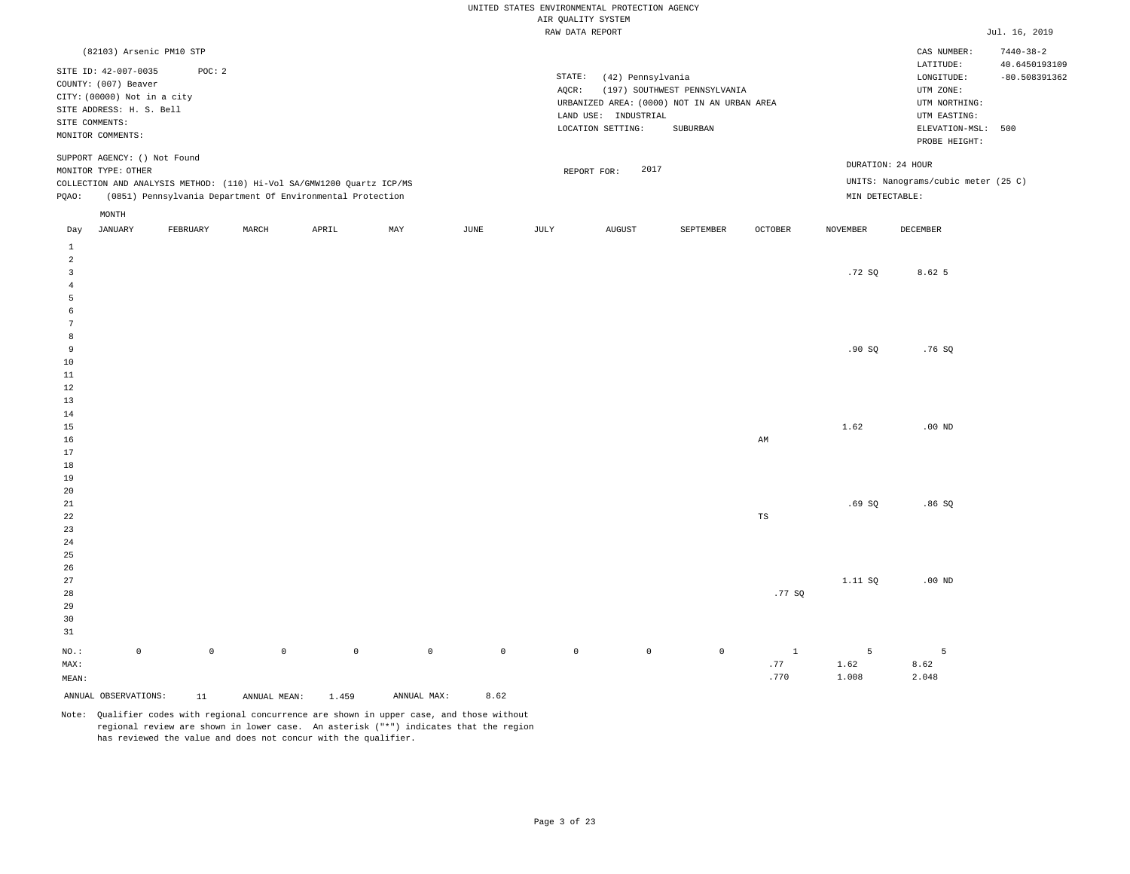|                                           |                                                                             |                     |              |                                                                       |             |                     | UNITED STATES ENVIRONMENTAL PROTECTION AGENCY<br>AIR QUALITY SYSTEM |                      |                                                                             |                |                 |                                                       |                                  |
|-------------------------------------------|-----------------------------------------------------------------------------|---------------------|--------------|-----------------------------------------------------------------------|-------------|---------------------|---------------------------------------------------------------------|----------------------|-----------------------------------------------------------------------------|----------------|-----------------|-------------------------------------------------------|----------------------------------|
|                                           |                                                                             |                     |              |                                                                       |             |                     | RAW DATA REPORT                                                     |                      |                                                                             |                |                 |                                                       | Jul. 16, 2019                    |
|                                           | (82103) Arsenic PM10 STP                                                    |                     |              |                                                                       |             |                     |                                                                     |                      |                                                                             |                |                 | CAS NUMBER:                                           | $7440 - 38 - 2$                  |
|                                           | SITE ID: 42-007-0035<br>COUNTY: (007) Beaver<br>CITY: (00000) Not in a city | POC: 2              |              |                                                                       |             |                     | STATE:<br>$AQCR$ :                                                  | (42) Pennsylvania    | (197) SOUTHWEST PENNSYLVANIA<br>URBANIZED AREA: (0000) NOT IN AN URBAN AREA |                |                 | LATITUDE:<br>LONGITUDE:<br>UTM ZONE:<br>UTM NORTHING: | 40.6450193109<br>$-80.508391362$ |
|                                           | SITE ADDRESS: H. S. Bell                                                    |                     |              |                                                                       |             |                     |                                                                     | LAND USE: INDUSTRIAL |                                                                             |                |                 | UTM EASTING:                                          |                                  |
|                                           | SITE COMMENTS:<br>MONITOR COMMENTS:                                         |                     |              |                                                                       |             |                     |                                                                     | LOCATION SETTING:    | ${\tt SUBURBAN}$                                                            |                |                 | ELEVATION-MSL:                                        | 500                              |
|                                           |                                                                             |                     |              |                                                                       |             |                     |                                                                     |                      |                                                                             |                |                 | PROBE HEIGHT:                                         |                                  |
|                                           | SUPPORT AGENCY: () Not Found<br>MONITOR TYPE: OTHER                         |                     |              |                                                                       |             |                     |                                                                     | 2017<br>REPORT FOR:  |                                                                             |                |                 | DURATION: 24 HOUR                                     |                                  |
|                                           |                                                                             |                     |              | COLLECTION AND ANALYSIS METHOD: (110) Hi-Vol SA/GMW1200 Quartz ICP/MS |             |                     |                                                                     |                      |                                                                             |                |                 | UNITS: Nanograms/cubic meter (25 C)                   |                                  |
| PQAO:                                     |                                                                             |                     |              | (0851) Pennsylvania Department Of Environmental Protection            |             |                     |                                                                     |                      |                                                                             |                | MIN DETECTABLE: |                                                       |                                  |
|                                           | MONTH                                                                       |                     |              |                                                                       |             |                     |                                                                     |                      |                                                                             |                |                 |                                                       |                                  |
| Day                                       | JANUARY                                                                     | FEBRUARY            | MARCH        | APRIL                                                                 | MAY         | JUNE                | JULY                                                                | <b>AUGUST</b>        | SEPTEMBER                                                                   | <b>OCTOBER</b> | <b>NOVEMBER</b> | DECEMBER                                              |                                  |
| $\,$ 1                                    |                                                                             |                     |              |                                                                       |             |                     |                                                                     |                      |                                                                             |                |                 |                                                       |                                  |
| $\overline{2}$<br>$\overline{\mathbf{3}}$ |                                                                             |                     |              |                                                                       |             |                     |                                                                     |                      |                                                                             |                | .72SQ           | 8.62 5                                                |                                  |
| $\overline{4}$                            |                                                                             |                     |              |                                                                       |             |                     |                                                                     |                      |                                                                             |                |                 |                                                       |                                  |
| 5                                         |                                                                             |                     |              |                                                                       |             |                     |                                                                     |                      |                                                                             |                |                 |                                                       |                                  |
| 6                                         |                                                                             |                     |              |                                                                       |             |                     |                                                                     |                      |                                                                             |                |                 |                                                       |                                  |
| -7                                        |                                                                             |                     |              |                                                                       |             |                     |                                                                     |                      |                                                                             |                |                 |                                                       |                                  |
| 8                                         |                                                                             |                     |              |                                                                       |             |                     |                                                                     |                      |                                                                             |                |                 |                                                       |                                  |
| 9                                         |                                                                             |                     |              |                                                                       |             |                     |                                                                     |                      |                                                                             |                | .90SQ           | .76S                                                  |                                  |
| 10<br>$11\,$                              |                                                                             |                     |              |                                                                       |             |                     |                                                                     |                      |                                                                             |                |                 |                                                       |                                  |
| 12                                        |                                                                             |                     |              |                                                                       |             |                     |                                                                     |                      |                                                                             |                |                 |                                                       |                                  |
| 13                                        |                                                                             |                     |              |                                                                       |             |                     |                                                                     |                      |                                                                             |                |                 |                                                       |                                  |
| 14                                        |                                                                             |                     |              |                                                                       |             |                     |                                                                     |                      |                                                                             |                |                 |                                                       |                                  |
| 15                                        |                                                                             |                     |              |                                                                       |             |                     |                                                                     |                      |                                                                             |                | 1.62            | $.00$ ND                                              |                                  |
| 16                                        |                                                                             |                     |              |                                                                       |             |                     |                                                                     |                      |                                                                             | AM             |                 |                                                       |                                  |
| 17                                        |                                                                             |                     |              |                                                                       |             |                     |                                                                     |                      |                                                                             |                |                 |                                                       |                                  |
| 18<br>19                                  |                                                                             |                     |              |                                                                       |             |                     |                                                                     |                      |                                                                             |                |                 |                                                       |                                  |
| 20                                        |                                                                             |                     |              |                                                                       |             |                     |                                                                     |                      |                                                                             |                |                 |                                                       |                                  |
| $2\sqrt{1}$                               |                                                                             |                     |              |                                                                       |             |                     |                                                                     |                      |                                                                             |                | .69SQ           | .86SQ                                                 |                                  |
| 22                                        |                                                                             |                     |              |                                                                       |             |                     |                                                                     |                      |                                                                             | $_{\rm TS}$    |                 |                                                       |                                  |
| 23                                        |                                                                             |                     |              |                                                                       |             |                     |                                                                     |                      |                                                                             |                |                 |                                                       |                                  |
| 24                                        |                                                                             |                     |              |                                                                       |             |                     |                                                                     |                      |                                                                             |                |                 |                                                       |                                  |
| 25<br>26                                  |                                                                             |                     |              |                                                                       |             |                     |                                                                     |                      |                                                                             |                |                 |                                                       |                                  |
| 27                                        |                                                                             |                     |              |                                                                       |             |                     |                                                                     |                      |                                                                             |                | 1.11 SQ         | $.00$ ND                                              |                                  |
| 28                                        |                                                                             |                     |              |                                                                       |             |                     |                                                                     |                      |                                                                             | .77SQ          |                 |                                                       |                                  |
| 29                                        |                                                                             |                     |              |                                                                       |             |                     |                                                                     |                      |                                                                             |                |                 |                                                       |                                  |
| 30                                        |                                                                             |                     |              |                                                                       |             |                     |                                                                     |                      |                                                                             |                |                 |                                                       |                                  |
| 31                                        |                                                                             |                     |              |                                                                       |             |                     |                                                                     |                      |                                                                             |                |                 |                                                       |                                  |
| $NO.$ :                                   | $\mathbb O$                                                                 | $\mathsf{O}\xspace$ | $\mathbb O$  | $\mathbb O$                                                           | $\mathbb O$ | $\mathsf{O}\xspace$ | $\mathbb O$                                                         | $\circ$              | $\mathbb O$                                                                 | $\mathbf{1}$   | 5               | 5                                                     |                                  |
| MAX:                                      |                                                                             |                     |              |                                                                       |             |                     |                                                                     |                      |                                                                             | .77            | 1.62            | 8.62                                                  |                                  |
| MEAN:                                     |                                                                             |                     |              |                                                                       |             |                     |                                                                     |                      |                                                                             | .770           | 1.008           | 2.048                                                 |                                  |
|                                           | ANNUAL OBSERVATIONS:                                                        | 11                  | ANNUAL MEAN: | 1.459                                                                 | ANNUAL MAX: | 8.62                |                                                                     |                      |                                                                             |                |                 |                                                       |                                  |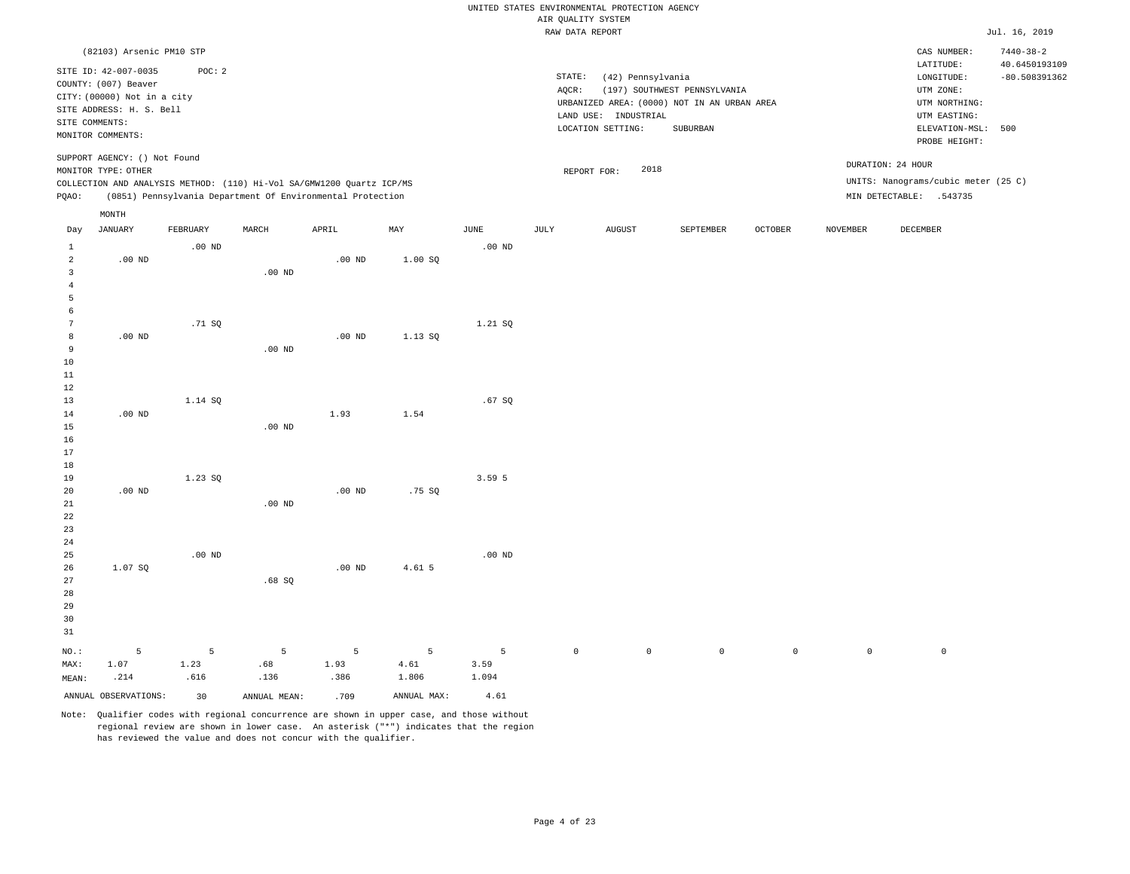|                         |                                                                             |                   |                   |                                                                       |             |                   | UNITED STATES ENVIRONMENTAL PROTECTION AGENCY |                      |                                                                             |                |                     |                                                                   |                                  |
|-------------------------|-----------------------------------------------------------------------------|-------------------|-------------------|-----------------------------------------------------------------------|-------------|-------------------|-----------------------------------------------|----------------------|-----------------------------------------------------------------------------|----------------|---------------------|-------------------------------------------------------------------|----------------------------------|
|                         |                                                                             |                   |                   |                                                                       |             |                   | AIR QUALITY SYSTEM                            |                      |                                                                             |                |                     |                                                                   |                                  |
|                         |                                                                             |                   |                   |                                                                       |             |                   | RAW DATA REPORT                               |                      |                                                                             |                |                     |                                                                   | Jul. 16, 2019                    |
|                         | (82103) Arsenic PM10 STP                                                    |                   |                   |                                                                       |             |                   |                                               |                      |                                                                             |                |                     | CAS NUMBER:                                                       | $7440 - 38 - 2$<br>40.6450193109 |
|                         | SITE ID: 42-007-0035<br>COUNTY: (007) Beaver<br>CITY: (00000) Not in a city | POC: 2            |                   |                                                                       |             |                   | STATE:<br>AQCR:                               | (42) Pennsylvania    | (197) SOUTHWEST PENNSYLVANIA<br>URBANIZED AREA: (0000) NOT IN AN URBAN AREA |                |                     | LATITUDE:<br>$\texttt{LONGITUDE}$ :<br>UTM ZONE:<br>UTM NORTHING: | $-80.508391362$                  |
|                         | SITE ADDRESS: H. S. Bell                                                    |                   |                   |                                                                       |             |                   |                                               | LAND USE: INDUSTRIAL |                                                                             |                |                     | UTM EASTING:                                                      |                                  |
| SITE COMMENTS:          |                                                                             |                   |                   |                                                                       |             |                   |                                               | LOCATION SETTING:    | SUBURBAN                                                                    |                |                     | ELEVATION-MSL:                                                    | 500                              |
|                         | MONITOR COMMENTS:                                                           |                   |                   |                                                                       |             |                   |                                               |                      |                                                                             |                |                     | PROBE HEIGHT:                                                     |                                  |
|                         | SUPPORT AGENCY: () Not Found<br>MONITOR TYPE: OTHER                         |                   |                   |                                                                       |             |                   | REPORT FOR:                                   | 2018                 |                                                                             |                |                     | DURATION: 24 HOUR                                                 |                                  |
|                         |                                                                             |                   |                   | COLLECTION AND ANALYSIS METHOD: (110) Hi-Vol SA/GMW1200 Quartz ICP/MS |             |                   |                                               |                      |                                                                             |                |                     | UNITS: Nanograms/cubic meter (25 C)                               |                                  |
| PQAO:                   |                                                                             |                   |                   | (0851) Pennsylvania Department Of Environmental Protection            |             |                   |                                               |                      |                                                                             |                |                     | MIN DETECTABLE: .543735                                           |                                  |
|                         | MONTH                                                                       |                   |                   |                                                                       |             |                   |                                               |                      |                                                                             |                |                     |                                                                   |                                  |
| Day                     | JANUARY                                                                     | FEBRUARY          | MARCH             | APRIL                                                                 | MAY         | <b>JUNE</b>       | <b>JULY</b>                                   | <b>AUGUST</b>        | SEPTEMBER                                                                   | <b>OCTOBER</b> | <b>NOVEMBER</b>     | <b>DECEMBER</b>                                                   |                                  |
| $1\,$<br>$\overline{a}$ | $.00$ ND                                                                    | .00 <sub>ND</sub> |                   | $.00$ ND                                                              | 1.00 SO     | .00 <sub>ND</sub> |                                               |                      |                                                                             |                |                     |                                                                   |                                  |
| $\overline{3}$          |                                                                             |                   | .00 <sub>ND</sub> |                                                                       |             |                   |                                               |                      |                                                                             |                |                     |                                                                   |                                  |
| $\overline{4}$          |                                                                             |                   |                   |                                                                       |             |                   |                                               |                      |                                                                             |                |                     |                                                                   |                                  |
| 5                       |                                                                             |                   |                   |                                                                       |             |                   |                                               |                      |                                                                             |                |                     |                                                                   |                                  |
| 6                       |                                                                             |                   |                   |                                                                       |             |                   |                                               |                      |                                                                             |                |                     |                                                                   |                                  |
| 7                       |                                                                             | .71SQ             |                   |                                                                       |             | 1.21 SQ           |                                               |                      |                                                                             |                |                     |                                                                   |                                  |
| 8                       | $.00$ ND                                                                    |                   |                   | $.00$ ND                                                              | 1.13 SQ     |                   |                                               |                      |                                                                             |                |                     |                                                                   |                                  |
| 9                       |                                                                             |                   | .00 <sub>ND</sub> |                                                                       |             |                   |                                               |                      |                                                                             |                |                     |                                                                   |                                  |
| 10                      |                                                                             |                   |                   |                                                                       |             |                   |                                               |                      |                                                                             |                |                     |                                                                   |                                  |
| 11                      |                                                                             |                   |                   |                                                                       |             |                   |                                               |                      |                                                                             |                |                     |                                                                   |                                  |
| 12                      |                                                                             |                   |                   |                                                                       |             |                   |                                               |                      |                                                                             |                |                     |                                                                   |                                  |
| 13<br>14                | $.00$ ND                                                                    | 1.14 SQ           |                   | 1.93                                                                  | 1.54        | .67 SQ            |                                               |                      |                                                                             |                |                     |                                                                   |                                  |
| $15$                    |                                                                             |                   | $.00$ ND          |                                                                       |             |                   |                                               |                      |                                                                             |                |                     |                                                                   |                                  |
| 16                      |                                                                             |                   |                   |                                                                       |             |                   |                                               |                      |                                                                             |                |                     |                                                                   |                                  |
| 17                      |                                                                             |                   |                   |                                                                       |             |                   |                                               |                      |                                                                             |                |                     |                                                                   |                                  |
| 18                      |                                                                             |                   |                   |                                                                       |             |                   |                                               |                      |                                                                             |                |                     |                                                                   |                                  |
| 19                      |                                                                             | 1.23 SO           |                   |                                                                       |             | 3.59 5            |                                               |                      |                                                                             |                |                     |                                                                   |                                  |
| 20                      | $.00$ ND                                                                    |                   |                   | $.00$ ND                                                              | .75SQ       |                   |                                               |                      |                                                                             |                |                     |                                                                   |                                  |
| 21                      |                                                                             |                   | $.00$ ND          |                                                                       |             |                   |                                               |                      |                                                                             |                |                     |                                                                   |                                  |
| 22                      |                                                                             |                   |                   |                                                                       |             |                   |                                               |                      |                                                                             |                |                     |                                                                   |                                  |
| 23<br>24                |                                                                             |                   |                   |                                                                       |             |                   |                                               |                      |                                                                             |                |                     |                                                                   |                                  |
| 25                      |                                                                             | .00 <sub>ND</sub> |                   |                                                                       |             | $.00$ ND          |                                               |                      |                                                                             |                |                     |                                                                   |                                  |
| 26                      | 1.07 SO                                                                     |                   |                   | $.00$ ND                                                              | 4.61 5      |                   |                                               |                      |                                                                             |                |                     |                                                                   |                                  |
| 27                      |                                                                             |                   | .68SQ             |                                                                       |             |                   |                                               |                      |                                                                             |                |                     |                                                                   |                                  |
| 28                      |                                                                             |                   |                   |                                                                       |             |                   |                                               |                      |                                                                             |                |                     |                                                                   |                                  |
| 29                      |                                                                             |                   |                   |                                                                       |             |                   |                                               |                      |                                                                             |                |                     |                                                                   |                                  |
| 30                      |                                                                             |                   |                   |                                                                       |             |                   |                                               |                      |                                                                             |                |                     |                                                                   |                                  |
| 31                      |                                                                             |                   |                   |                                                                       |             |                   |                                               |                      |                                                                             |                |                     |                                                                   |                                  |
| NO.:                    | 5                                                                           | 5                 | 5                 | 5                                                                     | 5           | 5                 | $\mathbb O$                                   | $\mathbb O$          | $\mathbb O$                                                                 | $\mathbb O$    | $\mathsf{O}\xspace$ | $\mathsf 0$                                                       |                                  |
| MAX:                    | 1.07                                                                        | 1.23              | .68               | 1.93                                                                  | 4.61        | 3.59              |                                               |                      |                                                                             |                |                     |                                                                   |                                  |
| MEAN:                   | .214                                                                        | .616              | .136              | .386                                                                  | 1.806       | 1.094             |                                               |                      |                                                                             |                |                     |                                                                   |                                  |
|                         | ANNUAL OBSERVATIONS:                                                        | 30                | ANNUAL MEAN:      | .709                                                                  | ANNUAL MAX: | 4.61              |                                               |                      |                                                                             |                |                     |                                                                   |                                  |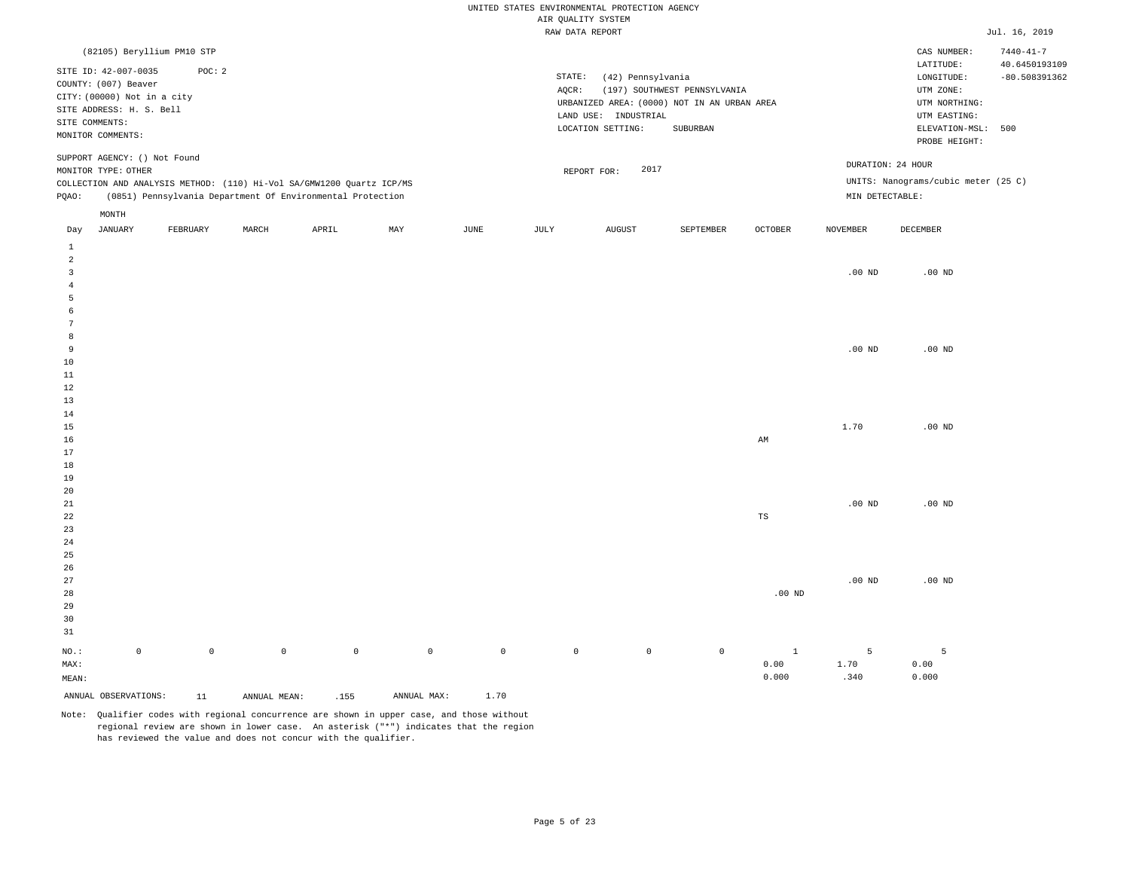|                |                              |                     |                     |                                                                       |             |                     | UNITED STATES ENVIRONMENTAL PROTECTION AGENCY |                                           |                                             |              |                 |                                     |                 |
|----------------|------------------------------|---------------------|---------------------|-----------------------------------------------------------------------|-------------|---------------------|-----------------------------------------------|-------------------------------------------|---------------------------------------------|--------------|-----------------|-------------------------------------|-----------------|
|                |                              |                     |                     |                                                                       |             |                     | AIR QUALITY SYSTEM                            |                                           |                                             |              |                 |                                     |                 |
|                |                              |                     |                     |                                                                       |             |                     | RAW DATA REPORT                               |                                           |                                             |              |                 |                                     | Jul. 16, 2019   |
|                | (82105) Beryllium PM10 STP   |                     |                     |                                                                       |             |                     |                                               |                                           |                                             |              |                 | CAS NUMBER:                         | $7440 - 41 - 7$ |
|                | SITE ID: 42-007-0035         | POC: 2              |                     |                                                                       |             |                     |                                               |                                           |                                             |              |                 | LATITUDE:                           | 40.6450193109   |
|                | COUNTY: (007) Beaver         |                     |                     |                                                                       |             |                     | STATE:                                        | (42) Pennsylvania                         |                                             |              |                 | LONGITUDE:                          | $-80.508391362$ |
|                | CITY: (00000) Not in a city  |                     |                     |                                                                       |             |                     | AQCR:                                         |                                           | (197) SOUTHWEST PENNSYLVANIA                |              |                 | UTM ZONE:                           |                 |
|                | SITE ADDRESS: H. S. Bell     |                     |                     |                                                                       |             |                     |                                               |                                           | URBANIZED AREA: (0000) NOT IN AN URBAN AREA |              |                 | UTM NORTHING:                       |                 |
|                | SITE COMMENTS:               |                     |                     |                                                                       |             |                     |                                               | LAND USE: INDUSTRIAL<br>LOCATION SETTING: |                                             |              |                 | UTM EASTING:<br>ELEVATION-MSL: 500  |                 |
|                | MONITOR COMMENTS:            |                     |                     |                                                                       |             |                     |                                               |                                           | SUBURBAN                                    |              |                 | PROBE HEIGHT:                       |                 |
|                | SUPPORT AGENCY: () Not Found |                     |                     |                                                                       |             |                     |                                               |                                           |                                             |              |                 | DURATION: 24 HOUR                   |                 |
|                | MONITOR TYPE: OTHER          |                     |                     |                                                                       |             |                     |                                               | 2017<br>REPORT FOR:                       |                                             |              |                 | UNITS: Nanograms/cubic meter (25 C) |                 |
|                |                              |                     |                     | COLLECTION AND ANALYSIS METHOD: (110) Hi-Vol SA/GMW1200 Quartz ICP/MS |             |                     |                                               |                                           |                                             |              | MIN DETECTABLE: |                                     |                 |
| PQAO:          |                              |                     |                     | (0851) Pennsylvania Department Of Environmental Protection            |             |                     |                                               |                                           |                                             |              |                 |                                     |                 |
| Day            | MONTH<br><b>JANUARY</b>      | FEBRUARY            | MARCH               | APRIL                                                                 | MAY         | JUNE                | JULY                                          | <b>AUGUST</b>                             | SEPTEMBER                                   | OCTOBER      | <b>NOVEMBER</b> | DECEMBER                            |                 |
| $\mathbf{1}$   |                              |                     |                     |                                                                       |             |                     |                                               |                                           |                                             |              |                 |                                     |                 |
| $\overline{a}$ |                              |                     |                     |                                                                       |             |                     |                                               |                                           |                                             |              |                 |                                     |                 |
| $\overline{3}$ |                              |                     |                     |                                                                       |             |                     |                                               |                                           |                                             |              | $.00$ ND        | $.00$ ND                            |                 |
| $\overline{4}$ |                              |                     |                     |                                                                       |             |                     |                                               |                                           |                                             |              |                 |                                     |                 |
| 5              |                              |                     |                     |                                                                       |             |                     |                                               |                                           |                                             |              |                 |                                     |                 |
| 6              |                              |                     |                     |                                                                       |             |                     |                                               |                                           |                                             |              |                 |                                     |                 |
| 7              |                              |                     |                     |                                                                       |             |                     |                                               |                                           |                                             |              |                 |                                     |                 |
| 8<br>9         |                              |                     |                     |                                                                       |             |                     |                                               |                                           |                                             |              | $.00$ ND        | $.00$ ND                            |                 |
| 10             |                              |                     |                     |                                                                       |             |                     |                                               |                                           |                                             |              |                 |                                     |                 |
| 11             |                              |                     |                     |                                                                       |             |                     |                                               |                                           |                                             |              |                 |                                     |                 |
| $1\,2$         |                              |                     |                     |                                                                       |             |                     |                                               |                                           |                                             |              |                 |                                     |                 |
| 13             |                              |                     |                     |                                                                       |             |                     |                                               |                                           |                                             |              |                 |                                     |                 |
| 14             |                              |                     |                     |                                                                       |             |                     |                                               |                                           |                                             |              |                 |                                     |                 |
| 15             |                              |                     |                     |                                                                       |             |                     |                                               |                                           |                                             |              | 1.70            | $.00$ ND                            |                 |
| 16             |                              |                     |                     |                                                                       |             |                     |                                               |                                           |                                             | AM           |                 |                                     |                 |
| 17             |                              |                     |                     |                                                                       |             |                     |                                               |                                           |                                             |              |                 |                                     |                 |
| 18             |                              |                     |                     |                                                                       |             |                     |                                               |                                           |                                             |              |                 |                                     |                 |
| 19             |                              |                     |                     |                                                                       |             |                     |                                               |                                           |                                             |              |                 |                                     |                 |
| 20<br>21       |                              |                     |                     |                                                                       |             |                     |                                               |                                           |                                             |              | $.00$ ND        | $.00$ ND                            |                 |
| 22             |                              |                     |                     |                                                                       |             |                     |                                               |                                           |                                             | $_{\rm TS}$  |                 |                                     |                 |
| 23             |                              |                     |                     |                                                                       |             |                     |                                               |                                           |                                             |              |                 |                                     |                 |
| 24             |                              |                     |                     |                                                                       |             |                     |                                               |                                           |                                             |              |                 |                                     |                 |
| 25             |                              |                     |                     |                                                                       |             |                     |                                               |                                           |                                             |              |                 |                                     |                 |
| 26             |                              |                     |                     |                                                                       |             |                     |                                               |                                           |                                             |              |                 |                                     |                 |
| 27             |                              |                     |                     |                                                                       |             |                     |                                               |                                           |                                             |              | $.00$ ND        | $.00$ ND                            |                 |
| 28             |                              |                     |                     |                                                                       |             |                     |                                               |                                           |                                             | $.00$ ND     |                 |                                     |                 |
| 29             |                              |                     |                     |                                                                       |             |                     |                                               |                                           |                                             |              |                 |                                     |                 |
| 30             |                              |                     |                     |                                                                       |             |                     |                                               |                                           |                                             |              |                 |                                     |                 |
| 31             |                              |                     |                     |                                                                       |             |                     |                                               |                                           |                                             |              |                 |                                     |                 |
| NO.:           | $\mathbb O$                  | $\mathsf{O}\xspace$ | $\mathsf{O}\xspace$ | $\mathbb O$                                                           | $\mathbb O$ | $\mathsf{O}\xspace$ | $\mathbb O$                                   | $\circ$                                   | $\mathbb O$                                 | $\mathbf{1}$ | 5               | 5                                   |                 |
| MAX:           |                              |                     |                     |                                                                       |             |                     |                                               |                                           |                                             | 0.00         | 1.70            | 0.00                                |                 |
| MEAN:          |                              |                     |                     |                                                                       |             |                     |                                               |                                           |                                             | 0.000        | .340            | 0.000                               |                 |
|                | ANNUAL OBSERVATIONS:         | 11                  | ANNUAL MEAN:        | .155                                                                  | ANNUAL MAX: | 1.70                |                                               |                                           |                                             |              |                 |                                     |                 |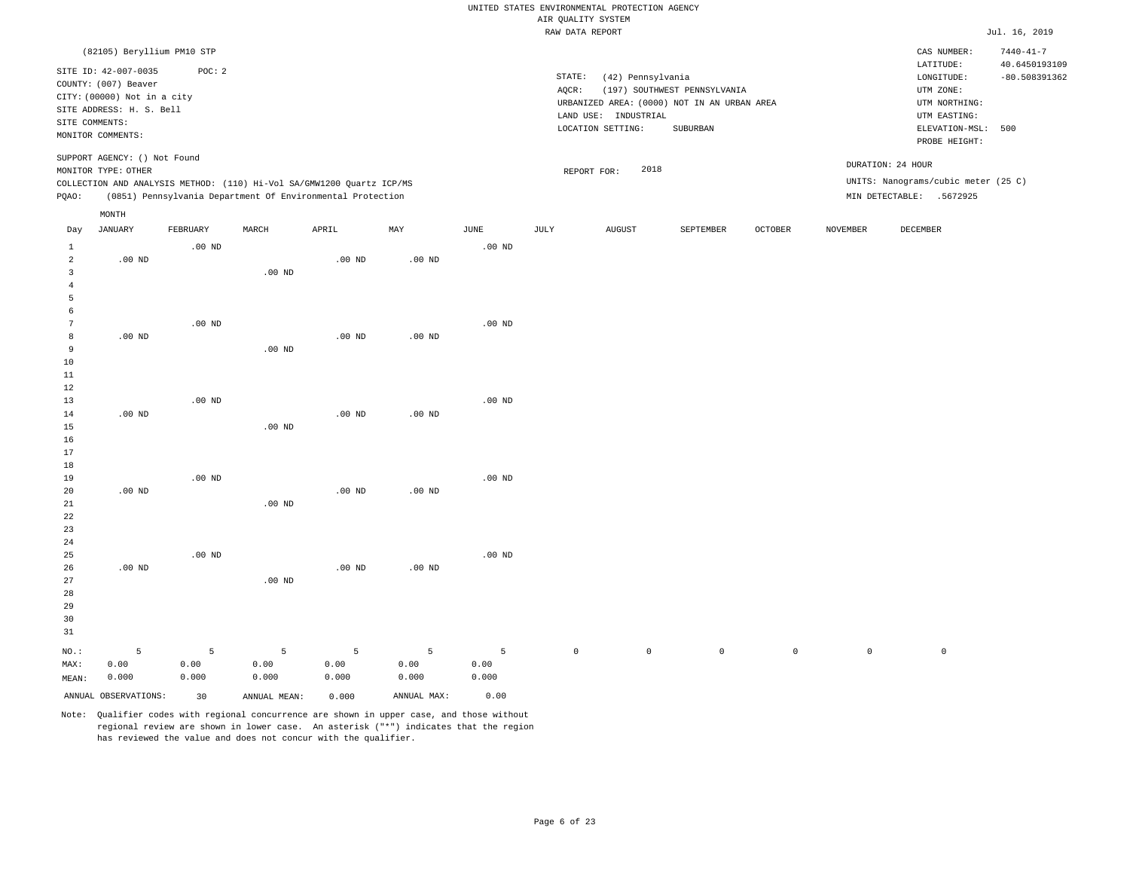|                                              |                                                                                                |                    |                                                            |                    |                    |                    | UNITED STATES ENVIRONMENTAL PROTECTION AGENCY |                      |                                                         |             |                 |                                                                      |                                                     |
|----------------------------------------------|------------------------------------------------------------------------------------------------|--------------------|------------------------------------------------------------|--------------------|--------------------|--------------------|-----------------------------------------------|----------------------|---------------------------------------------------------|-------------|-----------------|----------------------------------------------------------------------|-----------------------------------------------------|
|                                              |                                                                                                |                    |                                                            |                    |                    |                    | AIR QUALITY SYSTEM                            |                      |                                                         |             |                 |                                                                      |                                                     |
|                                              |                                                                                                |                    |                                                            |                    |                    |                    | RAW DATA REPORT                               |                      |                                                         |             |                 |                                                                      | Jul. 16, 2019                                       |
|                                              | (82105) Beryllium PM10 STP<br>SITE ID: 42-007-0035<br>COUNTY: (007) Beaver                     | POC: 2             |                                                            |                    |                    |                    | STATE:<br>AQCR:                               | (42) Pennsylvania    | (197) SOUTHWEST PENNSYLVANIA                            |             |                 | CAS NUMBER:<br>LATITUDE:<br>LONGITUDE:<br>UTM ZONE:                  | $7440 - 41 - 7$<br>40.6450193109<br>$-80.508391362$ |
|                                              | CITY: (00000) Not in a city<br>SITE ADDRESS: H. S. Bell<br>SITE COMMENTS:<br>MONITOR COMMENTS: |                    |                                                            |                    |                    |                    | LOCATION SETTING:                             | LAND USE: INDUSTRIAL | URBANIZED AREA: (0000) NOT IN AN URBAN AREA<br>SUBURBAN |             |                 | UTM NORTHING:<br>UTM EASTING:<br>ELEVATION-MSL: 500<br>PROBE HEIGHT: |                                                     |
|                                              | SUPPORT AGENCY: () Not Found<br>MONITOR TYPE: OTHER                                            |                    |                                                            |                    |                    |                    | REPORT FOR:                                   | 2018                 |                                                         |             |                 | DURATION: 24 HOUR                                                    |                                                     |
| PQAO:                                        | COLLECTION AND ANALYSIS METHOD: (110) Hi-Vol SA/GMW1200 Quartz ICP/MS                          |                    | (0851) Pennsylvania Department Of Environmental Protection |                    |                    |                    |                                               |                      |                                                         |             |                 | UNITS: Nanograms/cubic meter (25 C)<br>MIN DETECTABLE: .5672925      |                                                     |
|                                              | MONTH                                                                                          |                    |                                                            |                    |                    |                    |                                               |                      |                                                         |             |                 |                                                                      |                                                     |
| Day                                          | <b>JANUARY</b>                                                                                 | FEBRUARY           | MARCH                                                      | APRIL              | MAY                | <b>JUNE</b>        | <b>JULY</b>                                   | <b>AUGUST</b>        | SEPTEMBER                                               | OCTOBER     | <b>NOVEMBER</b> | DECEMBER                                                             |                                                     |
| $\mathbf{1}$<br>2<br>$\overline{\mathbf{3}}$ | $.00$ ND                                                                                       | .00 <sub>ND</sub>  | $.00$ ND                                                   | $.00$ ND           | $.00$ ND           | $.00$ ND           |                                               |                      |                                                         |             |                 |                                                                      |                                                     |
| $\overline{4}$<br>5<br>6                     |                                                                                                |                    |                                                            |                    |                    |                    |                                               |                      |                                                         |             |                 |                                                                      |                                                     |
| 7<br>8<br>9                                  | $.00$ ND                                                                                       | .00 <sub>ND</sub>  | $.00$ ND                                                   | $.00$ ND           | .00 <sub>ND</sub>  | $.00$ ND           |                                               |                      |                                                         |             |                 |                                                                      |                                                     |
| $10$<br>$1\,1$<br>12                         |                                                                                                |                    |                                                            |                    |                    |                    |                                               |                      |                                                         |             |                 |                                                                      |                                                     |
| 13<br>14                                     | .00 <sub>ND</sub>                                                                              | $.00$ ND           |                                                            | $.00$ ND           | $.00$ ND           | $.00$ ND           |                                               |                      |                                                         |             |                 |                                                                      |                                                     |
| 15<br>16<br>17<br>18                         |                                                                                                |                    | .00 <sub>ND</sub>                                          |                    |                    |                    |                                               |                      |                                                         |             |                 |                                                                      |                                                     |
| 19<br>20<br>21<br>22                         | $.00$ ND                                                                                       | $.00$ ND           | .00 <sub>ND</sub>                                          | $.00$ ND           | $.00$ ND           | $.00$ ND           |                                               |                      |                                                         |             |                 |                                                                      |                                                     |
| 23<br>$2\sqrt{4}$<br>25                      |                                                                                                | .00 <sub>ND</sub>  |                                                            |                    |                    | .00 <sub>ND</sub>  |                                               |                      |                                                         |             |                 |                                                                      |                                                     |
| 26<br>27<br>28<br>29<br>30<br>31             | $.00$ ND                                                                                       |                    | .00 <sub>ND</sub>                                          | $.00$ ND           | $.00$ ND           |                    |                                               |                      |                                                         |             |                 |                                                                      |                                                     |
| NO.:<br>MAX:<br>MEAN:                        | 5<br>0.00<br>0.000                                                                             | 5<br>0.00<br>0.000 | 5<br>0.00<br>0.000                                         | 5<br>0.00<br>0.000 | 5<br>0.00<br>0.000 | 5<br>0.00<br>0.000 | $\mathsf{O}\xspace$                           | $\mathbb O$          | $\circ$                                                 | $\mathbb O$ | $\mathbb O$     | $\mathbb O$                                                          |                                                     |
|                                              | ANNUAL OBSERVATIONS:                                                                           | 30                 | ANNUAL MEAN:                                               | 0.000              | ANNUAL MAX:        | 0.00               |                                               |                      |                                                         |             |                 |                                                                      |                                                     |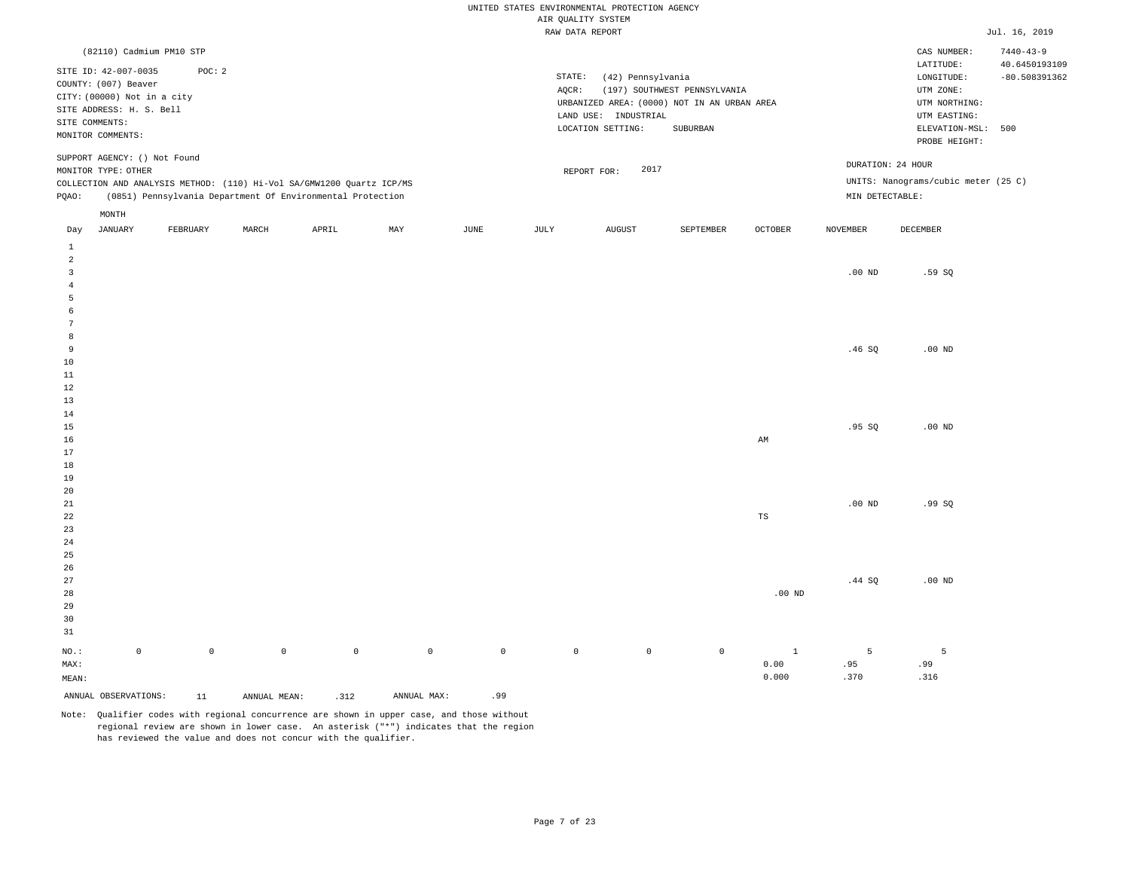|                                           |                                                                                                                                                |                     |              |                                                                       |             |      |         | AIR QUALITY SYSTEM | UNITED STATES ENVIRONMENTAL PROTECTION AGENCY                  |                                                                                         |                |                   |                                                                                                              |                                  |
|-------------------------------------------|------------------------------------------------------------------------------------------------------------------------------------------------|---------------------|--------------|-----------------------------------------------------------------------|-------------|------|---------|--------------------|----------------------------------------------------------------|-----------------------------------------------------------------------------------------|----------------|-------------------|--------------------------------------------------------------------------------------------------------------|----------------------------------|
|                                           |                                                                                                                                                |                     |              |                                                                       |             |      |         | RAW DATA REPORT    |                                                                |                                                                                         |                |                   |                                                                                                              | Jul. 16, 2019                    |
|                                           | (82110) Cadmium PM10 STP                                                                                                                       |                     |              |                                                                       |             |      |         |                    |                                                                |                                                                                         |                |                   | CAS NUMBER:                                                                                                  | $7440 - 43 - 9$                  |
|                                           | SITE ID: 42-007-0035<br>COUNTY: (007) Beaver<br>CITY: (00000) Not in a city<br>SITE ADDRESS: H. S. Bell<br>SITE COMMENTS:<br>MONITOR COMMENTS: | POC: 2              |              |                                                                       |             |      |         | STATE:<br>AQCR:    | (42) Pennsylvania<br>LAND USE: INDUSTRIAL<br>LOCATION SETTING: | (197) SOUTHWEST PENNSYLVANIA<br>URBANIZED AREA: (0000) NOT IN AN URBAN AREA<br>SUBURBAN |                |                   | LATITUDE:<br>LONGITUDE:<br>UTM ZONE:<br>UTM NORTHING:<br>UTM EASTING:<br>ELEVATION-MSL: 500<br>PROBE HEIGHT: | 40.6450193109<br>$-80.508391362$ |
|                                           | SUPPORT AGENCY: () Not Found<br>MONITOR TYPE: OTHER                                                                                            |                     |              |                                                                       |             |      |         | REPORT FOR:        | 2017                                                           |                                                                                         |                | DURATION: 24 HOUR |                                                                                                              |                                  |
|                                           |                                                                                                                                                |                     |              | COLLECTION AND ANALYSIS METHOD: (110) Hi-Vol SA/GMW1200 Quartz ICP/MS |             |      |         |                    |                                                                |                                                                                         |                |                   | UNITS: Nanograms/cubic meter (25 C)                                                                          |                                  |
| PQAO:                                     |                                                                                                                                                |                     |              | (0851) Pennsylvania Department Of Environmental Protection            |             |      |         |                    |                                                                |                                                                                         |                | MIN DETECTABLE:   |                                                                                                              |                                  |
|                                           | MONTH                                                                                                                                          |                     |              |                                                                       |             |      |         |                    |                                                                |                                                                                         |                |                   |                                                                                                              |                                  |
| Day                                       | <b>JANUARY</b>                                                                                                                                 | FEBRUARY            | MARCH        | APRIL                                                                 | MAY         | JUNE |         | JULY               | <b>AUGUST</b>                                                  | SEPTEMBER                                                                               | <b>OCTOBER</b> | <b>NOVEMBER</b>   | DECEMBER                                                                                                     |                                  |
| $\mathbf{1}$<br>$\overline{a}$            |                                                                                                                                                |                     |              |                                                                       |             |      |         |                    |                                                                |                                                                                         |                |                   |                                                                                                              |                                  |
| $\overline{\mathbf{3}}$<br>$\overline{4}$ |                                                                                                                                                |                     |              |                                                                       |             |      |         |                    |                                                                |                                                                                         |                | $.00$ ND          | .59SQ                                                                                                        |                                  |
| 5                                         |                                                                                                                                                |                     |              |                                                                       |             |      |         |                    |                                                                |                                                                                         |                |                   |                                                                                                              |                                  |
| 6                                         |                                                                                                                                                |                     |              |                                                                       |             |      |         |                    |                                                                |                                                                                         |                |                   |                                                                                                              |                                  |
| $7\phantom{.0}$                           |                                                                                                                                                |                     |              |                                                                       |             |      |         |                    |                                                                |                                                                                         |                |                   |                                                                                                              |                                  |
| 8<br>9                                    |                                                                                                                                                |                     |              |                                                                       |             |      |         |                    |                                                                |                                                                                         |                | .46SQ             | $.00$ ND                                                                                                     |                                  |
| 10                                        |                                                                                                                                                |                     |              |                                                                       |             |      |         |                    |                                                                |                                                                                         |                |                   |                                                                                                              |                                  |
| 11                                        |                                                                                                                                                |                     |              |                                                                       |             |      |         |                    |                                                                |                                                                                         |                |                   |                                                                                                              |                                  |
| 12                                        |                                                                                                                                                |                     |              |                                                                       |             |      |         |                    |                                                                |                                                                                         |                |                   |                                                                                                              |                                  |
| 13<br>14                                  |                                                                                                                                                |                     |              |                                                                       |             |      |         |                    |                                                                |                                                                                         |                |                   |                                                                                                              |                                  |
| 15                                        |                                                                                                                                                |                     |              |                                                                       |             |      |         |                    |                                                                |                                                                                         |                | .95SQ             | $.00$ ND                                                                                                     |                                  |
| 16                                        |                                                                                                                                                |                     |              |                                                                       |             |      |         |                    |                                                                |                                                                                         | AM             |                   |                                                                                                              |                                  |
| 17                                        |                                                                                                                                                |                     |              |                                                                       |             |      |         |                    |                                                                |                                                                                         |                |                   |                                                                                                              |                                  |
| 18                                        |                                                                                                                                                |                     |              |                                                                       |             |      |         |                    |                                                                |                                                                                         |                |                   |                                                                                                              |                                  |
| 19                                        |                                                                                                                                                |                     |              |                                                                       |             |      |         |                    |                                                                |                                                                                         |                |                   |                                                                                                              |                                  |
| 20<br>21                                  |                                                                                                                                                |                     |              |                                                                       |             |      |         |                    |                                                                |                                                                                         |                | $.00$ ND          | .99SQ                                                                                                        |                                  |
| 22                                        |                                                                                                                                                |                     |              |                                                                       |             |      |         |                    |                                                                |                                                                                         | TS             |                   |                                                                                                              |                                  |
| 23                                        |                                                                                                                                                |                     |              |                                                                       |             |      |         |                    |                                                                |                                                                                         |                |                   |                                                                                                              |                                  |
| 24                                        |                                                                                                                                                |                     |              |                                                                       |             |      |         |                    |                                                                |                                                                                         |                |                   |                                                                                                              |                                  |
| 25                                        |                                                                                                                                                |                     |              |                                                                       |             |      |         |                    |                                                                |                                                                                         |                |                   |                                                                                                              |                                  |
| 26<br>27                                  |                                                                                                                                                |                     |              |                                                                       |             |      |         |                    |                                                                |                                                                                         |                |                   |                                                                                                              |                                  |
| 28                                        |                                                                                                                                                |                     |              |                                                                       |             |      |         |                    |                                                                |                                                                                         | $.00$ ND       | .44 SQ            | $.00$ ND                                                                                                     |                                  |
| 29                                        |                                                                                                                                                |                     |              |                                                                       |             |      |         |                    |                                                                |                                                                                         |                |                   |                                                                                                              |                                  |
| 30                                        |                                                                                                                                                |                     |              |                                                                       |             |      |         |                    |                                                                |                                                                                         |                |                   |                                                                                                              |                                  |
| 31                                        |                                                                                                                                                |                     |              |                                                                       |             |      |         |                    |                                                                |                                                                                         |                |                   |                                                                                                              |                                  |
| NO.:                                      | $\mathbb O$                                                                                                                                    | $\mathsf{O}\xspace$ | $\mathsf 0$  | $\mathbb O$                                                           | $\mathbb O$ |      | $\circ$ | $\mathbb O$        | $\mathbb O$                                                    | $\mathbb O$                                                                             | $\mathbf{1}$   | 5                 | 5                                                                                                            |                                  |
| MAX:                                      |                                                                                                                                                |                     |              |                                                                       |             |      |         |                    |                                                                |                                                                                         | 0.00           | .95               | .99                                                                                                          |                                  |
| MEAN:                                     |                                                                                                                                                |                     |              |                                                                       |             |      |         |                    |                                                                |                                                                                         | 0.000          | .370              | .316                                                                                                         |                                  |
|                                           | ANNUAL OBSERVATIONS:                                                                                                                           | 11                  | ANNUAL MEAN: | .312                                                                  | ANNUAL MAX: |      | .99     |                    |                                                                |                                                                                         |                |                   |                                                                                                              |                                  |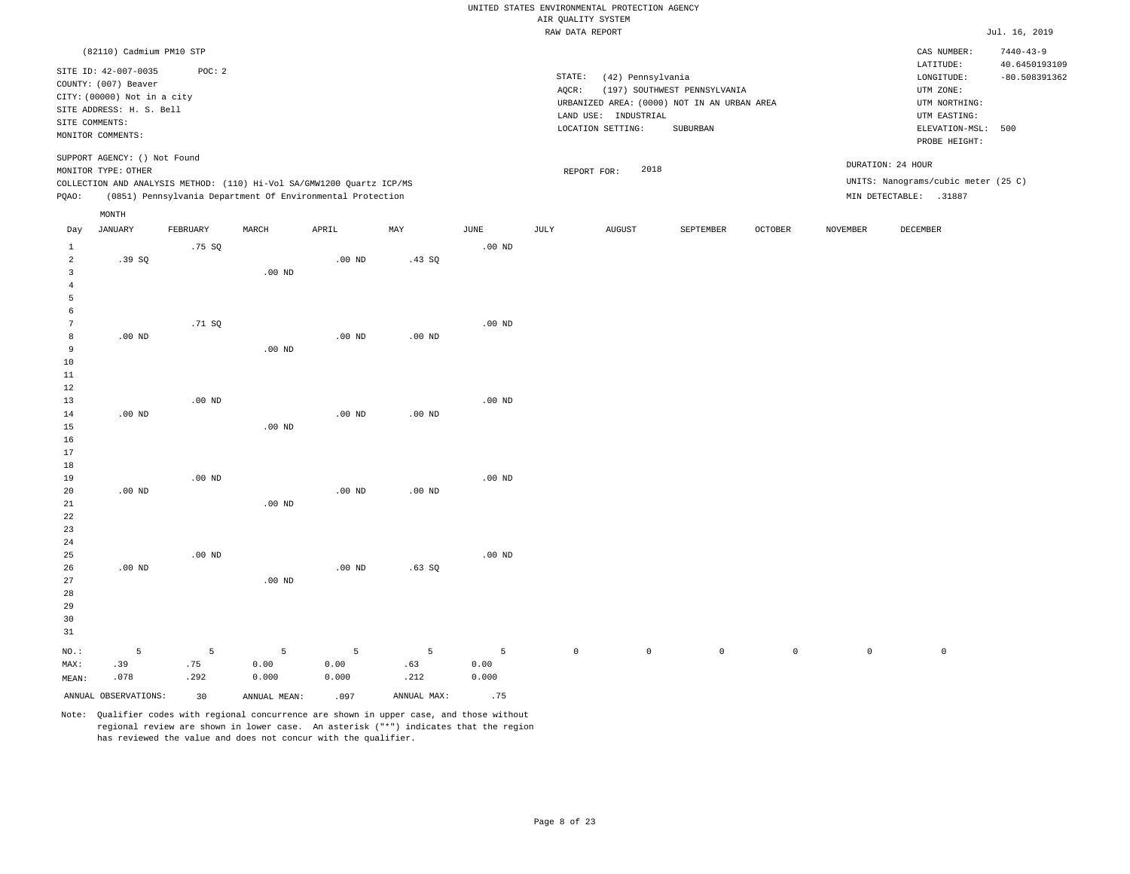|                |                              |                   |                                                                       |                   |                   |                   | UNITED STATES ENVIRONMENTAL PROTECTION AGENCY |                      |                                             |                |                     |                                     |                                  |
|----------------|------------------------------|-------------------|-----------------------------------------------------------------------|-------------------|-------------------|-------------------|-----------------------------------------------|----------------------|---------------------------------------------|----------------|---------------------|-------------------------------------|----------------------------------|
|                |                              |                   |                                                                       |                   |                   |                   | AIR QUALITY SYSTEM                            |                      |                                             |                |                     |                                     |                                  |
|                |                              |                   |                                                                       |                   |                   |                   | RAW DATA REPORT                               |                      |                                             |                |                     |                                     | Jul. 16, 2019                    |
|                | (82110) Cadmium PM10 STP     |                   |                                                                       |                   |                   |                   |                                               |                      |                                             |                |                     | CAS NUMBER:<br>LATITUDE:            | $7440 - 43 - 9$<br>40.6450193109 |
|                | SITE ID: 42-007-0035         | POC: 2            |                                                                       |                   |                   |                   | STATE:                                        | (42) Pennsylvania    |                                             |                |                     | $\texttt{LONGITUDE}$ :              | $-80.508391362$                  |
|                | COUNTY: (007) Beaver         |                   |                                                                       |                   |                   |                   | AQCR:                                         |                      | (197) SOUTHWEST PENNSYLVANIA                |                |                     | UTM ZONE:                           |                                  |
|                | CITY: (00000) Not in a city  |                   |                                                                       |                   |                   |                   |                                               |                      | URBANIZED AREA: (0000) NOT IN AN URBAN AREA |                |                     | UTM NORTHING:                       |                                  |
|                | SITE ADDRESS: H. S. Bell     |                   |                                                                       |                   |                   |                   |                                               | LAND USE: INDUSTRIAL |                                             |                |                     | UTM EASTING:                        |                                  |
|                | SITE COMMENTS:               |                   |                                                                       |                   |                   |                   |                                               | LOCATION SETTING:    | SUBURBAN                                    |                |                     | ELEVATION-MSL:                      | 500                              |
|                | MONITOR COMMENTS:            |                   |                                                                       |                   |                   |                   |                                               |                      |                                             |                |                     | PROBE HEIGHT:                       |                                  |
|                | SUPPORT AGENCY: () Not Found |                   |                                                                       |                   |                   |                   |                                               |                      |                                             |                |                     |                                     |                                  |
|                | MONITOR TYPE: OTHER          |                   |                                                                       |                   |                   |                   | REPORT FOR:                                   | 2018                 |                                             |                |                     | DURATION: 24 HOUR                   |                                  |
|                |                              |                   | COLLECTION AND ANALYSIS METHOD: (110) Hi-Vol SA/GMW1200 Quartz ICP/MS |                   |                   |                   |                                               |                      |                                             |                |                     | UNITS: Nanograms/cubic meter (25 C) |                                  |
| PQAO:          |                              |                   | (0851) Pennsylvania Department Of Environmental Protection            |                   |                   |                   |                                               |                      |                                             |                |                     | MIN DETECTABLE: .31887              |                                  |
|                | MONTH                        |                   |                                                                       |                   |                   |                   |                                               |                      |                                             |                |                     |                                     |                                  |
| Day            | <b>JANUARY</b>               | FEBRUARY          | MARCH                                                                 | APRIL             | MAY               | $_{\rm JUNE}$     | <b>JULY</b>                                   | <b>AUGUST</b>        | SEPTEMBER                                   | <b>OCTOBER</b> | <b>NOVEMBER</b>     | <b>DECEMBER</b>                     |                                  |
| $\,1\,$        |                              | .75SQ             |                                                                       |                   |                   | .00 <sub>ND</sub> |                                               |                      |                                             |                |                     |                                     |                                  |
| $\overline{a}$ | .39S                         |                   |                                                                       | .00 <sub>ND</sub> | .43 S0            |                   |                                               |                      |                                             |                |                     |                                     |                                  |
| $\overline{3}$ |                              |                   | .00 <sub>ND</sub>                                                     |                   |                   |                   |                                               |                      |                                             |                |                     |                                     |                                  |
| $\overline{4}$ |                              |                   |                                                                       |                   |                   |                   |                                               |                      |                                             |                |                     |                                     |                                  |
| 5              |                              |                   |                                                                       |                   |                   |                   |                                               |                      |                                             |                |                     |                                     |                                  |
| 6              |                              |                   |                                                                       |                   |                   |                   |                                               |                      |                                             |                |                     |                                     |                                  |
| 7              |                              | .71 SO            |                                                                       |                   |                   | $.00$ ND          |                                               |                      |                                             |                |                     |                                     |                                  |
| 8              | $.00$ ND                     |                   |                                                                       | $.00$ ND          | $.00$ ND          |                   |                                               |                      |                                             |                |                     |                                     |                                  |
| 9              |                              |                   | $.00$ ND                                                              |                   |                   |                   |                                               |                      |                                             |                |                     |                                     |                                  |
| 10<br>$11\,$   |                              |                   |                                                                       |                   |                   |                   |                                               |                      |                                             |                |                     |                                     |                                  |
| 12             |                              |                   |                                                                       |                   |                   |                   |                                               |                      |                                             |                |                     |                                     |                                  |
| 13             |                              | .00 <sub>ND</sub> |                                                                       |                   |                   | .00 <sub>ND</sub> |                                               |                      |                                             |                |                     |                                     |                                  |
| 14             | $.00$ ND                     |                   |                                                                       | $.00$ ND          | $.00$ ND          |                   |                                               |                      |                                             |                |                     |                                     |                                  |
| 15             |                              |                   | .00 <sub>ND</sub>                                                     |                   |                   |                   |                                               |                      |                                             |                |                     |                                     |                                  |
| 16             |                              |                   |                                                                       |                   |                   |                   |                                               |                      |                                             |                |                     |                                     |                                  |
| 17             |                              |                   |                                                                       |                   |                   |                   |                                               |                      |                                             |                |                     |                                     |                                  |
| 18             |                              |                   |                                                                       |                   |                   |                   |                                               |                      |                                             |                |                     |                                     |                                  |
| 19             |                              | .00 <sub>ND</sub> |                                                                       |                   |                   | .00 <sub>ND</sub> |                                               |                      |                                             |                |                     |                                     |                                  |
| 20             | $.00$ ND                     |                   |                                                                       | $.00$ ND          | .00 <sub>ND</sub> |                   |                                               |                      |                                             |                |                     |                                     |                                  |
| 21             |                              |                   | .00 <sub>ND</sub>                                                     |                   |                   |                   |                                               |                      |                                             |                |                     |                                     |                                  |
| 22             |                              |                   |                                                                       |                   |                   |                   |                                               |                      |                                             |                |                     |                                     |                                  |
| 23             |                              |                   |                                                                       |                   |                   |                   |                                               |                      |                                             |                |                     |                                     |                                  |
| 24             |                              |                   |                                                                       |                   |                   |                   |                                               |                      |                                             |                |                     |                                     |                                  |
| 25             |                              | $.00$ ND          |                                                                       |                   |                   | $.00$ ND          |                                               |                      |                                             |                |                     |                                     |                                  |
| 26<br>27       | $.00$ ND                     |                   |                                                                       | $.00$ ND          | .63SQ             |                   |                                               |                      |                                             |                |                     |                                     |                                  |
| 28             |                              |                   | $.00$ ND                                                              |                   |                   |                   |                                               |                      |                                             |                |                     |                                     |                                  |
| 29             |                              |                   |                                                                       |                   |                   |                   |                                               |                      |                                             |                |                     |                                     |                                  |
| 30             |                              |                   |                                                                       |                   |                   |                   |                                               |                      |                                             |                |                     |                                     |                                  |
| 31             |                              |                   |                                                                       |                   |                   |                   |                                               |                      |                                             |                |                     |                                     |                                  |
|                |                              |                   |                                                                       |                   |                   |                   |                                               |                      |                                             |                |                     |                                     |                                  |
| NO.:           | $\mathsf S$                  | 5                 | 5                                                                     | $5\phantom{.0}$   | 5                 | 5                 | $\mathbb O$                                   | $\mathbb O$          | $\mathbb O$                                 | $\mathbb O$    | $\mathsf{O}\xspace$ | $\mathsf{O}$                        |                                  |
| MAX:           | .39                          | .75               | 0.00                                                                  | 0.00              | .63               | 0.00              |                                               |                      |                                             |                |                     |                                     |                                  |
| MEAN:          | .078                         | .292              | 0.000                                                                 | 0.000             | .212              | 0.000             |                                               |                      |                                             |                |                     |                                     |                                  |
|                | ANNUAL OBSERVATIONS:         | 30                | ANNUAL MEAN:                                                          | .097              | ANNUAL MAX:       | .75               |                                               |                      |                                             |                |                     |                                     |                                  |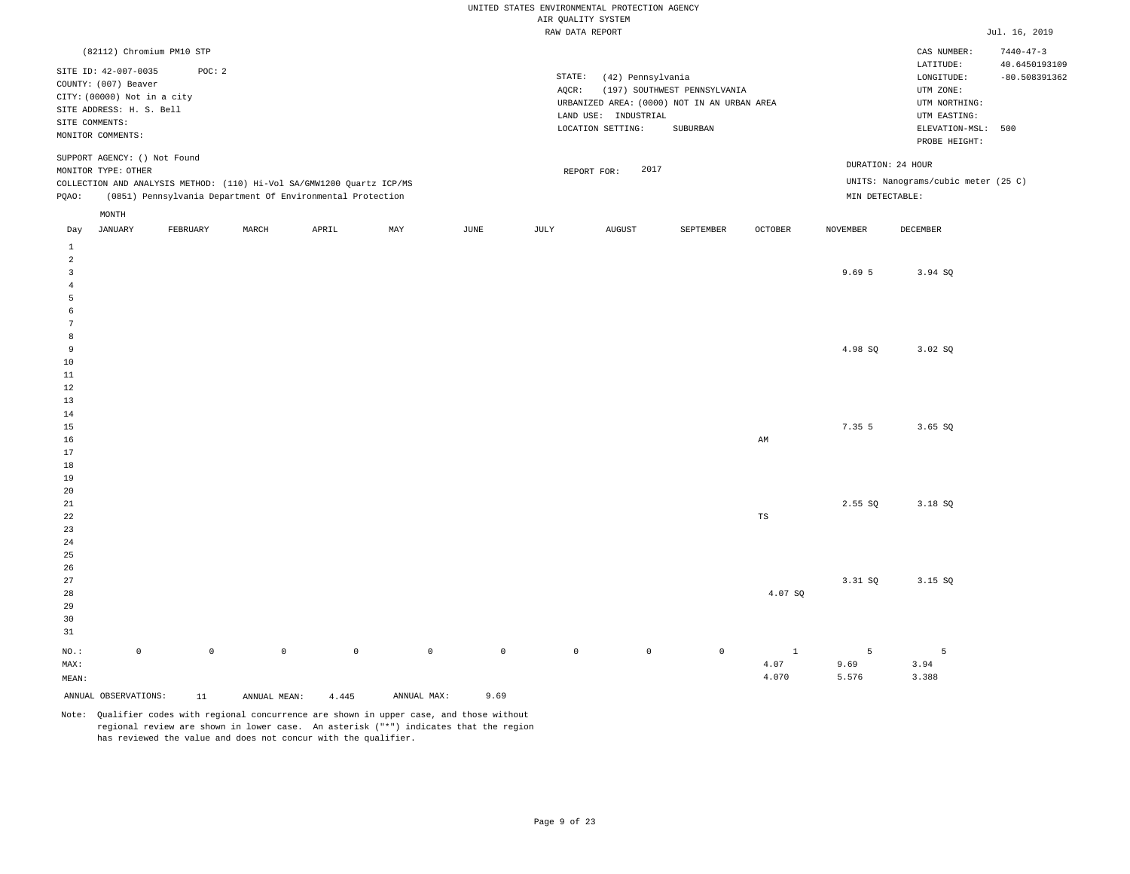|                         |                                    |             |              |                                                                       |              |                     | UNITED STATES ENVIRONMENTAL PROTECTION AGENCY |                      |                                             |              |                 |                                     |                 |
|-------------------------|------------------------------------|-------------|--------------|-----------------------------------------------------------------------|--------------|---------------------|-----------------------------------------------|----------------------|---------------------------------------------|--------------|-----------------|-------------------------------------|-----------------|
|                         |                                    |             |              |                                                                       |              |                     | AIR QUALITY SYSTEM                            |                      |                                             |              |                 |                                     |                 |
|                         |                                    |             |              |                                                                       |              |                     | RAW DATA REPORT                               |                      |                                             |              |                 |                                     | Jul. 16, 2019   |
|                         | (82112) Chromium PM10 STP          |             |              |                                                                       |              |                     |                                               |                      |                                             |              |                 | CAS NUMBER:                         | $7440 - 47 - 3$ |
|                         | SITE ID: 42-007-0035               | POC: 2      |              |                                                                       |              |                     |                                               |                      |                                             |              |                 | LATITUDE:                           | 40.6450193109   |
|                         | COUNTY: (007) Beaver               |             |              |                                                                       |              |                     | STATE:                                        | (42) Pennsylvania    |                                             |              |                 | LONGITUDE:                          | $-80.508391362$ |
|                         | CITY: (00000) Not in a city        |             |              |                                                                       |              |                     | AQCR:                                         |                      | (197) SOUTHWEST PENNSYLVANIA                |              |                 | UTM ZONE:                           |                 |
|                         | SITE ADDRESS: H. S. Bell           |             |              |                                                                       |              |                     |                                               |                      | URBANIZED AREA: (0000) NOT IN AN URBAN AREA |              |                 | UTM NORTHING:                       |                 |
|                         | SITE COMMENTS:                     |             |              |                                                                       |              |                     |                                               | LAND USE: INDUSTRIAL |                                             |              |                 | UTM EASTING:                        |                 |
|                         | MONITOR COMMENTS:                  |             |              |                                                                       |              |                     |                                               | LOCATION SETTING:    | SUBURBAN                                    |              |                 | ELEVATION-MSL: 500<br>PROBE HEIGHT: |                 |
|                         | SUPPORT AGENCY: () Not Found       |             |              |                                                                       |              |                     |                                               |                      |                                             |              |                 | DURATION: 24 HOUR                   |                 |
|                         | MONITOR TYPE: OTHER                |             |              |                                                                       |              |                     |                                               | 2017<br>REPORT FOR:  |                                             |              |                 | UNITS: Nanograms/cubic meter (25 C) |                 |
|                         |                                    |             |              | COLLECTION AND ANALYSIS METHOD: (110) Hi-Vol SA/GMW1200 Quartz ICP/MS |              |                     |                                               |                      |                                             |              | MIN DETECTABLE: |                                     |                 |
| PQAO:                   |                                    |             |              | (0851) Pennsylvania Department Of Environmental Protection            |              |                     |                                               |                      |                                             |              |                 |                                     |                 |
| Day                     | $\texttt{MONTH}$<br><b>JANUARY</b> | FEBRUARY    | MARCH        | APRIL                                                                 | MAY          | JUNE                | JULY                                          | <b>AUGUST</b>        | SEPTEMBER                                   | OCTOBER      | <b>NOVEMBER</b> | DECEMBER                            |                 |
| $\mathbf{1}$            |                                    |             |              |                                                                       |              |                     |                                               |                      |                                             |              |                 |                                     |                 |
| $\overline{a}$          |                                    |             |              |                                                                       |              |                     |                                               |                      |                                             |              |                 |                                     |                 |
| $\overline{\mathbf{3}}$ |                                    |             |              |                                                                       |              |                     |                                               |                      |                                             |              | 9.69 5          | 3.94 SQ                             |                 |
| $\overline{4}$          |                                    |             |              |                                                                       |              |                     |                                               |                      |                                             |              |                 |                                     |                 |
| 5                       |                                    |             |              |                                                                       |              |                     |                                               |                      |                                             |              |                 |                                     |                 |
| 6                       |                                    |             |              |                                                                       |              |                     |                                               |                      |                                             |              |                 |                                     |                 |
| 7                       |                                    |             |              |                                                                       |              |                     |                                               |                      |                                             |              |                 |                                     |                 |
| 8<br>9                  |                                    |             |              |                                                                       |              |                     |                                               |                      |                                             |              | 4.98 SQ         | 3.02 SQ                             |                 |
| 10                      |                                    |             |              |                                                                       |              |                     |                                               |                      |                                             |              |                 |                                     |                 |
| 11                      |                                    |             |              |                                                                       |              |                     |                                               |                      |                                             |              |                 |                                     |                 |
| 12                      |                                    |             |              |                                                                       |              |                     |                                               |                      |                                             |              |                 |                                     |                 |
| 13                      |                                    |             |              |                                                                       |              |                     |                                               |                      |                                             |              |                 |                                     |                 |
| 14                      |                                    |             |              |                                                                       |              |                     |                                               |                      |                                             |              |                 |                                     |                 |
| 15                      |                                    |             |              |                                                                       |              |                     |                                               |                      |                                             |              | 7.35 5          | 3.65 SQ                             |                 |
| 16                      |                                    |             |              |                                                                       |              |                     |                                               |                      |                                             | AM           |                 |                                     |                 |
| 17                      |                                    |             |              |                                                                       |              |                     |                                               |                      |                                             |              |                 |                                     |                 |
| 18                      |                                    |             |              |                                                                       |              |                     |                                               |                      |                                             |              |                 |                                     |                 |
| 19                      |                                    |             |              |                                                                       |              |                     |                                               |                      |                                             |              |                 |                                     |                 |
| 20<br>21                |                                    |             |              |                                                                       |              |                     |                                               |                      |                                             |              | 2.55 SQ         | 3.18 SQ                             |                 |
| 22                      |                                    |             |              |                                                                       |              |                     |                                               |                      |                                             | TS           |                 |                                     |                 |
| 23                      |                                    |             |              |                                                                       |              |                     |                                               |                      |                                             |              |                 |                                     |                 |
| 24                      |                                    |             |              |                                                                       |              |                     |                                               |                      |                                             |              |                 |                                     |                 |
| 25                      |                                    |             |              |                                                                       |              |                     |                                               |                      |                                             |              |                 |                                     |                 |
| 26                      |                                    |             |              |                                                                       |              |                     |                                               |                      |                                             |              |                 |                                     |                 |
| 27                      |                                    |             |              |                                                                       |              |                     |                                               |                      |                                             |              | 3.31 SQ         | 3.15 SO                             |                 |
| 28                      |                                    |             |              |                                                                       |              |                     |                                               |                      |                                             | 4.07 SQ      |                 |                                     |                 |
| 29                      |                                    |             |              |                                                                       |              |                     |                                               |                      |                                             |              |                 |                                     |                 |
| 30                      |                                    |             |              |                                                                       |              |                     |                                               |                      |                                             |              |                 |                                     |                 |
| 31                      |                                    |             |              |                                                                       |              |                     |                                               |                      |                                             |              |                 |                                     |                 |
| NO.:                    | $\circ$                            | $\mathbb O$ | $\circ$      | $\mathbb O$                                                           | $\mathbf{0}$ | $\mathsf{O}\xspace$ | $\mathbb O$                                   | $\circ$              | $\mathbb O$                                 | $\mathbf{1}$ | 5               | 5                                   |                 |
| MAX:                    |                                    |             |              |                                                                       |              |                     |                                               |                      |                                             | 4.07         | 9.69            | 3.94                                |                 |
| MEAN:                   |                                    |             |              |                                                                       |              |                     |                                               |                      |                                             | 4.070        | 5.576           | 3.388                               |                 |
|                         | ANNUAL OBSERVATIONS:               | 11          | ANNUAL MEAN: | 4.445                                                                 | ANNUAL MAX:  | 9.69                |                                               |                      |                                             |              |                 |                                     |                 |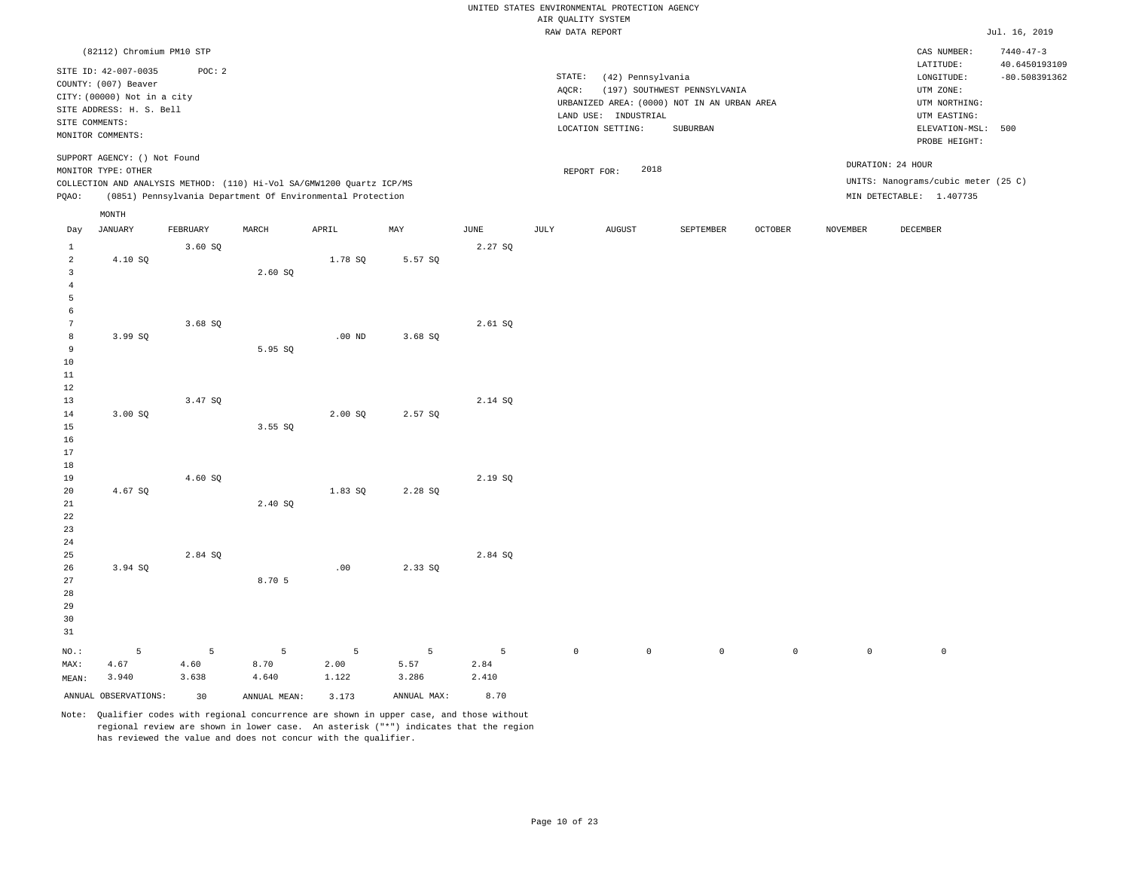|                      |                                                         |          |              |                                                                       |             |             |                    | UNITED STATES ENVIRONMENTAL PROTECTION AGENCY |                                             |                |                 |                                     |                                  |
|----------------------|---------------------------------------------------------|----------|--------------|-----------------------------------------------------------------------|-------------|-------------|--------------------|-----------------------------------------------|---------------------------------------------|----------------|-----------------|-------------------------------------|----------------------------------|
|                      |                                                         |          |              |                                                                       |             |             | AIR QUALITY SYSTEM |                                               |                                             |                |                 |                                     |                                  |
|                      |                                                         |          |              |                                                                       |             |             | RAW DATA REPORT    |                                               |                                             |                |                 |                                     | Jul. 16, 2019                    |
|                      | (82112) Chromium PM10 STP                               |          |              |                                                                       |             |             |                    |                                               |                                             |                |                 | CAS NUMBER:<br>LATITUDE:            | $7440 - 47 - 3$<br>40.6450193109 |
|                      | SITE ID: 42-007-0035                                    | POC: 2   |              |                                                                       |             |             | STATE:             | (42) Pennsylvania                             |                                             |                |                 | LONGITUDE:                          | $-80.508391362$                  |
|                      | COUNTY: (007) Beaver                                    |          |              |                                                                       |             |             | AQCR:              |                                               | (197) SOUTHWEST PENNSYLVANIA                |                |                 | UTM ZONE:                           |                                  |
|                      | CITY: (00000) Not in a city<br>SITE ADDRESS: H. S. Bell |          |              |                                                                       |             |             |                    |                                               | URBANIZED AREA: (0000) NOT IN AN URBAN AREA |                |                 | UTM NORTHING:                       |                                  |
| SITE COMMENTS:       |                                                         |          |              |                                                                       |             |             |                    | LAND USE: INDUSTRIAL                          |                                             |                |                 | UTM EASTING:                        |                                  |
|                      | MONITOR COMMENTS:                                       |          |              |                                                                       |             |             |                    | LOCATION SETTING:                             | SUBURBAN                                    |                |                 | ELEVATION-MSL:                      | 500                              |
|                      |                                                         |          |              |                                                                       |             |             |                    |                                               |                                             |                |                 | PROBE HEIGHT:                       |                                  |
|                      | SUPPORT AGENCY: () Not Found                            |          |              |                                                                       |             |             |                    |                                               |                                             |                |                 |                                     |                                  |
|                      | MONITOR TYPE: OTHER                                     |          |              |                                                                       |             |             |                    | 2018<br>REPORT FOR:                           |                                             |                |                 | DURATION: 24 HOUR                   |                                  |
|                      |                                                         |          |              | COLLECTION AND ANALYSIS METHOD: (110) Hi-Vol SA/GMW1200 Quartz ICP/MS |             |             |                    |                                               |                                             |                |                 | UNITS: Nanograms/cubic meter (25 C) |                                  |
| PQAO:                |                                                         |          |              | (0851) Pennsylvania Department Of Environmental Protection            |             |             |                    |                                               |                                             |                |                 | MIN DETECTABLE: 1.407735            |                                  |
|                      | MONTH                                                   |          |              |                                                                       |             |             |                    |                                               |                                             |                |                 |                                     |                                  |
| Day                  | <b>JANUARY</b>                                          | FEBRUARY | MARCH        | APRIL                                                                 | MAY         | <b>JUNE</b> | JULY               | <b>AUGUST</b>                                 | SEPTEMBER                                   | <b>OCTOBER</b> | <b>NOVEMBER</b> | <b>DECEMBER</b>                     |                                  |
| $\mathbf{1}$         |                                                         | 3.60S    |              |                                                                       |             | 2.27 SQ     |                    |                                               |                                             |                |                 |                                     |                                  |
| $\overline{a}$       | 4.10 SQ                                                 |          |              | 1.78 SQ                                                               | 5.57 SQ     |             |                    |                                               |                                             |                |                 |                                     |                                  |
| $\overline{3}$       |                                                         |          | 2.60 SO      |                                                                       |             |             |                    |                                               |                                             |                |                 |                                     |                                  |
| $\overline{4}$       |                                                         |          |              |                                                                       |             |             |                    |                                               |                                             |                |                 |                                     |                                  |
| 5                    |                                                         |          |              |                                                                       |             |             |                    |                                               |                                             |                |                 |                                     |                                  |
| 6                    |                                                         |          |              |                                                                       |             |             |                    |                                               |                                             |                |                 |                                     |                                  |
| $7\phantom{.0}$<br>8 | 3.99 SO                                                 | 3.68S    |              | $.00$ ND                                                              | 3.68 SO     | 2.61SQ      |                    |                                               |                                             |                |                 |                                     |                                  |
| 9                    |                                                         |          | 5.95 SQ      |                                                                       |             |             |                    |                                               |                                             |                |                 |                                     |                                  |
| 10                   |                                                         |          |              |                                                                       |             |             |                    |                                               |                                             |                |                 |                                     |                                  |
| 11                   |                                                         |          |              |                                                                       |             |             |                    |                                               |                                             |                |                 |                                     |                                  |
| 12                   |                                                         |          |              |                                                                       |             |             |                    |                                               |                                             |                |                 |                                     |                                  |
| 13                   |                                                         | 3.47 SQ  |              |                                                                       |             | 2.14 SQ     |                    |                                               |                                             |                |                 |                                     |                                  |
| 14                   | 3.00 SO                                                 |          |              | 2.00 SO                                                               | 2.57 SO     |             |                    |                                               |                                             |                |                 |                                     |                                  |
| 15                   |                                                         |          | 3.55SQ       |                                                                       |             |             |                    |                                               |                                             |                |                 |                                     |                                  |
| 16                   |                                                         |          |              |                                                                       |             |             |                    |                                               |                                             |                |                 |                                     |                                  |
| 17                   |                                                         |          |              |                                                                       |             |             |                    |                                               |                                             |                |                 |                                     |                                  |
| 18                   |                                                         |          |              |                                                                       |             |             |                    |                                               |                                             |                |                 |                                     |                                  |
| 19                   |                                                         | 4.60 SQ  |              |                                                                       |             | 2.19 SQ     |                    |                                               |                                             |                |                 |                                     |                                  |
| 20                   | 4.67 SO                                                 |          |              | 1.83 SO                                                               | 2.28 SO     |             |                    |                                               |                                             |                |                 |                                     |                                  |
| 21<br>22             |                                                         |          | 2.40 SQ      |                                                                       |             |             |                    |                                               |                                             |                |                 |                                     |                                  |
| 23                   |                                                         |          |              |                                                                       |             |             |                    |                                               |                                             |                |                 |                                     |                                  |
| 24                   |                                                         |          |              |                                                                       |             |             |                    |                                               |                                             |                |                 |                                     |                                  |
| 25                   |                                                         | 2.84 SO  |              |                                                                       |             | 2.84 SO     |                    |                                               |                                             |                |                 |                                     |                                  |
| 26                   | 3.94 SQ                                                 |          |              | .00                                                                   | 2.33 SQ     |             |                    |                                               |                                             |                |                 |                                     |                                  |
| 27                   |                                                         |          | 8.70 5       |                                                                       |             |             |                    |                                               |                                             |                |                 |                                     |                                  |
| 28                   |                                                         |          |              |                                                                       |             |             |                    |                                               |                                             |                |                 |                                     |                                  |
| 29                   |                                                         |          |              |                                                                       |             |             |                    |                                               |                                             |                |                 |                                     |                                  |
| 30                   |                                                         |          |              |                                                                       |             |             |                    |                                               |                                             |                |                 |                                     |                                  |
| 31                   |                                                         |          |              |                                                                       |             |             |                    |                                               |                                             |                |                 |                                     |                                  |
| $NO.$ :              | 5                                                       | 5        | 5            | 5                                                                     | 5           | 5           | $\mathbb O$        | $\mathbb O$                                   | $\mathbb O$                                 | $\mathbb O$    | $\mathbb O$     | $\mathsf{O}\xspace$                 |                                  |
| MAX:                 | 4.67                                                    | 4.60     | 8.70         | 2.00                                                                  | 5.57        | 2.84        |                    |                                               |                                             |                |                 |                                     |                                  |
| MEAN:                | 3.940                                                   | 3.638    | 4.640        | 1.122                                                                 | 3.286       | 2.410       |                    |                                               |                                             |                |                 |                                     |                                  |
|                      | ANNUAL OBSERVATIONS:                                    | 30       | ANNUAL MEAN: | 3.173                                                                 | ANNUAL MAX: | 8.70        |                    |                                               |                                             |                |                 |                                     |                                  |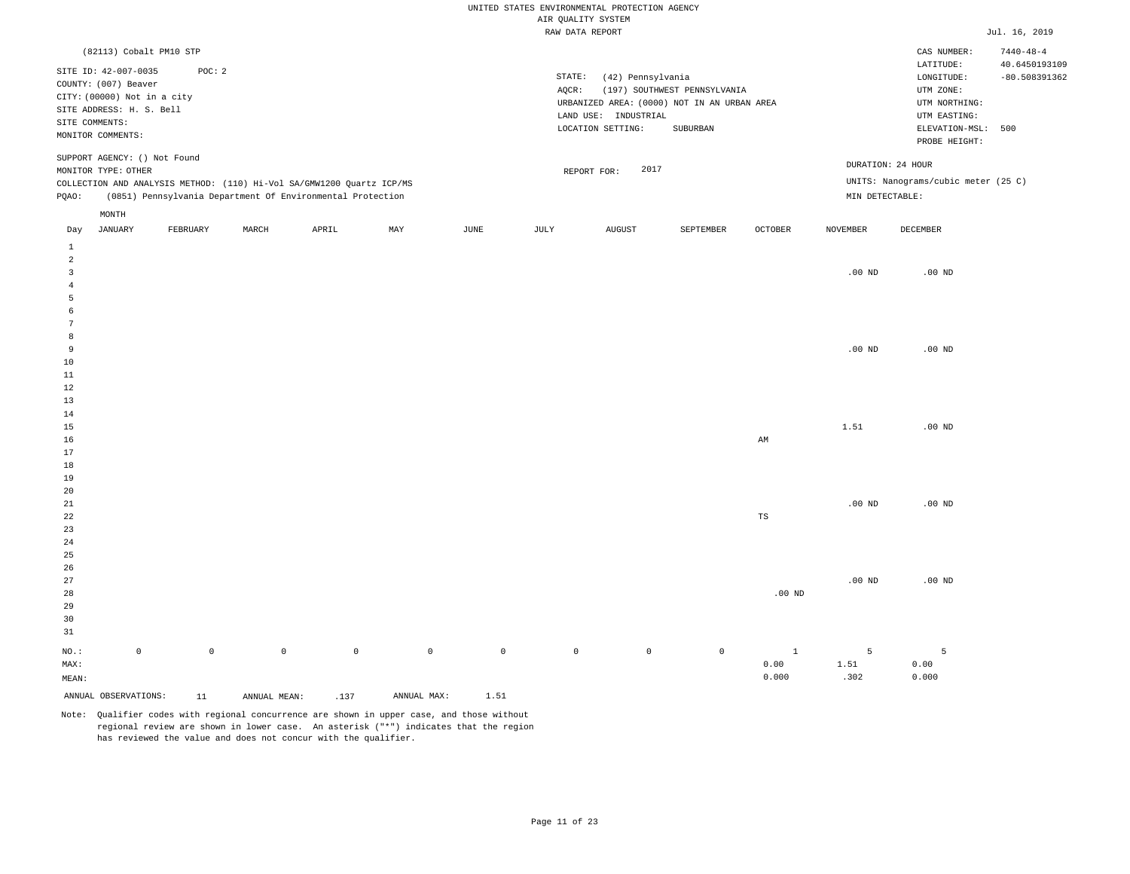|                         |                                                     |                     |              |                                                                                                                                     |             |                     |             | UNITED STATES ENVIRONMENTAL PROTECTION AGENCY<br>AIR QUALITY SYSTEM |                                             |                |                 |                                     |                 |
|-------------------------|-----------------------------------------------------|---------------------|--------------|-------------------------------------------------------------------------------------------------------------------------------------|-------------|---------------------|-------------|---------------------------------------------------------------------|---------------------------------------------|----------------|-----------------|-------------------------------------|-----------------|
|                         |                                                     |                     |              |                                                                                                                                     |             |                     |             | RAW DATA REPORT                                                     |                                             |                |                 |                                     | Jul. 16, 2019   |
|                         | (82113) Cobalt PM10 STP                             |                     |              |                                                                                                                                     |             |                     |             |                                                                     |                                             |                |                 | CAS NUMBER:                         | $7440 - 48 - 4$ |
|                         |                                                     |                     |              |                                                                                                                                     |             |                     |             |                                                                     |                                             |                |                 | $\mathtt{LATITUDE}$                 | 40.6450193109   |
|                         | SITE ID: 42-007-0035                                | POC: 2              |              |                                                                                                                                     |             |                     | STATE:      | (42) Pennsylvania                                                   |                                             |                |                 | LONGITUDE:                          | $-80.508391362$ |
|                         | COUNTY: (007) Beaver<br>CITY: (00000) Not in a city |                     |              |                                                                                                                                     |             |                     | AQCR:       |                                                                     | (197) SOUTHWEST PENNSYLVANIA                |                |                 | UTM ZONE:                           |                 |
|                         | SITE ADDRESS: H. S. Bell                            |                     |              |                                                                                                                                     |             |                     |             |                                                                     | URBANIZED AREA: (0000) NOT IN AN URBAN AREA |                |                 | UTM NORTHING:                       |                 |
|                         | SITE COMMENTS:                                      |                     |              |                                                                                                                                     |             |                     |             | LAND USE: INDUSTRIAL                                                |                                             |                |                 | UTM EASTING:                        |                 |
|                         | MONITOR COMMENTS:                                   |                     |              |                                                                                                                                     |             |                     |             | LOCATION SETTING:                                                   | SUBURBAN                                    |                |                 | ELEVATION-MSL: 500<br>PROBE HEIGHT: |                 |
|                         | SUPPORT AGENCY: () Not Found                        |                     |              |                                                                                                                                     |             |                     |             |                                                                     |                                             |                |                 | DURATION: 24 HOUR                   |                 |
|                         | MONITOR TYPE: OTHER                                 |                     |              |                                                                                                                                     |             |                     |             | 2017<br>REPORT FOR:                                                 |                                             |                |                 | UNITS: Nanograms/cubic meter (25 C) |                 |
| PQAO:                   |                                                     |                     |              | COLLECTION AND ANALYSIS METHOD: (110) Hi-Vol SA/GMW1200 Quartz ICP/MS<br>(0851) Pennsylvania Department Of Environmental Protection |             |                     |             |                                                                     |                                             |                | MIN DETECTABLE: |                                     |                 |
|                         | MONTH                                               |                     |              |                                                                                                                                     |             |                     |             |                                                                     |                                             |                |                 |                                     |                 |
| Day                     | <b>JANUARY</b>                                      | FEBRUARY            | MARCH        | APRIL                                                                                                                               | MAY         | JUNE                | JULY        | <b>AUGUST</b>                                                       | SEPTEMBER                                   | <b>OCTOBER</b> | <b>NOVEMBER</b> | DECEMBER                            |                 |
| $1\,$<br>$\overline{a}$ |                                                     |                     |              |                                                                                                                                     |             |                     |             |                                                                     |                                             |                |                 |                                     |                 |
| $\overline{3}$          |                                                     |                     |              |                                                                                                                                     |             |                     |             |                                                                     |                                             |                | $.00$ ND        | $.00$ ND                            |                 |
| $\overline{4}$          |                                                     |                     |              |                                                                                                                                     |             |                     |             |                                                                     |                                             |                |                 |                                     |                 |
| 5                       |                                                     |                     |              |                                                                                                                                     |             |                     |             |                                                                     |                                             |                |                 |                                     |                 |
| 6                       |                                                     |                     |              |                                                                                                                                     |             |                     |             |                                                                     |                                             |                |                 |                                     |                 |
| 7                       |                                                     |                     |              |                                                                                                                                     |             |                     |             |                                                                     |                                             |                |                 |                                     |                 |
| 8<br>9                  |                                                     |                     |              |                                                                                                                                     |             |                     |             |                                                                     |                                             |                | $.00$ ND        | $.00$ ND                            |                 |
| 10                      |                                                     |                     |              |                                                                                                                                     |             |                     |             |                                                                     |                                             |                |                 |                                     |                 |
| $11\,$                  |                                                     |                     |              |                                                                                                                                     |             |                     |             |                                                                     |                                             |                |                 |                                     |                 |
| $1\,2$                  |                                                     |                     |              |                                                                                                                                     |             |                     |             |                                                                     |                                             |                |                 |                                     |                 |
| 13                      |                                                     |                     |              |                                                                                                                                     |             |                     |             |                                                                     |                                             |                |                 |                                     |                 |
| 14                      |                                                     |                     |              |                                                                                                                                     |             |                     |             |                                                                     |                                             |                |                 |                                     |                 |
| 15                      |                                                     |                     |              |                                                                                                                                     |             |                     |             |                                                                     |                                             |                | 1.51            | $.00$ ND                            |                 |
| 16<br>17                |                                                     |                     |              |                                                                                                                                     |             |                     |             |                                                                     |                                             | AM             |                 |                                     |                 |
| 18                      |                                                     |                     |              |                                                                                                                                     |             |                     |             |                                                                     |                                             |                |                 |                                     |                 |
| 19                      |                                                     |                     |              |                                                                                                                                     |             |                     |             |                                                                     |                                             |                |                 |                                     |                 |
| 20                      |                                                     |                     |              |                                                                                                                                     |             |                     |             |                                                                     |                                             |                |                 |                                     |                 |
| 21                      |                                                     |                     |              |                                                                                                                                     |             |                     |             |                                                                     |                                             |                | $.00$ ND        | $.00$ ND                            |                 |
| 22                      |                                                     |                     |              |                                                                                                                                     |             |                     |             |                                                                     |                                             | $_{\rm TS}$    |                 |                                     |                 |
| 23                      |                                                     |                     |              |                                                                                                                                     |             |                     |             |                                                                     |                                             |                |                 |                                     |                 |
| 24<br>25                |                                                     |                     |              |                                                                                                                                     |             |                     |             |                                                                     |                                             |                |                 |                                     |                 |
| 26                      |                                                     |                     |              |                                                                                                                                     |             |                     |             |                                                                     |                                             |                |                 |                                     |                 |
| 27                      |                                                     |                     |              |                                                                                                                                     |             |                     |             |                                                                     |                                             |                | $.00$ ND        | $.00$ ND                            |                 |
| 28                      |                                                     |                     |              |                                                                                                                                     |             |                     |             |                                                                     |                                             | $.00$ ND       |                 |                                     |                 |
| 29                      |                                                     |                     |              |                                                                                                                                     |             |                     |             |                                                                     |                                             |                |                 |                                     |                 |
| 30                      |                                                     |                     |              |                                                                                                                                     |             |                     |             |                                                                     |                                             |                |                 |                                     |                 |
| 31                      |                                                     |                     |              |                                                                                                                                     |             |                     |             |                                                                     |                                             |                |                 |                                     |                 |
| NO.:                    | $\mathsf 0$                                         | $\mathsf{O}\xspace$ | $\mathsf 0$  | $\mathbb O$                                                                                                                         | $\mathbb O$ | $\mathsf{O}\xspace$ | $\mathbb O$ | $\circ$                                                             | $\mathbb O$                                 | $\mathbf{1}$   | 5               | 5                                   |                 |
| MAX:                    |                                                     |                     |              |                                                                                                                                     |             |                     |             |                                                                     |                                             | 0.00           | 1.51            | 0.00                                |                 |
| MEAN:                   |                                                     |                     |              |                                                                                                                                     |             |                     |             |                                                                     |                                             | 0.000          | .302            | 0.000                               |                 |
|                         | ANNUAL OBSERVATIONS:                                | 11                  | ANNUAL MEAN: | .137                                                                                                                                | ANNUAL MAX: | 1.51                |             |                                                                     |                                             |                |                 |                                     |                 |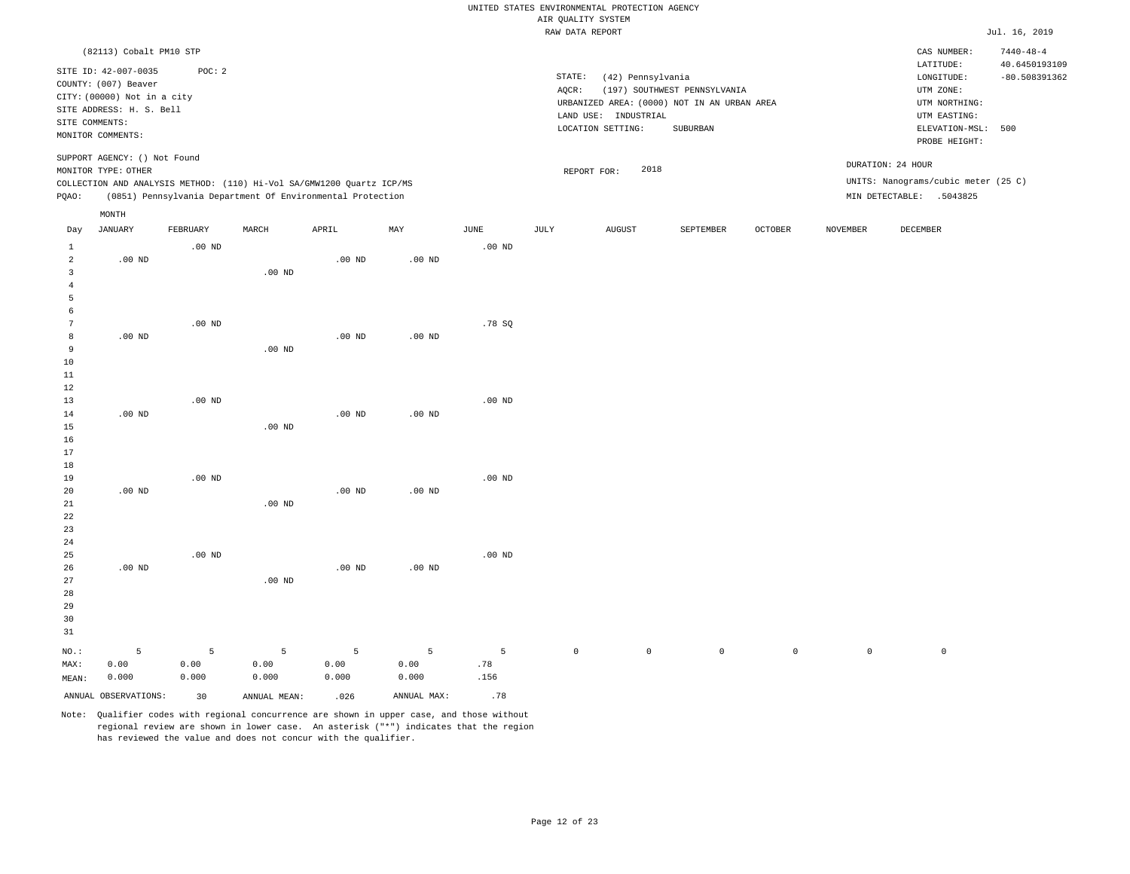| AIR QUALITY SYSTEM<br>Jul. 16, 2019<br>RAW DATA REPORT<br>(82113) Cobalt PM10 STP<br>CAS NUMBER:<br>$7440 - 48 - 4$<br>LATITUDE:<br>40.6450193109<br>SITE ID: 42-007-0035<br>POC: 2<br>STATE:<br>(42) Pennsylvania<br>LONGITUDE:<br>$-80.508391362$<br>COUNTY: (007) Beaver<br>AQCR:<br>(197) SOUTHWEST PENNSYLVANIA<br>UTM ZONE:<br>CITY: (00000) Not in a city<br>URBANIZED AREA: (0000) NOT IN AN URBAN AREA<br>UTM NORTHING:<br>SITE ADDRESS: H. S. Bell<br>LAND USE: INDUSTRIAL<br>UTM EASTING:<br>SITE COMMENTS:<br>LOCATION SETTING:<br>SUBURBAN<br>ELEVATION-MSL:<br>500<br>MONITOR COMMENTS:<br>PROBE HEIGHT:<br>SUPPORT AGENCY: () Not Found<br>DURATION: 24 HOUR<br>2018<br>MONITOR TYPE: OTHER<br>REPORT FOR:<br>UNITS: Nanograms/cubic meter (25 C)<br>COLLECTION AND ANALYSIS METHOD: (110) Hi-Vol SA/GMW1200 Quartz ICP/MS<br>PQAO:<br>(0851) Pennsylvania Department Of Environmental Protection<br>MIN DETECTABLE: .5043825<br>MONTH<br><b>JANUARY</b><br>FEBRUARY<br>MARCH<br>APRIL<br>MAY<br><b>JUNE</b><br>JULY<br><b>AUGUST</b><br>SEPTEMBER<br><b>OCTOBER</b><br><b>NOVEMBER</b><br><b>DECEMBER</b><br>Day<br>$1\,$<br>$.00$ ND<br>.00 <sub>ND</sub><br>$\overline{a}$<br>$.00$ ND<br>$.00$ ND<br>.00 <sub>ND</sub><br>$\overline{3}$<br>$.00$ ND<br>$\overline{4}$<br>5<br>6<br>7<br>$.00$ ND<br>.78S<br>8<br>$.00$ ND<br>$.00$ ND<br>$.00$ ND<br>$\overline{9}$<br>$.00$ ND<br>10<br>$11\,$<br>12<br>13<br>$.00$ ND<br>.00 <sub>ND</sub><br>.00 <sub>ND</sub><br>14<br>$.00$ ND<br>.00 <sub>ND</sub><br>15<br>$.00$ ND<br>16<br>17<br>18<br>19<br>$.00$ ND<br>$.00$ ND<br>20<br>.00 <sub>ND</sub><br>.00 <sub>ND</sub><br>$.00$ ND<br>21<br>.00 <sub>ND</sub><br>22<br>23<br>24<br>25<br>$.00$ ND<br>.00 <sub>ND</sub><br>26<br>$.00$ ND<br>$.00$ ND<br>$.00$ ND<br>27<br>$.00$ ND<br>28<br>29<br>30<br>31<br>$\overline{5}$<br>5<br>5<br>$\overline{5}$<br>$\overline{5}$<br>5<br>$\mathbb O$<br>$\mathbb O$<br>$\mathbb O$<br>$\mathsf{O}\xspace$<br>NO.:<br>$\mathsf{O}\xspace$<br>$\mathsf{O}\xspace$ |      |      |      |      |      |      |     | UNITED STATES ENVIRONMENTAL PROTECTION AGENCY |  |  |  |
|-----------------------------------------------------------------------------------------------------------------------------------------------------------------------------------------------------------------------------------------------------------------------------------------------------------------------------------------------------------------------------------------------------------------------------------------------------------------------------------------------------------------------------------------------------------------------------------------------------------------------------------------------------------------------------------------------------------------------------------------------------------------------------------------------------------------------------------------------------------------------------------------------------------------------------------------------------------------------------------------------------------------------------------------------------------------------------------------------------------------------------------------------------------------------------------------------------------------------------------------------------------------------------------------------------------------------------------------------------------------------------------------------------------------------------------------------------------------------------------------------------------------------------------------------------------------------------------------------------------------------------------------------------------------------------------------------------------------------------------------------------------------------------------------------------------------------------------------------------------------------------------------------------------------------------------------------------------------------------------------------------------------------------------|------|------|------|------|------|------|-----|-----------------------------------------------|--|--|--|
|                                                                                                                                                                                                                                                                                                                                                                                                                                                                                                                                                                                                                                                                                                                                                                                                                                                                                                                                                                                                                                                                                                                                                                                                                                                                                                                                                                                                                                                                                                                                                                                                                                                                                                                                                                                                                                                                                                                                                                                                                                   |      |      |      |      |      |      |     |                                               |  |  |  |
|                                                                                                                                                                                                                                                                                                                                                                                                                                                                                                                                                                                                                                                                                                                                                                                                                                                                                                                                                                                                                                                                                                                                                                                                                                                                                                                                                                                                                                                                                                                                                                                                                                                                                                                                                                                                                                                                                                                                                                                                                                   |      |      |      |      |      |      |     |                                               |  |  |  |
|                                                                                                                                                                                                                                                                                                                                                                                                                                                                                                                                                                                                                                                                                                                                                                                                                                                                                                                                                                                                                                                                                                                                                                                                                                                                                                                                                                                                                                                                                                                                                                                                                                                                                                                                                                                                                                                                                                                                                                                                                                   |      |      |      |      |      |      |     |                                               |  |  |  |
|                                                                                                                                                                                                                                                                                                                                                                                                                                                                                                                                                                                                                                                                                                                                                                                                                                                                                                                                                                                                                                                                                                                                                                                                                                                                                                                                                                                                                                                                                                                                                                                                                                                                                                                                                                                                                                                                                                                                                                                                                                   |      |      |      |      |      |      |     |                                               |  |  |  |
|                                                                                                                                                                                                                                                                                                                                                                                                                                                                                                                                                                                                                                                                                                                                                                                                                                                                                                                                                                                                                                                                                                                                                                                                                                                                                                                                                                                                                                                                                                                                                                                                                                                                                                                                                                                                                                                                                                                                                                                                                                   |      |      |      |      |      |      |     |                                               |  |  |  |
|                                                                                                                                                                                                                                                                                                                                                                                                                                                                                                                                                                                                                                                                                                                                                                                                                                                                                                                                                                                                                                                                                                                                                                                                                                                                                                                                                                                                                                                                                                                                                                                                                                                                                                                                                                                                                                                                                                                                                                                                                                   |      |      |      |      |      |      |     |                                               |  |  |  |
|                                                                                                                                                                                                                                                                                                                                                                                                                                                                                                                                                                                                                                                                                                                                                                                                                                                                                                                                                                                                                                                                                                                                                                                                                                                                                                                                                                                                                                                                                                                                                                                                                                                                                                                                                                                                                                                                                                                                                                                                                                   |      |      |      |      |      |      |     |                                               |  |  |  |
|                                                                                                                                                                                                                                                                                                                                                                                                                                                                                                                                                                                                                                                                                                                                                                                                                                                                                                                                                                                                                                                                                                                                                                                                                                                                                                                                                                                                                                                                                                                                                                                                                                                                                                                                                                                                                                                                                                                                                                                                                                   |      |      |      |      |      |      |     |                                               |  |  |  |
|                                                                                                                                                                                                                                                                                                                                                                                                                                                                                                                                                                                                                                                                                                                                                                                                                                                                                                                                                                                                                                                                                                                                                                                                                                                                                                                                                                                                                                                                                                                                                                                                                                                                                                                                                                                                                                                                                                                                                                                                                                   |      |      |      |      |      |      |     |                                               |  |  |  |
|                                                                                                                                                                                                                                                                                                                                                                                                                                                                                                                                                                                                                                                                                                                                                                                                                                                                                                                                                                                                                                                                                                                                                                                                                                                                                                                                                                                                                                                                                                                                                                                                                                                                                                                                                                                                                                                                                                                                                                                                                                   |      |      |      |      |      |      |     |                                               |  |  |  |
|                                                                                                                                                                                                                                                                                                                                                                                                                                                                                                                                                                                                                                                                                                                                                                                                                                                                                                                                                                                                                                                                                                                                                                                                                                                                                                                                                                                                                                                                                                                                                                                                                                                                                                                                                                                                                                                                                                                                                                                                                                   |      |      |      |      |      |      |     |                                               |  |  |  |
|                                                                                                                                                                                                                                                                                                                                                                                                                                                                                                                                                                                                                                                                                                                                                                                                                                                                                                                                                                                                                                                                                                                                                                                                                                                                                                                                                                                                                                                                                                                                                                                                                                                                                                                                                                                                                                                                                                                                                                                                                                   |      |      |      |      |      |      |     |                                               |  |  |  |
|                                                                                                                                                                                                                                                                                                                                                                                                                                                                                                                                                                                                                                                                                                                                                                                                                                                                                                                                                                                                                                                                                                                                                                                                                                                                                                                                                                                                                                                                                                                                                                                                                                                                                                                                                                                                                                                                                                                                                                                                                                   |      |      |      |      |      |      |     |                                               |  |  |  |
|                                                                                                                                                                                                                                                                                                                                                                                                                                                                                                                                                                                                                                                                                                                                                                                                                                                                                                                                                                                                                                                                                                                                                                                                                                                                                                                                                                                                                                                                                                                                                                                                                                                                                                                                                                                                                                                                                                                                                                                                                                   |      |      |      |      |      |      |     |                                               |  |  |  |
|                                                                                                                                                                                                                                                                                                                                                                                                                                                                                                                                                                                                                                                                                                                                                                                                                                                                                                                                                                                                                                                                                                                                                                                                                                                                                                                                                                                                                                                                                                                                                                                                                                                                                                                                                                                                                                                                                                                                                                                                                                   |      |      |      |      |      |      |     |                                               |  |  |  |
|                                                                                                                                                                                                                                                                                                                                                                                                                                                                                                                                                                                                                                                                                                                                                                                                                                                                                                                                                                                                                                                                                                                                                                                                                                                                                                                                                                                                                                                                                                                                                                                                                                                                                                                                                                                                                                                                                                                                                                                                                                   |      |      |      |      |      |      |     |                                               |  |  |  |
|                                                                                                                                                                                                                                                                                                                                                                                                                                                                                                                                                                                                                                                                                                                                                                                                                                                                                                                                                                                                                                                                                                                                                                                                                                                                                                                                                                                                                                                                                                                                                                                                                                                                                                                                                                                                                                                                                                                                                                                                                                   |      |      |      |      |      |      |     |                                               |  |  |  |
|                                                                                                                                                                                                                                                                                                                                                                                                                                                                                                                                                                                                                                                                                                                                                                                                                                                                                                                                                                                                                                                                                                                                                                                                                                                                                                                                                                                                                                                                                                                                                                                                                                                                                                                                                                                                                                                                                                                                                                                                                                   |      |      |      |      |      |      |     |                                               |  |  |  |
|                                                                                                                                                                                                                                                                                                                                                                                                                                                                                                                                                                                                                                                                                                                                                                                                                                                                                                                                                                                                                                                                                                                                                                                                                                                                                                                                                                                                                                                                                                                                                                                                                                                                                                                                                                                                                                                                                                                                                                                                                                   |      |      |      |      |      |      |     |                                               |  |  |  |
|                                                                                                                                                                                                                                                                                                                                                                                                                                                                                                                                                                                                                                                                                                                                                                                                                                                                                                                                                                                                                                                                                                                                                                                                                                                                                                                                                                                                                                                                                                                                                                                                                                                                                                                                                                                                                                                                                                                                                                                                                                   |      |      |      |      |      |      |     |                                               |  |  |  |
|                                                                                                                                                                                                                                                                                                                                                                                                                                                                                                                                                                                                                                                                                                                                                                                                                                                                                                                                                                                                                                                                                                                                                                                                                                                                                                                                                                                                                                                                                                                                                                                                                                                                                                                                                                                                                                                                                                                                                                                                                                   |      |      |      |      |      |      |     |                                               |  |  |  |
|                                                                                                                                                                                                                                                                                                                                                                                                                                                                                                                                                                                                                                                                                                                                                                                                                                                                                                                                                                                                                                                                                                                                                                                                                                                                                                                                                                                                                                                                                                                                                                                                                                                                                                                                                                                                                                                                                                                                                                                                                                   |      |      |      |      |      |      |     |                                               |  |  |  |
|                                                                                                                                                                                                                                                                                                                                                                                                                                                                                                                                                                                                                                                                                                                                                                                                                                                                                                                                                                                                                                                                                                                                                                                                                                                                                                                                                                                                                                                                                                                                                                                                                                                                                                                                                                                                                                                                                                                                                                                                                                   |      |      |      |      |      |      |     |                                               |  |  |  |
|                                                                                                                                                                                                                                                                                                                                                                                                                                                                                                                                                                                                                                                                                                                                                                                                                                                                                                                                                                                                                                                                                                                                                                                                                                                                                                                                                                                                                                                                                                                                                                                                                                                                                                                                                                                                                                                                                                                                                                                                                                   |      |      |      |      |      |      |     |                                               |  |  |  |
|                                                                                                                                                                                                                                                                                                                                                                                                                                                                                                                                                                                                                                                                                                                                                                                                                                                                                                                                                                                                                                                                                                                                                                                                                                                                                                                                                                                                                                                                                                                                                                                                                                                                                                                                                                                                                                                                                                                                                                                                                                   |      |      |      |      |      |      |     |                                               |  |  |  |
|                                                                                                                                                                                                                                                                                                                                                                                                                                                                                                                                                                                                                                                                                                                                                                                                                                                                                                                                                                                                                                                                                                                                                                                                                                                                                                                                                                                                                                                                                                                                                                                                                                                                                                                                                                                                                                                                                                                                                                                                                                   |      |      |      |      |      |      |     |                                               |  |  |  |
|                                                                                                                                                                                                                                                                                                                                                                                                                                                                                                                                                                                                                                                                                                                                                                                                                                                                                                                                                                                                                                                                                                                                                                                                                                                                                                                                                                                                                                                                                                                                                                                                                                                                                                                                                                                                                                                                                                                                                                                                                                   |      |      |      |      |      |      |     |                                               |  |  |  |
|                                                                                                                                                                                                                                                                                                                                                                                                                                                                                                                                                                                                                                                                                                                                                                                                                                                                                                                                                                                                                                                                                                                                                                                                                                                                                                                                                                                                                                                                                                                                                                                                                                                                                                                                                                                                                                                                                                                                                                                                                                   |      |      |      |      |      |      |     |                                               |  |  |  |
|                                                                                                                                                                                                                                                                                                                                                                                                                                                                                                                                                                                                                                                                                                                                                                                                                                                                                                                                                                                                                                                                                                                                                                                                                                                                                                                                                                                                                                                                                                                                                                                                                                                                                                                                                                                                                                                                                                                                                                                                                                   |      |      |      |      |      |      |     |                                               |  |  |  |
|                                                                                                                                                                                                                                                                                                                                                                                                                                                                                                                                                                                                                                                                                                                                                                                                                                                                                                                                                                                                                                                                                                                                                                                                                                                                                                                                                                                                                                                                                                                                                                                                                                                                                                                                                                                                                                                                                                                                                                                                                                   |      |      |      |      |      |      |     |                                               |  |  |  |
|                                                                                                                                                                                                                                                                                                                                                                                                                                                                                                                                                                                                                                                                                                                                                                                                                                                                                                                                                                                                                                                                                                                                                                                                                                                                                                                                                                                                                                                                                                                                                                                                                                                                                                                                                                                                                                                                                                                                                                                                                                   |      |      |      |      |      |      |     |                                               |  |  |  |
|                                                                                                                                                                                                                                                                                                                                                                                                                                                                                                                                                                                                                                                                                                                                                                                                                                                                                                                                                                                                                                                                                                                                                                                                                                                                                                                                                                                                                                                                                                                                                                                                                                                                                                                                                                                                                                                                                                                                                                                                                                   |      |      |      |      |      |      |     |                                               |  |  |  |
|                                                                                                                                                                                                                                                                                                                                                                                                                                                                                                                                                                                                                                                                                                                                                                                                                                                                                                                                                                                                                                                                                                                                                                                                                                                                                                                                                                                                                                                                                                                                                                                                                                                                                                                                                                                                                                                                                                                                                                                                                                   |      |      |      |      |      |      |     |                                               |  |  |  |
|                                                                                                                                                                                                                                                                                                                                                                                                                                                                                                                                                                                                                                                                                                                                                                                                                                                                                                                                                                                                                                                                                                                                                                                                                                                                                                                                                                                                                                                                                                                                                                                                                                                                                                                                                                                                                                                                                                                                                                                                                                   |      |      |      |      |      |      |     |                                               |  |  |  |
|                                                                                                                                                                                                                                                                                                                                                                                                                                                                                                                                                                                                                                                                                                                                                                                                                                                                                                                                                                                                                                                                                                                                                                                                                                                                                                                                                                                                                                                                                                                                                                                                                                                                                                                                                                                                                                                                                                                                                                                                                                   |      |      |      |      |      |      |     |                                               |  |  |  |
|                                                                                                                                                                                                                                                                                                                                                                                                                                                                                                                                                                                                                                                                                                                                                                                                                                                                                                                                                                                                                                                                                                                                                                                                                                                                                                                                                                                                                                                                                                                                                                                                                                                                                                                                                                                                                                                                                                                                                                                                                                   |      |      |      |      |      |      |     |                                               |  |  |  |
|                                                                                                                                                                                                                                                                                                                                                                                                                                                                                                                                                                                                                                                                                                                                                                                                                                                                                                                                                                                                                                                                                                                                                                                                                                                                                                                                                                                                                                                                                                                                                                                                                                                                                                                                                                                                                                                                                                                                                                                                                                   |      |      |      |      |      |      |     |                                               |  |  |  |
|                                                                                                                                                                                                                                                                                                                                                                                                                                                                                                                                                                                                                                                                                                                                                                                                                                                                                                                                                                                                                                                                                                                                                                                                                                                                                                                                                                                                                                                                                                                                                                                                                                                                                                                                                                                                                                                                                                                                                                                                                                   |      |      |      |      |      |      |     |                                               |  |  |  |
|                                                                                                                                                                                                                                                                                                                                                                                                                                                                                                                                                                                                                                                                                                                                                                                                                                                                                                                                                                                                                                                                                                                                                                                                                                                                                                                                                                                                                                                                                                                                                                                                                                                                                                                                                                                                                                                                                                                                                                                                                                   |      |      |      |      |      |      |     |                                               |  |  |  |
|                                                                                                                                                                                                                                                                                                                                                                                                                                                                                                                                                                                                                                                                                                                                                                                                                                                                                                                                                                                                                                                                                                                                                                                                                                                                                                                                                                                                                                                                                                                                                                                                                                                                                                                                                                                                                                                                                                                                                                                                                                   |      |      |      |      |      |      |     |                                               |  |  |  |
|                                                                                                                                                                                                                                                                                                                                                                                                                                                                                                                                                                                                                                                                                                                                                                                                                                                                                                                                                                                                                                                                                                                                                                                                                                                                                                                                                                                                                                                                                                                                                                                                                                                                                                                                                                                                                                                                                                                                                                                                                                   |      |      |      |      |      |      |     |                                               |  |  |  |
|                                                                                                                                                                                                                                                                                                                                                                                                                                                                                                                                                                                                                                                                                                                                                                                                                                                                                                                                                                                                                                                                                                                                                                                                                                                                                                                                                                                                                                                                                                                                                                                                                                                                                                                                                                                                                                                                                                                                                                                                                                   |      |      |      |      |      |      |     |                                               |  |  |  |
|                                                                                                                                                                                                                                                                                                                                                                                                                                                                                                                                                                                                                                                                                                                                                                                                                                                                                                                                                                                                                                                                                                                                                                                                                                                                                                                                                                                                                                                                                                                                                                                                                                                                                                                                                                                                                                                                                                                                                                                                                                   |      |      |      |      |      |      |     |                                               |  |  |  |
|                                                                                                                                                                                                                                                                                                                                                                                                                                                                                                                                                                                                                                                                                                                                                                                                                                                                                                                                                                                                                                                                                                                                                                                                                                                                                                                                                                                                                                                                                                                                                                                                                                                                                                                                                                                                                                                                                                                                                                                                                                   |      |      |      |      |      |      |     |                                               |  |  |  |
|                                                                                                                                                                                                                                                                                                                                                                                                                                                                                                                                                                                                                                                                                                                                                                                                                                                                                                                                                                                                                                                                                                                                                                                                                                                                                                                                                                                                                                                                                                                                                                                                                                                                                                                                                                                                                                                                                                                                                                                                                                   |      |      |      |      |      |      |     |                                               |  |  |  |
|                                                                                                                                                                                                                                                                                                                                                                                                                                                                                                                                                                                                                                                                                                                                                                                                                                                                                                                                                                                                                                                                                                                                                                                                                                                                                                                                                                                                                                                                                                                                                                                                                                                                                                                                                                                                                                                                                                                                                                                                                                   |      |      |      |      |      |      |     |                                               |  |  |  |
|                                                                                                                                                                                                                                                                                                                                                                                                                                                                                                                                                                                                                                                                                                                                                                                                                                                                                                                                                                                                                                                                                                                                                                                                                                                                                                                                                                                                                                                                                                                                                                                                                                                                                                                                                                                                                                                                                                                                                                                                                                   | MAX: | 0.00 | 0.00 | 0.00 | 0.00 | 0.00 | .78 |                                               |  |  |  |
| 0.000<br>0.000<br>0.000<br>0.000<br>.156<br>0.000<br>MEAN:                                                                                                                                                                                                                                                                                                                                                                                                                                                                                                                                                                                                                                                                                                                                                                                                                                                                                                                                                                                                                                                                                                                                                                                                                                                                                                                                                                                                                                                                                                                                                                                                                                                                                                                                                                                                                                                                                                                                                                        |      |      |      |      |      |      |     |                                               |  |  |  |
| .78<br>ANNUAL MAX:<br>ANNUAL OBSERVATIONS:<br>30<br>ANNUAL MEAN:<br>.026                                                                                                                                                                                                                                                                                                                                                                                                                                                                                                                                                                                                                                                                                                                                                                                                                                                                                                                                                                                                                                                                                                                                                                                                                                                                                                                                                                                                                                                                                                                                                                                                                                                                                                                                                                                                                                                                                                                                                          |      |      |      |      |      |      |     |                                               |  |  |  |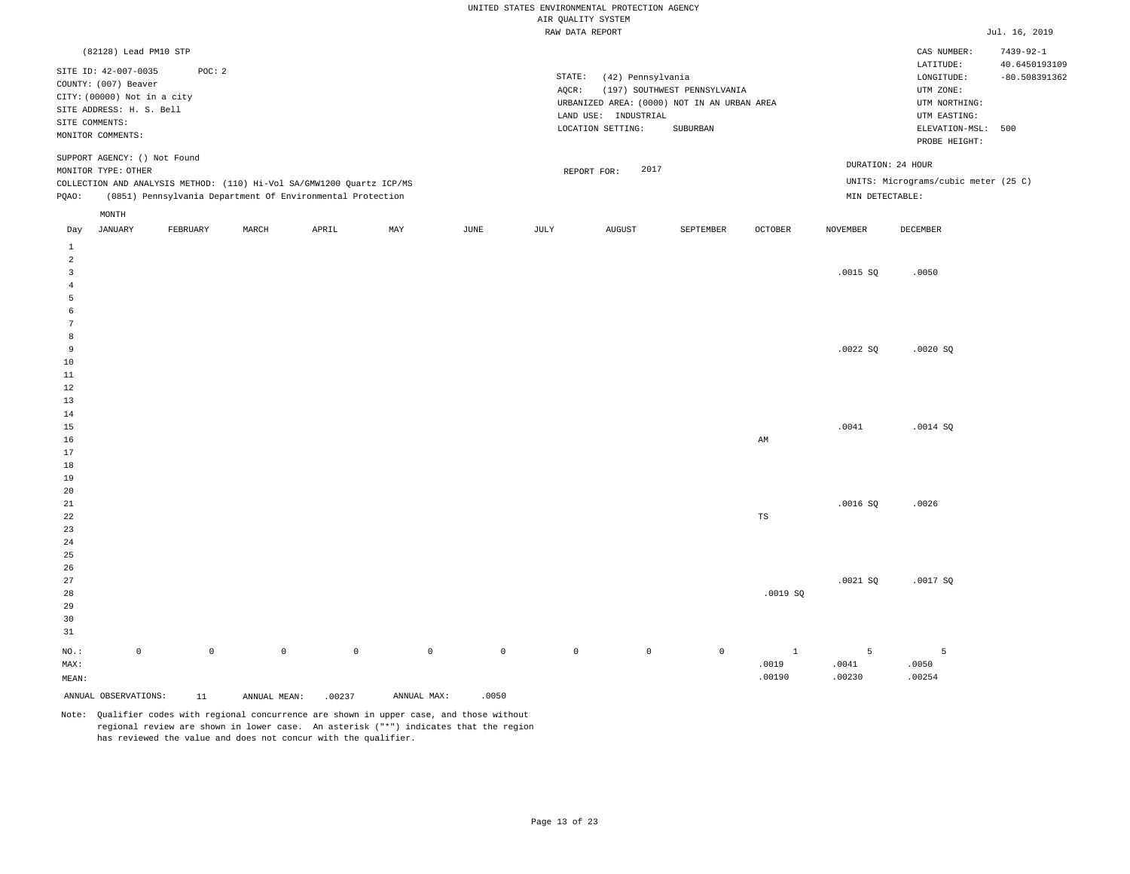|                 |                                                     |             |              |                                                                       |             |                     |                                       | UNITED STATES ENVIRONMENTAL PROTECTION AGENCY |                                             |                       |                 |                                      |                 |
|-----------------|-----------------------------------------------------|-------------|--------------|-----------------------------------------------------------------------|-------------|---------------------|---------------------------------------|-----------------------------------------------|---------------------------------------------|-----------------------|-----------------|--------------------------------------|-----------------|
|                 |                                                     |             |              |                                                                       |             |                     | AIR QUALITY SYSTEM<br>RAW DATA REPORT |                                               |                                             |                       |                 |                                      | Jul. 16, 2019   |
|                 | (82128) Lead PM10 STP                               |             |              |                                                                       |             |                     |                                       |                                               |                                             |                       |                 | CAS NUMBER:                          | $7439 - 92 - 1$ |
|                 |                                                     |             |              |                                                                       |             |                     |                                       |                                               |                                             |                       |                 | $\mathtt{LATITUDE}$                  | 40.6450193109   |
|                 | SITE ID: 42-007-0035                                | POC: 2      |              |                                                                       |             |                     | STATE:                                | (42) Pennsylvania                             |                                             |                       |                 | LONGITUDE:                           | $-80.508391362$ |
|                 | COUNTY: (007) Beaver<br>CITY: (00000) Not in a city |             |              |                                                                       |             |                     | AQCR:                                 |                                               | (197) SOUTHWEST PENNSYLVANIA                |                       |                 | UTM ZONE:                            |                 |
|                 | SITE ADDRESS: H. S. Bell                            |             |              |                                                                       |             |                     |                                       |                                               | URBANIZED AREA: (0000) NOT IN AN URBAN AREA |                       |                 | UTM NORTHING:                        |                 |
|                 | SITE COMMENTS:                                      |             |              |                                                                       |             |                     |                                       | LAND USE: INDUSTRIAL                          |                                             |                       |                 | UTM EASTING:                         |                 |
|                 | MONITOR COMMENTS:                                   |             |              |                                                                       |             |                     |                                       | LOCATION SETTING:                             | SUBURBAN                                    |                       |                 | ELEVATION-MSL:<br>PROBE HEIGHT:      | 500             |
|                 | SUPPORT AGENCY: () Not Found                        |             |              |                                                                       |             |                     |                                       |                                               |                                             |                       |                 | DURATION: 24 HOUR                    |                 |
|                 | MONITOR TYPE: OTHER                                 |             |              |                                                                       |             |                     |                                       | 2017<br>REPORT FOR:                           |                                             |                       |                 |                                      |                 |
|                 |                                                     |             |              | COLLECTION AND ANALYSIS METHOD: (110) Hi-Vol SA/GMW1200 Quartz ICP/MS |             |                     |                                       |                                               |                                             |                       |                 | UNITS: Micrograms/cubic meter (25 C) |                 |
| PQAO:           |                                                     |             |              | (0851) Pennsylvania Department Of Environmental Protection            |             |                     |                                       |                                               |                                             |                       | MIN DETECTABLE: |                                      |                 |
|                 | MONTH<br>JANUARY                                    | FEBRUARY    | MARCH        | APRIL                                                                 | MAY         | JUNE                | JULY                                  | <b>AUGUST</b>                                 | SEPTEMBER                                   | <b>OCTOBER</b>        | <b>NOVEMBER</b> | DECEMBER                             |                 |
| Day<br>$\,$ 1   |                                                     |             |              |                                                                       |             |                     |                                       |                                               |                                             |                       |                 |                                      |                 |
| $\overline{a}$  |                                                     |             |              |                                                                       |             |                     |                                       |                                               |                                             |                       |                 |                                      |                 |
| $\overline{3}$  |                                                     |             |              |                                                                       |             |                     |                                       |                                               |                                             |                       | .0015 SQ        | .0050                                |                 |
| $\overline{4}$  |                                                     |             |              |                                                                       |             |                     |                                       |                                               |                                             |                       |                 |                                      |                 |
| 5               |                                                     |             |              |                                                                       |             |                     |                                       |                                               |                                             |                       |                 |                                      |                 |
| 6<br>7          |                                                     |             |              |                                                                       |             |                     |                                       |                                               |                                             |                       |                 |                                      |                 |
| 8               |                                                     |             |              |                                                                       |             |                     |                                       |                                               |                                             |                       |                 |                                      |                 |
| 9               |                                                     |             |              |                                                                       |             |                     |                                       |                                               |                                             |                       | .0022SQ         | .0020SQ                              |                 |
| $10$            |                                                     |             |              |                                                                       |             |                     |                                       |                                               |                                             |                       |                 |                                      |                 |
| $11\,$          |                                                     |             |              |                                                                       |             |                     |                                       |                                               |                                             |                       |                 |                                      |                 |
| $1\,2$          |                                                     |             |              |                                                                       |             |                     |                                       |                                               |                                             |                       |                 |                                      |                 |
| 13              |                                                     |             |              |                                                                       |             |                     |                                       |                                               |                                             |                       |                 |                                      |                 |
| 14<br>15        |                                                     |             |              |                                                                       |             |                     |                                       |                                               |                                             |                       | .0041           | .0014 SQ                             |                 |
| 16              |                                                     |             |              |                                                                       |             |                     |                                       |                                               |                                             | AM                    |                 |                                      |                 |
| 17              |                                                     |             |              |                                                                       |             |                     |                                       |                                               |                                             |                       |                 |                                      |                 |
| 18              |                                                     |             |              |                                                                       |             |                     |                                       |                                               |                                             |                       |                 |                                      |                 |
| 19              |                                                     |             |              |                                                                       |             |                     |                                       |                                               |                                             |                       |                 |                                      |                 |
| 20              |                                                     |             |              |                                                                       |             |                     |                                       |                                               |                                             |                       |                 |                                      |                 |
| 21<br>22        |                                                     |             |              |                                                                       |             |                     |                                       |                                               |                                             | $_{\rm TS}$           | .0016SQ         | .0026                                |                 |
| 23              |                                                     |             |              |                                                                       |             |                     |                                       |                                               |                                             |                       |                 |                                      |                 |
| 24              |                                                     |             |              |                                                                       |             |                     |                                       |                                               |                                             |                       |                 |                                      |                 |
| 25              |                                                     |             |              |                                                                       |             |                     |                                       |                                               |                                             |                       |                 |                                      |                 |
| 26              |                                                     |             |              |                                                                       |             |                     |                                       |                                               |                                             |                       |                 |                                      |                 |
| 27              |                                                     |             |              |                                                                       |             |                     |                                       |                                               |                                             |                       | .0021SQ         | .0017SQ                              |                 |
| 28              |                                                     |             |              |                                                                       |             |                     |                                       |                                               |                                             | .0019SQ               |                 |                                      |                 |
| 29<br>30        |                                                     |             |              |                                                                       |             |                     |                                       |                                               |                                             |                       |                 |                                      |                 |
| 31              |                                                     |             |              |                                                                       |             |                     |                                       |                                               |                                             |                       |                 |                                      |                 |
|                 |                                                     |             | $\mathbb O$  |                                                                       |             |                     |                                       |                                               | $\mathbb O$                                 |                       |                 |                                      |                 |
| $NO.$ :<br>MAX: | $\mathbb O$                                         | $\mathsf 0$ |              | $\mathbb O$                                                           | $\mathbb O$ | $\mathsf{O}\xspace$ | $\mathbb O$                           | $\mathbb O$                                   |                                             | $\mathbf{1}$<br>.0019 | 5<br>.0041      | 5<br>.0050                           |                 |
| MEAN:           |                                                     |             |              |                                                                       |             |                     |                                       |                                               |                                             | .00190                | .00230          | .00254                               |                 |
|                 | ANNUAL OBSERVATIONS:                                | 11          | ANNUAL MEAN: | .00237                                                                | ANNUAL MAX: | .0050               |                                       |                                               |                                             |                       |                 |                                      |                 |
|                 |                                                     |             |              |                                                                       |             |                     |                                       |                                               |                                             |                       |                 |                                      |                 |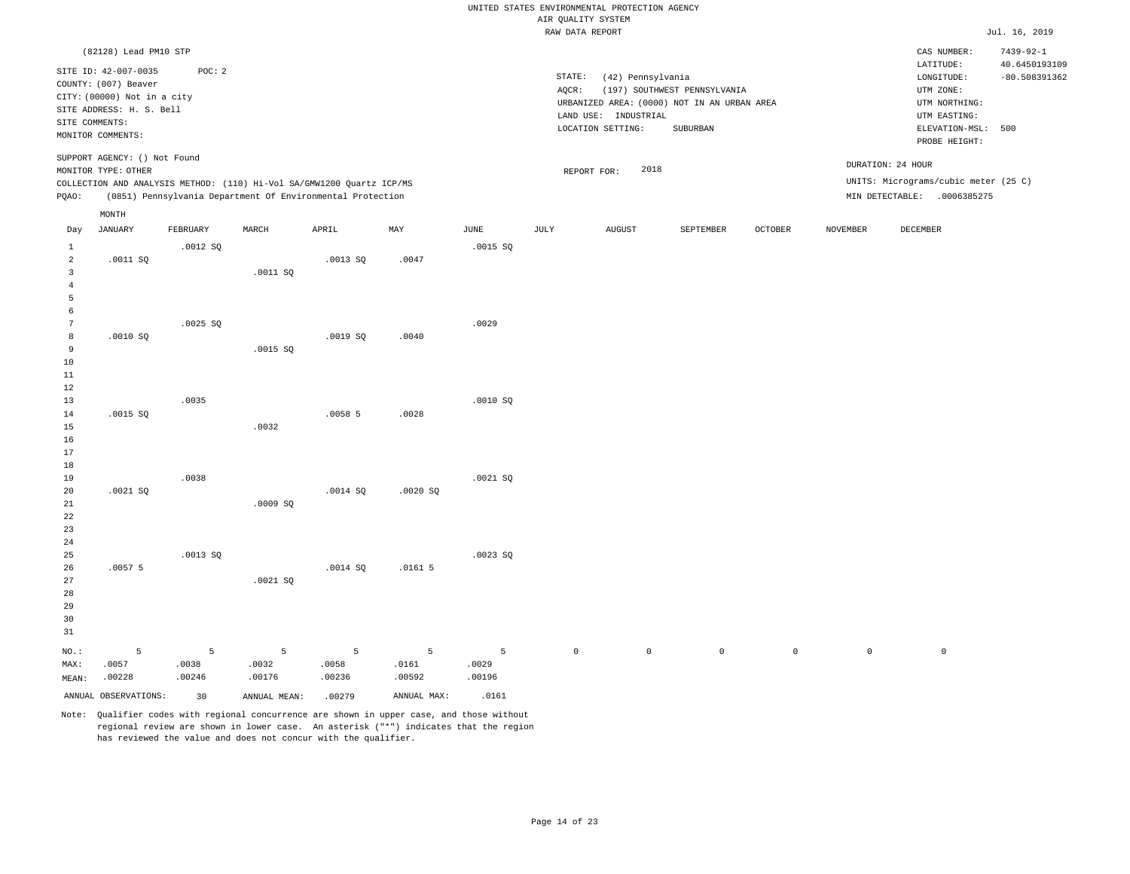|                                                       |                                                                                                                                  |                      |                      |                                                                                                                                     |                      |                      | AIR QUALITY SYSTEM | UNITED STATES ENVIRONMENTAL PROTECTION AGENCY |                                                                             |                |                   |                                                                                      |                                                     |
|-------------------------------------------------------|----------------------------------------------------------------------------------------------------------------------------------|----------------------|----------------------|-------------------------------------------------------------------------------------------------------------------------------------|----------------------|----------------------|--------------------|-----------------------------------------------|-----------------------------------------------------------------------------|----------------|-------------------|--------------------------------------------------------------------------------------|-----------------------------------------------------|
|                                                       |                                                                                                                                  |                      |                      |                                                                                                                                     |                      |                      | RAW DATA REPORT    |                                               |                                                                             |                |                   |                                                                                      | Jul. 16, 2019                                       |
|                                                       | (82128) Lead PM10 STP<br>SITE ID: 42-007-0035<br>COUNTY: (007) Beaver<br>CITY: (00000) Not in a city<br>SITE ADDRESS: H. S. Bell | POC: 2               |                      |                                                                                                                                     |                      |                      | STATE:<br>AQCR:    | (42) Pennsylvania<br>LAND USE: INDUSTRIAL     | (197) SOUTHWEST PENNSYLVANIA<br>URBANIZED AREA: (0000) NOT IN AN URBAN AREA |                |                   | CAS NUMBER:<br>LATITUDE:<br>LONGITUDE:<br>UTM ZONE:<br>UTM NORTHING:<br>UTM EASTING: | $7439 - 92 - 1$<br>40.6450193109<br>$-80.508391362$ |
|                                                       | SITE COMMENTS:<br>MONITOR COMMENTS:                                                                                              |                      |                      |                                                                                                                                     |                      |                      |                    | LOCATION SETTING:                             | SUBURBAN                                                                    |                |                   | ELEVATION-MSL:<br>PROBE HEIGHT:                                                      | 500                                                 |
| PQAO:                                                 | SUPPORT AGENCY: () Not Found<br>MONITOR TYPE: OTHER                                                                              |                      |                      | COLLECTION AND ANALYSIS METHOD: (110) Hi-Vol SA/GMW1200 Quartz ICP/MS<br>(0851) Pennsylvania Department Of Environmental Protection |                      |                      |                    | 2018<br>REPORT FOR:                           |                                                                             |                | DURATION: 24 HOUR | UNITS: Micrograms/cubic meter (25 C)<br>MIN DETECTABLE: .0006385275                  |                                                     |
|                                                       | MONTH                                                                                                                            | FEBRUARY             |                      | APRIL                                                                                                                               | MAY                  | JUNE                 |                    |                                               |                                                                             |                | <b>NOVEMBER</b>   | <b>DECEMBER</b>                                                                      |                                                     |
| Day                                                   | <b>JANUARY</b>                                                                                                                   |                      | MARCH                |                                                                                                                                     |                      |                      | JULY               | <b>AUGUST</b>                                 | SEPTEMBER                                                                   | <b>OCTOBER</b> |                   |                                                                                      |                                                     |
| $\mathbf{1}$<br>$\overline{a}$<br>3<br>$\overline{4}$ | .0011 SQ                                                                                                                         | .0012S               | .0011 SO             | .0013S                                                                                                                              | .0047                | .0015 S              |                    |                                               |                                                                             |                |                   |                                                                                      |                                                     |
| 5<br>6<br>$7\phantom{.0}$                             |                                                                                                                                  | .0025 SQ             |                      |                                                                                                                                     |                      | .0029                |                    |                                               |                                                                             |                |                   |                                                                                      |                                                     |
| 8<br>9<br>10<br>11<br>12                              | .0010S                                                                                                                           |                      | .0015 SQ             | .0019 SO                                                                                                                            | .0040                |                      |                    |                                               |                                                                             |                |                   |                                                                                      |                                                     |
| 13<br>14<br>15<br>16                                  | .0015 SQ                                                                                                                         | .0035                | .0032                | .00585                                                                                                                              | .0028                | .0010SQ              |                    |                                               |                                                                             |                |                   |                                                                                      |                                                     |
| 17<br>18<br>19<br>20<br>21                            | .0021S                                                                                                                           | .0038                | .0009SQ              | .0014S                                                                                                                              | .0020S               | .0021 SQ             |                    |                                               |                                                                             |                |                   |                                                                                      |                                                     |
| 22<br>23<br>$2\,4$<br>25                              |                                                                                                                                  | .0013S               |                      |                                                                                                                                     |                      | .0023S               |                    |                                               |                                                                             |                |                   |                                                                                      |                                                     |
| 26<br>27<br>28<br>29<br>30<br>31                      | .00575                                                                                                                           |                      | .0021SQ              | .0014 SQ                                                                                                                            | .01615               |                      |                    |                                               |                                                                             |                |                   |                                                                                      |                                                     |
| $NO.$ :<br>MAX:<br>MEAN:                              | 5<br>.0057<br>.00228                                                                                                             | 5<br>.0038<br>.00246 | 5<br>.0032<br>.00176 | 5<br>.0058<br>.00236                                                                                                                | 5<br>.0161<br>.00592 | 5<br>.0029<br>.00196 | $\mathbb O$        | $\mathbb O$                                   | $\,0\,$                                                                     | $\mathbb O$    | $\mathbb O$       | $\mathsf{O}\xspace$                                                                  |                                                     |
|                                                       | ANNUAL OBSERVATIONS:                                                                                                             | 30                   | ANNUAL MEAN:         | .00279                                                                                                                              | ANNUAL MAX:          | .0161                |                    |                                               |                                                                             |                |                   |                                                                                      |                                                     |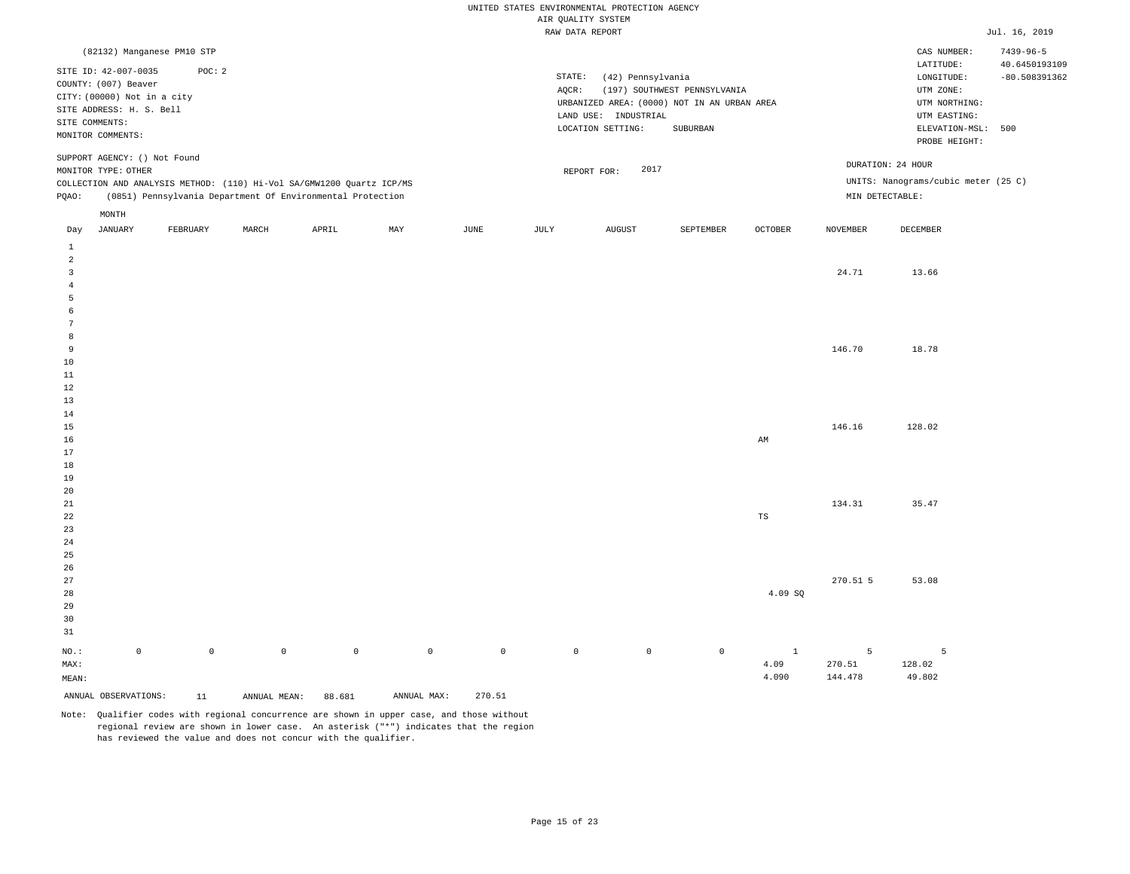|                         |                              |                            |                     |                                                                       |             |                     |                    | UNITED STATES ENVIRONMENTAL PROTECTION AGENCY |                                             |              |                 |                                     |                 |
|-------------------------|------------------------------|----------------------------|---------------------|-----------------------------------------------------------------------|-------------|---------------------|--------------------|-----------------------------------------------|---------------------------------------------|--------------|-----------------|-------------------------------------|-----------------|
|                         |                              |                            |                     |                                                                       |             |                     | AIR QUALITY SYSTEM |                                               |                                             |              |                 |                                     |                 |
|                         |                              |                            |                     |                                                                       |             |                     |                    | RAW DATA REPORT                               |                                             |              |                 |                                     | Jul. 16, 2019   |
|                         |                              | (82132) Manganese PM10 STP |                     |                                                                       |             |                     |                    |                                               |                                             |              |                 | CAS NUMBER:                         | $7439 - 96 - 5$ |
|                         | SITE ID: 42-007-0035         | POC: 2                     |                     |                                                                       |             |                     |                    |                                               |                                             |              |                 | LATITUDE:                           | 40.6450193109   |
|                         | COUNTY: (007) Beaver         |                            |                     |                                                                       |             |                     | STATE:             | (42) Pennsylvania                             |                                             |              |                 | LONGITUDE:                          | $-80.508391362$ |
|                         | CITY: (00000) Not in a city  |                            |                     |                                                                       |             |                     | AQCR:              |                                               | (197) SOUTHWEST PENNSYLVANIA                |              |                 | UTM ZONE:                           |                 |
|                         | SITE ADDRESS: H. S. Bell     |                            |                     |                                                                       |             |                     |                    |                                               | URBANIZED AREA: (0000) NOT IN AN URBAN AREA |              |                 | UTM NORTHING:                       |                 |
|                         | SITE COMMENTS:               |                            |                     |                                                                       |             |                     |                    | LAND USE: INDUSTRIAL                          |                                             |              |                 | UTM EASTING:                        |                 |
|                         | MONITOR COMMENTS:            |                            |                     |                                                                       |             |                     |                    | LOCATION SETTING:                             | SUBURBAN                                    |              |                 | ELEVATION-MSL: 500<br>PROBE HEIGHT: |                 |
|                         | SUPPORT AGENCY: () Not Found |                            |                     |                                                                       |             |                     |                    |                                               |                                             |              |                 | DURATION: 24 HOUR                   |                 |
|                         | MONITOR TYPE: OTHER          |                            |                     |                                                                       |             |                     |                    | 2017<br>REPORT FOR:                           |                                             |              |                 |                                     |                 |
|                         |                              |                            |                     | COLLECTION AND ANALYSIS METHOD: (110) Hi-Vol SA/GMW1200 Quartz ICP/MS |             |                     |                    |                                               |                                             |              |                 | UNITS: Nanograms/cubic meter (25 C) |                 |
| PQAO:                   |                              |                            |                     | (0851) Pennsylvania Department Of Environmental Protection            |             |                     |                    |                                               |                                             |              | MIN DETECTABLE: |                                     |                 |
|                         | $\texttt{MONTH}$             |                            |                     |                                                                       |             |                     |                    |                                               |                                             |              |                 |                                     |                 |
| Day<br>$\mathbf{1}$     | <b>JANUARY</b>               | FEBRUARY                   | MARCH               | APRIL                                                                 | MAY         | JUNE                | JULY               | <b>AUGUST</b>                                 | SEPTEMBER                                   | OCTOBER      | <b>NOVEMBER</b> | DECEMBER                            |                 |
| $\overline{a}$          |                              |                            |                     |                                                                       |             |                     |                    |                                               |                                             |              |                 |                                     |                 |
| $\overline{\mathbf{3}}$ |                              |                            |                     |                                                                       |             |                     |                    |                                               |                                             |              | 24.71           | 13.66                               |                 |
| $\overline{4}$          |                              |                            |                     |                                                                       |             |                     |                    |                                               |                                             |              |                 |                                     |                 |
| 5                       |                              |                            |                     |                                                                       |             |                     |                    |                                               |                                             |              |                 |                                     |                 |
| 6                       |                              |                            |                     |                                                                       |             |                     |                    |                                               |                                             |              |                 |                                     |                 |
| 7                       |                              |                            |                     |                                                                       |             |                     |                    |                                               |                                             |              |                 |                                     |                 |
| 8                       |                              |                            |                     |                                                                       |             |                     |                    |                                               |                                             |              |                 |                                     |                 |
| 9<br>10                 |                              |                            |                     |                                                                       |             |                     |                    |                                               |                                             |              | 146.70          | 18.78                               |                 |
| 11                      |                              |                            |                     |                                                                       |             |                     |                    |                                               |                                             |              |                 |                                     |                 |
| 12                      |                              |                            |                     |                                                                       |             |                     |                    |                                               |                                             |              |                 |                                     |                 |
| 13                      |                              |                            |                     |                                                                       |             |                     |                    |                                               |                                             |              |                 |                                     |                 |
| 14                      |                              |                            |                     |                                                                       |             |                     |                    |                                               |                                             |              |                 |                                     |                 |
| 15                      |                              |                            |                     |                                                                       |             |                     |                    |                                               |                                             |              | 146.16          | 128.02                              |                 |
| 16                      |                              |                            |                     |                                                                       |             |                     |                    |                                               |                                             | AM           |                 |                                     |                 |
| 17                      |                              |                            |                     |                                                                       |             |                     |                    |                                               |                                             |              |                 |                                     |                 |
| 18                      |                              |                            |                     |                                                                       |             |                     |                    |                                               |                                             |              |                 |                                     |                 |
| 19                      |                              |                            |                     |                                                                       |             |                     |                    |                                               |                                             |              |                 |                                     |                 |
| 20                      |                              |                            |                     |                                                                       |             |                     |                    |                                               |                                             |              |                 |                                     |                 |
| 21                      |                              |                            |                     |                                                                       |             |                     |                    |                                               |                                             |              | 134.31          | 35.47                               |                 |
| 22<br>23                |                              |                            |                     |                                                                       |             |                     |                    |                                               |                                             | TS           |                 |                                     |                 |
| 24                      |                              |                            |                     |                                                                       |             |                     |                    |                                               |                                             |              |                 |                                     |                 |
| 25                      |                              |                            |                     |                                                                       |             |                     |                    |                                               |                                             |              |                 |                                     |                 |
| 26                      |                              |                            |                     |                                                                       |             |                     |                    |                                               |                                             |              |                 |                                     |                 |
| 27                      |                              |                            |                     |                                                                       |             |                     |                    |                                               |                                             |              | 270.51 5        | 53.08                               |                 |
| 28                      |                              |                            |                     |                                                                       |             |                     |                    |                                               |                                             | 4.09 SQ      |                 |                                     |                 |
| 29                      |                              |                            |                     |                                                                       |             |                     |                    |                                               |                                             |              |                 |                                     |                 |
| 30                      |                              |                            |                     |                                                                       |             |                     |                    |                                               |                                             |              |                 |                                     |                 |
| 31                      |                              |                            |                     |                                                                       |             |                     |                    |                                               |                                             |              |                 |                                     |                 |
| NO.:                    | $\mathbb O$                  | $\mathbb O$                | $\mathsf{O}\xspace$ | $\mathbb O$                                                           | $\mathbb O$ | $\mathsf{O}\xspace$ | $\mathbb O$        | $\circ$                                       | $\mathbb O$                                 | $\mathbf{1}$ | 5               | 5                                   |                 |
| MAX:                    |                              |                            |                     |                                                                       |             |                     |                    |                                               |                                             | 4.09         | 270.51          | 128.02                              |                 |
| MEAN:                   |                              |                            |                     |                                                                       |             |                     |                    |                                               |                                             | 4.090        | 144.478         | 49.802                              |                 |
|                         | ANNUAL OBSERVATIONS:         | 11                         | ANNUAL MEAN:        | 88.681                                                                | ANNUAL MAX: | 270.51              |                    |                                               |                                             |              |                 |                                     |                 |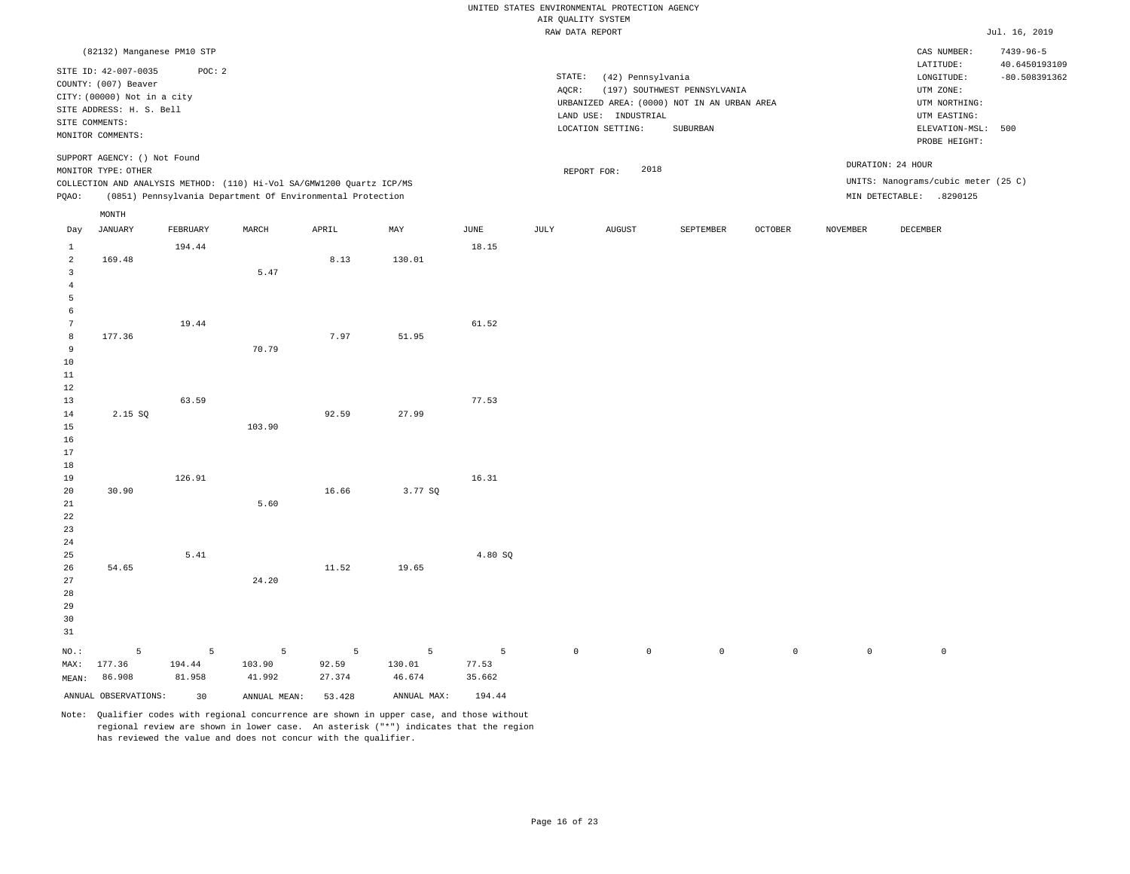|                                                    |                                                                                                                                                         |                       |                                                                       |                      |                       |                        |                     | UNITED STATES ENVIRONMENTAL PROTECTION AGENCY |                                                                             |             |                 |                                                                                      |                                                     |
|----------------------------------------------------|---------------------------------------------------------------------------------------------------------------------------------------------------------|-----------------------|-----------------------------------------------------------------------|----------------------|-----------------------|------------------------|---------------------|-----------------------------------------------|-----------------------------------------------------------------------------|-------------|-----------------|--------------------------------------------------------------------------------------|-----------------------------------------------------|
|                                                    |                                                                                                                                                         |                       |                                                                       |                      |                       |                        | AIR QUALITY SYSTEM  |                                               |                                                                             |             |                 |                                                                                      |                                                     |
|                                                    |                                                                                                                                                         |                       |                                                                       |                      |                       |                        | RAW DATA REPORT     |                                               |                                                                             |             |                 |                                                                                      | Jul. 16, 2019                                       |
|                                                    | (82132) Manganese PM10 STP<br>SITE ID: 42-007-0035<br>COUNTY: (007) Beaver<br>CITY: (00000) Not in a city<br>SITE ADDRESS: H. S. Bell<br>SITE COMMENTS: | POC: 2                |                                                                       |                      |                       |                        | STATE:<br>$AQCR$ :  | (42) Pennsylvania<br>LAND USE: INDUSTRIAL     | (197) SOUTHWEST PENNSYLVANIA<br>URBANIZED AREA: (0000) NOT IN AN URBAN AREA |             |                 | CAS NUMBER:<br>LATITUDE:<br>LONGITUDE:<br>UTM ZONE:<br>UTM NORTHING:<br>UTM EASTING: | $7439 - 96 - 5$<br>40.6450193109<br>$-80.508391362$ |
|                                                    | MONITOR COMMENTS:                                                                                                                                       |                       |                                                                       |                      |                       |                        |                     | LOCATION SETTING:                             | SUBURBAN                                                                    |             |                 | ELEVATION-MSL: 500<br>PROBE HEIGHT:                                                  |                                                     |
|                                                    | SUPPORT AGENCY: () Not Found<br>MONITOR TYPE: OTHER                                                                                                     |                       | COLLECTION AND ANALYSIS METHOD: (110) Hi-Vol SA/GMW1200 Quartz ICP/MS |                      |                       |                        |                     | 2018<br>REPORT FOR:                           |                                                                             |             |                 | DURATION: 24 HOUR<br>UNITS: Nanograms/cubic meter (25 C)                             |                                                     |
| PQAO:                                              |                                                                                                                                                         |                       | (0851) Pennsylvania Department Of Environmental Protection            |                      |                       |                        |                     |                                               |                                                                             |             |                 | MIN DETECTABLE: .8290125                                                             |                                                     |
|                                                    | $\texttt{MONTH}$                                                                                                                                        |                       |                                                                       |                      |                       |                        |                     |                                               |                                                                             |             |                 |                                                                                      |                                                     |
| Day<br>$\mathbf{1}$                                | <b>JANUARY</b>                                                                                                                                          | FEBRUARY<br>194.44    | MARCH                                                                 | APRIL                | MAX                   | $_{\rm JUNE}$<br>18.15 | JULY                | AUGUST                                        | SEPTEMBER                                                                   | OCTOBER     | <b>NOVEMBER</b> | DECEMBER                                                                             |                                                     |
| $\overline{2}$<br>$\overline{3}$<br>$\overline{4}$ | 169.48                                                                                                                                                  |                       | 5.47                                                                  | 8.13                 | 130.01                |                        |                     |                                               |                                                                             |             |                 |                                                                                      |                                                     |
| $\overline{5}$<br>6<br>$7\phantom{.0}$<br>8<br>9   | 177.36                                                                                                                                                  | 19.44                 | 70.79                                                                 | 7.97                 | 51.95                 | 61.52                  |                     |                                               |                                                                             |             |                 |                                                                                      |                                                     |
| 10<br>$11\,$<br>$1\,2$                             |                                                                                                                                                         |                       |                                                                       |                      |                       |                        |                     |                                               |                                                                             |             |                 |                                                                                      |                                                     |
| 13<br>14<br>15<br>16<br>17                         | 2.15 SQ                                                                                                                                                 | 63.59                 | 103.90                                                                | 92.59                | 27.99                 | 77.53                  |                     |                                               |                                                                             |             |                 |                                                                                      |                                                     |
| 18<br>19<br>$20$<br>21                             | 30.90                                                                                                                                                   | 126.91                | 5.60                                                                  | 16.66                | 3.77 SQ               | 16.31                  |                     |                                               |                                                                             |             |                 |                                                                                      |                                                     |
| 22<br>23<br>24                                     |                                                                                                                                                         |                       |                                                                       |                      |                       |                        |                     |                                               |                                                                             |             |                 |                                                                                      |                                                     |
| 25<br>26<br>27<br>28<br>29<br>30<br>31             | 54.65                                                                                                                                                   | 5.41                  | 24.20                                                                 | 11.52                | 19.65                 | 4.80 SQ                |                     |                                               |                                                                             |             |                 |                                                                                      |                                                     |
| NO.:<br>MAX:<br>MEAN:                              | 5<br>177.36<br>86.908                                                                                                                                   | 5<br>194.44<br>81.958 | 5<br>103.90<br>41.992                                                 | 5<br>92.59<br>27.374 | 5<br>130.01<br>46.674 | 5<br>77.53<br>35.662   | $\mathsf{O}\xspace$ | $\mathbb O$                                   | $\mathbb O$                                                                 | $\mathbb O$ | $\mathbb O$     | $\mathbb O$                                                                          |                                                     |
|                                                    | ANNUAL OBSERVATIONS:                                                                                                                                    | 30                    | ANNUAL MEAN:                                                          | 53.428               | ANNUAL MAX:           | 194.44                 |                     |                                               |                                                                             |             |                 |                                                                                      |                                                     |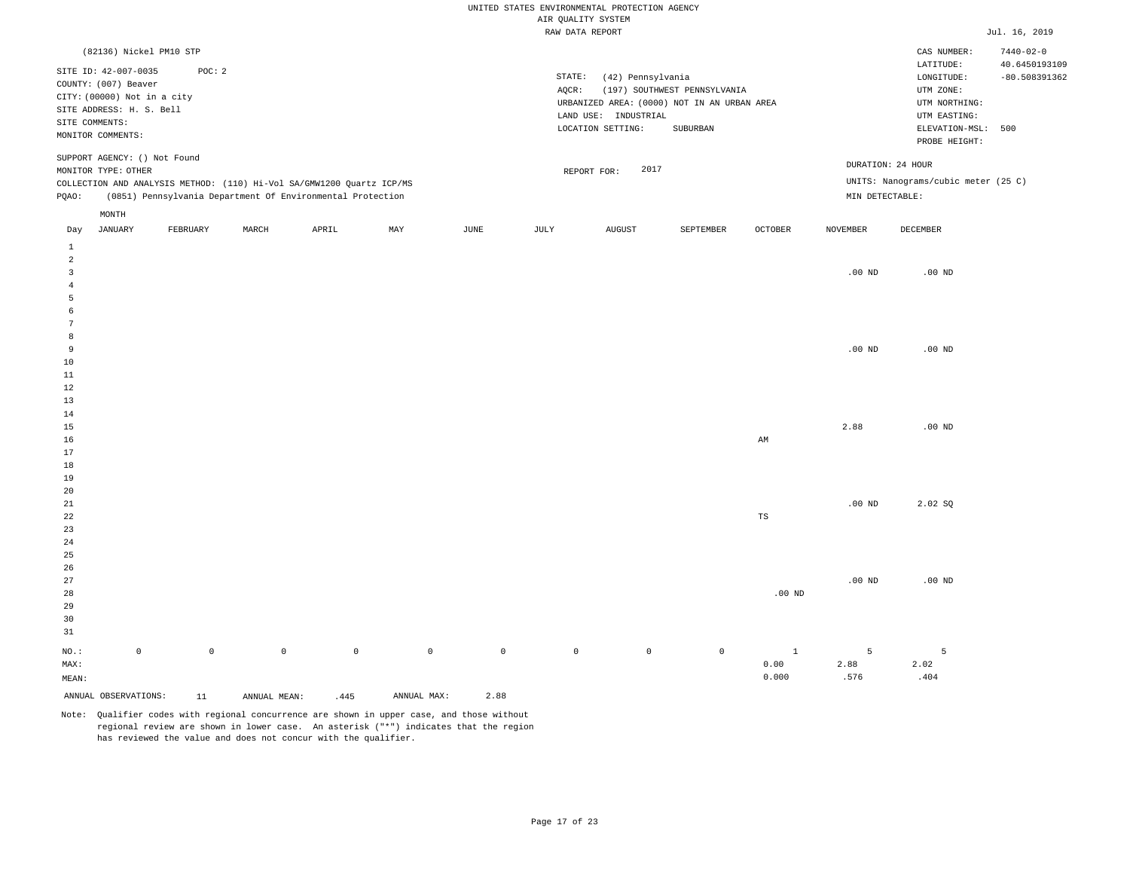|                     |                                                                                                                              |                     |                     |                                                                                                                                     |             |                     | UNITED STATES ENVIRONMENTAL PROTECTION AGENCY<br>AIR QUALITY SYSTEM |                                                                |                                                                                         |                      |                   |                                                                                                                    |                                         |
|---------------------|------------------------------------------------------------------------------------------------------------------------------|---------------------|---------------------|-------------------------------------------------------------------------------------------------------------------------------------|-------------|---------------------|---------------------------------------------------------------------|----------------------------------------------------------------|-----------------------------------------------------------------------------------------|----------------------|-------------------|--------------------------------------------------------------------------------------------------------------------|-----------------------------------------|
|                     |                                                                                                                              |                     |                     |                                                                                                                                     |             |                     | RAW DATA REPORT                                                     |                                                                |                                                                                         |                      |                   |                                                                                                                    | Jul. 16, 2019                           |
|                     | (82136) Nickel PM10 STP                                                                                                      |                     |                     |                                                                                                                                     |             |                     |                                                                     |                                                                |                                                                                         |                      |                   | CAS NUMBER:                                                                                                        | $7440 - 02 - 0$                         |
| SITE COMMENTS:      | SITE ID: 42-007-0035<br>COUNTY: (007) Beaver<br>CITY: (00000) Not in a city<br>SITE ADDRESS: H. S. Bell<br>MONITOR COMMENTS: | POC: 2              |                     |                                                                                                                                     |             |                     | STATE:<br>AQCR:                                                     | (42) Pennsylvania<br>LAND USE: INDUSTRIAL<br>LOCATION SETTING: | (197) SOUTHWEST PENNSYLVANIA<br>URBANIZED AREA: (0000) NOT IN AN URBAN AREA<br>SUBURBAN |                      |                   | $\mathtt{LATITUDE}$<br>LONGITUDE:<br>UTM ZONE:<br>UTM NORTHING:<br>UTM EASTING:<br>ELEVATION-MSL:<br>PROBE HEIGHT: | 40.6450193109<br>$-80.508391362$<br>500 |
|                     | SUPPORT AGENCY: () Not Found<br>MONITOR TYPE: OTHER                                                                          |                     |                     |                                                                                                                                     |             |                     |                                                                     | 2017<br>REPORT FOR:                                            |                                                                                         |                      |                   | DURATION: 24 HOUR                                                                                                  |                                         |
| PQAO:               |                                                                                                                              |                     |                     | COLLECTION AND ANALYSIS METHOD: (110) Hi-Vol SA/GMW1200 Quartz ICP/MS<br>(0851) Pennsylvania Department Of Environmental Protection |             |                     |                                                                     |                                                                |                                                                                         |                      | MIN DETECTABLE:   | UNITS: Nanograms/cubic meter (25 C)                                                                                |                                         |
|                     | MONTH                                                                                                                        |                     |                     |                                                                                                                                     |             |                     |                                                                     |                                                                |                                                                                         |                      |                   |                                                                                                                    |                                         |
| Day                 | <b>JANUARY</b>                                                                                                               | FEBRUARY            | MARCH               | APRIL                                                                                                                               | MAY         | JUNE                | JULY                                                                | <b>AUGUST</b>                                                  | SEPTEMBER                                                                               | <b>OCTOBER</b>       | <b>NOVEMBER</b>   | DECEMBER                                                                                                           |                                         |
| $\mathbf{1}$<br>2   |                                                                                                                              |                     |                     |                                                                                                                                     |             |                     |                                                                     |                                                                |                                                                                         |                      |                   |                                                                                                                    |                                         |
| $\overline{3}$      |                                                                                                                              |                     |                     |                                                                                                                                     |             |                     |                                                                     |                                                                |                                                                                         |                      | $.00$ ND          | $.00$ ND                                                                                                           |                                         |
| $\overline{4}$<br>5 |                                                                                                                              |                     |                     |                                                                                                                                     |             |                     |                                                                     |                                                                |                                                                                         |                      |                   |                                                                                                                    |                                         |
| 6                   |                                                                                                                              |                     |                     |                                                                                                                                     |             |                     |                                                                     |                                                                |                                                                                         |                      |                   |                                                                                                                    |                                         |
| 7<br>8              |                                                                                                                              |                     |                     |                                                                                                                                     |             |                     |                                                                     |                                                                |                                                                                         |                      |                   |                                                                                                                    |                                         |
| 9                   |                                                                                                                              |                     |                     |                                                                                                                                     |             |                     |                                                                     |                                                                |                                                                                         |                      | $.00$ ND          | $.00$ ND                                                                                                           |                                         |
| 10                  |                                                                                                                              |                     |                     |                                                                                                                                     |             |                     |                                                                     |                                                                |                                                                                         |                      |                   |                                                                                                                    |                                         |
| $11\,$              |                                                                                                                              |                     |                     |                                                                                                                                     |             |                     |                                                                     |                                                                |                                                                                         |                      |                   |                                                                                                                    |                                         |
| $1\,2$              |                                                                                                                              |                     |                     |                                                                                                                                     |             |                     |                                                                     |                                                                |                                                                                         |                      |                   |                                                                                                                    |                                         |
| 13<br>14            |                                                                                                                              |                     |                     |                                                                                                                                     |             |                     |                                                                     |                                                                |                                                                                         |                      |                   |                                                                                                                    |                                         |
| 15                  |                                                                                                                              |                     |                     |                                                                                                                                     |             |                     |                                                                     |                                                                |                                                                                         |                      | 2.88              | $.00$ ND                                                                                                           |                                         |
| 16                  |                                                                                                                              |                     |                     |                                                                                                                                     |             |                     |                                                                     |                                                                |                                                                                         | AM                   |                   |                                                                                                                    |                                         |
| 17                  |                                                                                                                              |                     |                     |                                                                                                                                     |             |                     |                                                                     |                                                                |                                                                                         |                      |                   |                                                                                                                    |                                         |
| 18<br>19            |                                                                                                                              |                     |                     |                                                                                                                                     |             |                     |                                                                     |                                                                |                                                                                         |                      |                   |                                                                                                                    |                                         |
| 20                  |                                                                                                                              |                     |                     |                                                                                                                                     |             |                     |                                                                     |                                                                |                                                                                         |                      |                   |                                                                                                                    |                                         |
| 21                  |                                                                                                                              |                     |                     |                                                                                                                                     |             |                     |                                                                     |                                                                |                                                                                         |                      | $.00$ ND          | 2.02 SQ                                                                                                            |                                         |
| 22                  |                                                                                                                              |                     |                     |                                                                                                                                     |             |                     |                                                                     |                                                                |                                                                                         | TS                   |                   |                                                                                                                    |                                         |
| 23                  |                                                                                                                              |                     |                     |                                                                                                                                     |             |                     |                                                                     |                                                                |                                                                                         |                      |                   |                                                                                                                    |                                         |
| 24<br>25            |                                                                                                                              |                     |                     |                                                                                                                                     |             |                     |                                                                     |                                                                |                                                                                         |                      |                   |                                                                                                                    |                                         |
| 26                  |                                                                                                                              |                     |                     |                                                                                                                                     |             |                     |                                                                     |                                                                |                                                                                         |                      |                   |                                                                                                                    |                                         |
| 27                  |                                                                                                                              |                     |                     |                                                                                                                                     |             |                     |                                                                     |                                                                |                                                                                         |                      | .00 <sub>ND</sub> | $.00$ ND                                                                                                           |                                         |
| 28                  |                                                                                                                              |                     |                     |                                                                                                                                     |             |                     |                                                                     |                                                                |                                                                                         | .00 $ND$             |                   |                                                                                                                    |                                         |
| 29                  |                                                                                                                              |                     |                     |                                                                                                                                     |             |                     |                                                                     |                                                                |                                                                                         |                      |                   |                                                                                                                    |                                         |
| 30<br>31            |                                                                                                                              |                     |                     |                                                                                                                                     |             |                     |                                                                     |                                                                |                                                                                         |                      |                   |                                                                                                                    |                                         |
|                     |                                                                                                                              |                     |                     |                                                                                                                                     |             |                     |                                                                     |                                                                |                                                                                         |                      |                   |                                                                                                                    |                                         |
| NO.:<br>MAX:        | $\mathbb O$                                                                                                                  | $\mathsf{O}\xspace$ | $\mathsf{O}\xspace$ | $\mathbb O$                                                                                                                         | $\mathbb O$ | $\mathsf{O}\xspace$ | $\mathbb O$                                                         | $\circ$                                                        | $\mathbb O$                                                                             | $\mathbf{1}$<br>0.00 | 5<br>2.88         | 5<br>2.02                                                                                                          |                                         |
| MEAN:               |                                                                                                                              |                     |                     |                                                                                                                                     |             |                     |                                                                     |                                                                |                                                                                         | 0.000                | .576              | .404                                                                                                               |                                         |
|                     | ANNUAL OBSERVATIONS:                                                                                                         |                     |                     |                                                                                                                                     | ANNUAL MAX: | 2.88                |                                                                     |                                                                |                                                                                         |                      |                   |                                                                                                                    |                                         |
|                     |                                                                                                                              | 11                  | ANNUAL MEAN:        | .445                                                                                                                                |             |                     |                                                                     |                                                                |                                                                                         |                      |                   |                                                                                                                    |                                         |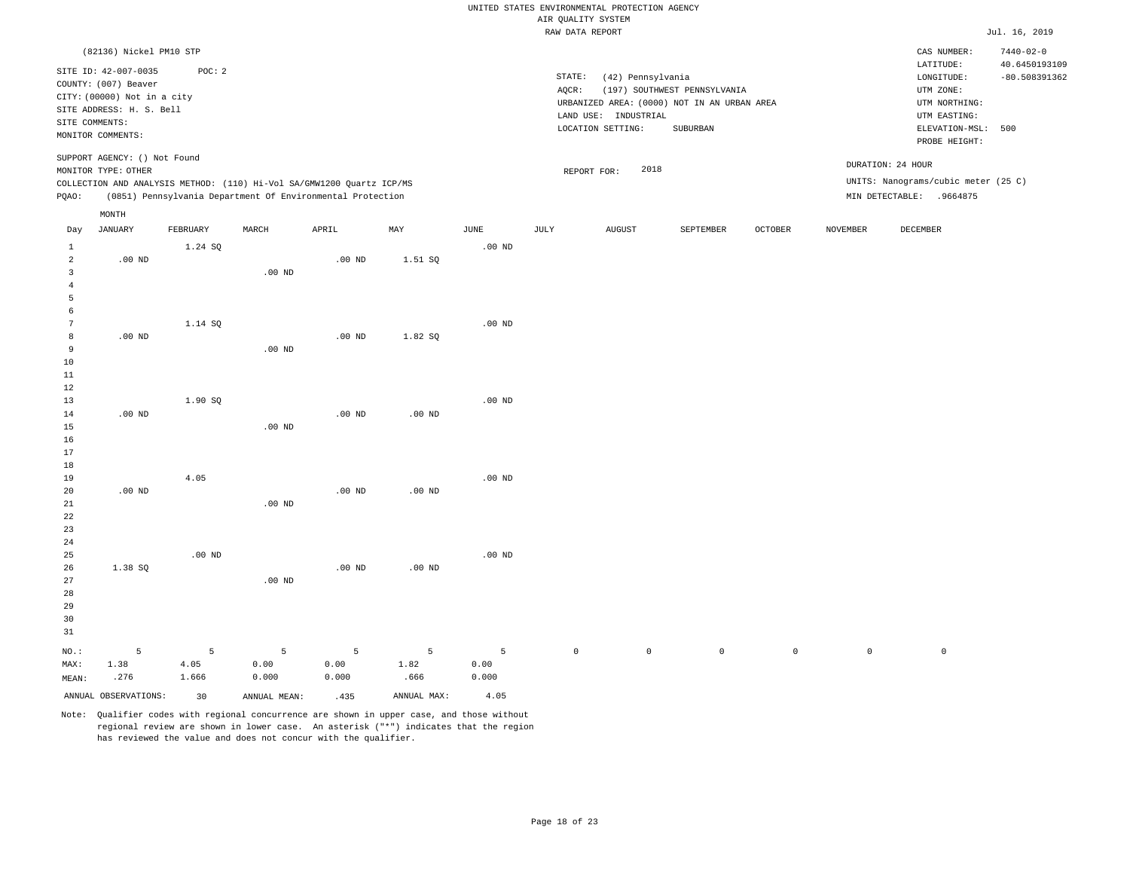|                                |                                                                         |               |                                                                       |                   |                           |                   |                    | UNITED STATES ENVIRONMENTAL PROTECTION AGENCY |                                                                             |             |                     |                                                    |                                                     |
|--------------------------------|-------------------------------------------------------------------------|---------------|-----------------------------------------------------------------------|-------------------|---------------------------|-------------------|--------------------|-----------------------------------------------|-----------------------------------------------------------------------------|-------------|---------------------|----------------------------------------------------|-----------------------------------------------------|
|                                |                                                                         |               |                                                                       |                   |                           |                   | AIR QUALITY SYSTEM |                                               |                                                                             |             |                     |                                                    |                                                     |
|                                |                                                                         |               |                                                                       |                   |                           |                   | RAW DATA REPORT    |                                               |                                                                             |             |                     |                                                    | Jul. 16, 2019                                       |
|                                | (82136) Nickel PM10 STP<br>SITE ID: 42-007-0035<br>COUNTY: (007) Beaver | POC: 2        |                                                                       |                   |                           |                   | STATE:             | (42) Pennsylvania                             |                                                                             |             |                     | CAS NUMBER:<br>LATITUDE:<br>$\texttt{LONGITUDE}$ : | $7440 - 02 - 0$<br>40.6450193109<br>$-80.508391362$ |
|                                | CITY: (00000) Not in a city<br>SITE ADDRESS: H. S. Bell                 |               |                                                                       |                   |                           |                   | AOCR:              |                                               | (197) SOUTHWEST PENNSYLVANIA<br>URBANIZED AREA: (0000) NOT IN AN URBAN AREA |             |                     | UTM ZONE:<br>UTM NORTHING:                         |                                                     |
| SITE COMMENTS:                 |                                                                         |               |                                                                       |                   |                           |                   |                    | LAND USE: INDUSTRIAL                          |                                                                             |             |                     | UTM EASTING:                                       |                                                     |
|                                | MONITOR COMMENTS:                                                       |               |                                                                       |                   |                           |                   |                    | LOCATION SETTING:                             | SUBURBAN                                                                    |             |                     | ELEVATION-MSL:<br>PROBE HEIGHT:                    | 500                                                 |
|                                | SUPPORT AGENCY: () Not Found<br>MONITOR TYPE: OTHER                     |               |                                                                       |                   |                           |                   |                    | 2018<br>REPORT FOR:                           |                                                                             |             |                     | DURATION: 24 HOUR                                  |                                                     |
|                                |                                                                         |               | COLLECTION AND ANALYSIS METHOD: (110) Hi-Vol SA/GMW1200 Quartz ICP/MS |                   |                           |                   |                    |                                               |                                                                             |             |                     | UNITS: Nanograms/cubic meter (25 C)                |                                                     |
| PQAO:                          |                                                                         |               | (0851) Pennsylvania Department Of Environmental Protection            |                   |                           |                   |                    |                                               |                                                                             |             |                     | MIN DETECTABLE: .9664875                           |                                                     |
|                                | $\texttt{MONTH}$                                                        |               |                                                                       |                   |                           |                   |                    |                                               |                                                                             |             |                     |                                                    |                                                     |
| Day                            | <b>JANUARY</b>                                                          | FEBRUARY      | MARCH                                                                 | APRIL             | $\ensuremath{\text{MAX}}$ | $_{\rm JUNE}$     | JULY               | <b>AUGUST</b>                                 | SEPTEMBER                                                                   | OCTOBER     | <b>NOVEMBER</b>     | DECEMBER                                           |                                                     |
| $\mathbf{1}$<br>$\overline{a}$ | $.00$ ND                                                                | 1.24 SQ       |                                                                       | .00 <sub>ND</sub> | 1.51 SQ                   | $.00$ ND          |                    |                                               |                                                                             |             |                     |                                                    |                                                     |
| 3                              |                                                                         |               | $.00$ ND                                                              |                   |                           |                   |                    |                                               |                                                                             |             |                     |                                                    |                                                     |
| $\overline{4}$                 |                                                                         |               |                                                                       |                   |                           |                   |                    |                                               |                                                                             |             |                     |                                                    |                                                     |
| 5                              |                                                                         |               |                                                                       |                   |                           |                   |                    |                                               |                                                                             |             |                     |                                                    |                                                     |
| 6                              |                                                                         |               |                                                                       |                   |                           |                   |                    |                                               |                                                                             |             |                     |                                                    |                                                     |
| $7\phantom{.0}$                |                                                                         | 1.14 SQ       |                                                                       |                   |                           | .00 <sub>ND</sub> |                    |                                               |                                                                             |             |                     |                                                    |                                                     |
| 8                              | $.00$ ND                                                                |               |                                                                       | $.00$ ND          | 1.82 SQ                   |                   |                    |                                               |                                                                             |             |                     |                                                    |                                                     |
| 9                              |                                                                         |               | .00 <sub>ND</sub>                                                     |                   |                           |                   |                    |                                               |                                                                             |             |                     |                                                    |                                                     |
| 10<br>11                       |                                                                         |               |                                                                       |                   |                           |                   |                    |                                               |                                                                             |             |                     |                                                    |                                                     |
| 12                             |                                                                         |               |                                                                       |                   |                           |                   |                    |                                               |                                                                             |             |                     |                                                    |                                                     |
| 13                             |                                                                         | 1.90 SQ       |                                                                       |                   |                           | $.00$ ND          |                    |                                               |                                                                             |             |                     |                                                    |                                                     |
| 14                             | $.00$ ND                                                                |               |                                                                       | $.00$ ND          | $.00$ ND                  |                   |                    |                                               |                                                                             |             |                     |                                                    |                                                     |
| 15                             |                                                                         |               | $.00$ ND                                                              |                   |                           |                   |                    |                                               |                                                                             |             |                     |                                                    |                                                     |
| 16                             |                                                                         |               |                                                                       |                   |                           |                   |                    |                                               |                                                                             |             |                     |                                                    |                                                     |
| 17                             |                                                                         |               |                                                                       |                   |                           |                   |                    |                                               |                                                                             |             |                     |                                                    |                                                     |
| 18                             |                                                                         |               |                                                                       |                   |                           |                   |                    |                                               |                                                                             |             |                     |                                                    |                                                     |
| 19<br>20                       | .00 <sub>ND</sub>                                                       | 4.05          |                                                                       | .00 <sub>ND</sub> | .00 <sub>ND</sub>         | $.00$ ND          |                    |                                               |                                                                             |             |                     |                                                    |                                                     |
| 21                             |                                                                         |               | $.00$ ND                                                              |                   |                           |                   |                    |                                               |                                                                             |             |                     |                                                    |                                                     |
| 22                             |                                                                         |               |                                                                       |                   |                           |                   |                    |                                               |                                                                             |             |                     |                                                    |                                                     |
| 23                             |                                                                         |               |                                                                       |                   |                           |                   |                    |                                               |                                                                             |             |                     |                                                    |                                                     |
| 24                             |                                                                         |               |                                                                       |                   |                           |                   |                    |                                               |                                                                             |             |                     |                                                    |                                                     |
| 25                             |                                                                         | $.00$ ND      |                                                                       |                   |                           | $.00$ ND          |                    |                                               |                                                                             |             |                     |                                                    |                                                     |
| 26                             | 1.38 SO                                                                 |               |                                                                       | $.00$ ND          | $.00$ ND                  |                   |                    |                                               |                                                                             |             |                     |                                                    |                                                     |
| 27                             |                                                                         |               | .00 <sub>ND</sub>                                                     |                   |                           |                   |                    |                                               |                                                                             |             |                     |                                                    |                                                     |
| 28                             |                                                                         |               |                                                                       |                   |                           |                   |                    |                                               |                                                                             |             |                     |                                                    |                                                     |
| 29<br>30                       |                                                                         |               |                                                                       |                   |                           |                   |                    |                                               |                                                                             |             |                     |                                                    |                                                     |
| 31                             |                                                                         |               |                                                                       |                   |                           |                   |                    |                                               |                                                                             |             |                     |                                                    |                                                     |
|                                |                                                                         |               |                                                                       |                   |                           |                   |                    |                                               |                                                                             |             |                     |                                                    |                                                     |
| $NO.$ :                        | 5                                                                       | 5             | 5                                                                     | 5                 | 5                         | 5                 | $\mathbb O$        | $\mathbb O$                                   | $\mathbb O$                                                                 | $\mathbb O$ | $\mathsf{O}\xspace$ | $\mathsf{O}$                                       |                                                     |
| MAX:                           | 1.38<br>.276                                                            | 4.05<br>1.666 | 0.00<br>0.000                                                         | 0.00<br>0.000     | 1.82<br>.666              | 0.00<br>0.000     |                    |                                               |                                                                             |             |                     |                                                    |                                                     |
| MEAN:                          |                                                                         |               |                                                                       |                   |                           |                   |                    |                                               |                                                                             |             |                     |                                                    |                                                     |
|                                | ANNUAL OBSERVATIONS:                                                    | 30            | ANNUAL MEAN:                                                          | .435              | ANNUAL MAX:               | 4.05              |                    |                                               |                                                                             |             |                     |                                                    |                                                     |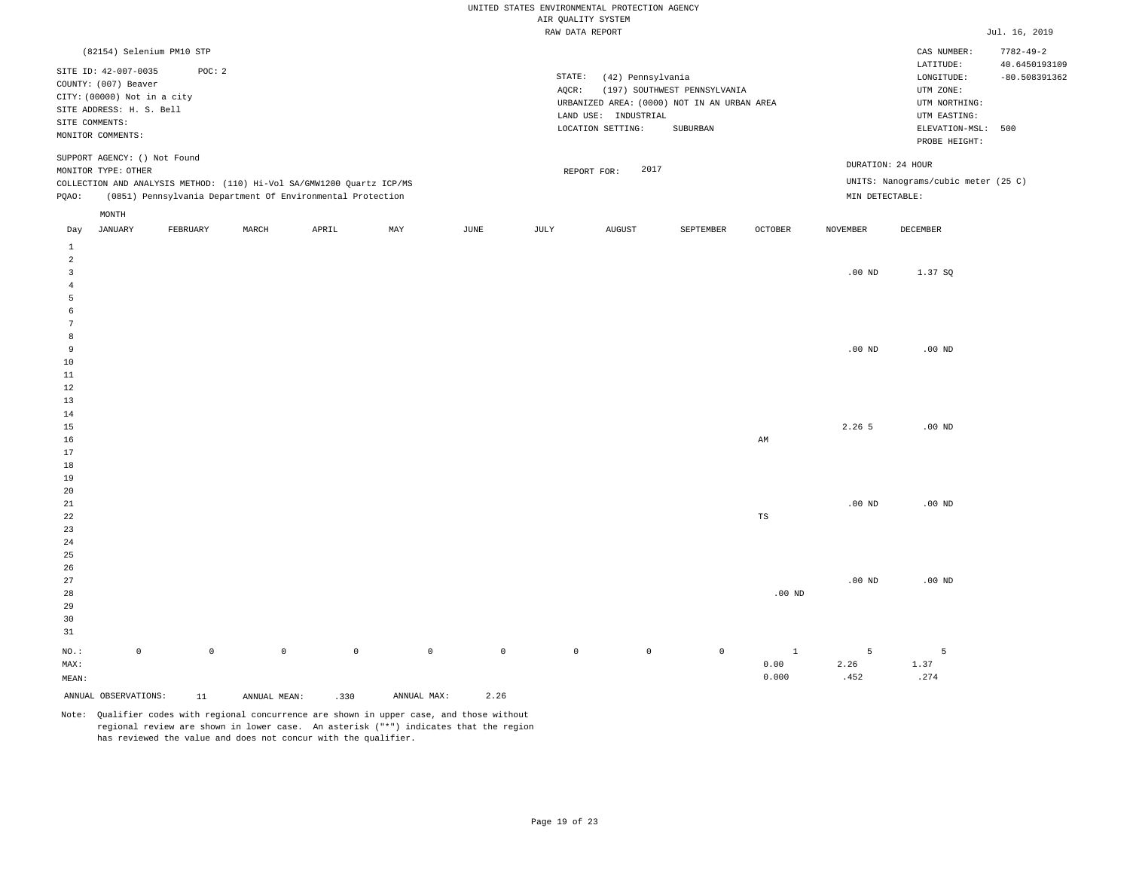|                                       |                                                                                                         |                     |                     |                                                                                                                                     |             |                     | AIR QUALITY SYSTEM | UNITED STATES ENVIRONMENTAL PROTECTION AGENCY                  |                                                                                         |                |                   |                                                                                                                    |                                         |
|---------------------------------------|---------------------------------------------------------------------------------------------------------|---------------------|---------------------|-------------------------------------------------------------------------------------------------------------------------------------|-------------|---------------------|--------------------|----------------------------------------------------------------|-----------------------------------------------------------------------------------------|----------------|-------------------|--------------------------------------------------------------------------------------------------------------------|-----------------------------------------|
|                                       |                                                                                                         |                     |                     |                                                                                                                                     |             |                     | RAW DATA REPORT    |                                                                |                                                                                         |                |                   |                                                                                                                    | Jul. 16, 2019                           |
|                                       | (82154) Selenium PM10 STP                                                                               |                     |                     |                                                                                                                                     |             |                     |                    |                                                                |                                                                                         |                |                   | CAS NUMBER:                                                                                                        | $7782 - 49 - 2$                         |
| SITE COMMENTS:<br>MONITOR COMMENTS:   | SITE ID: 42-007-0035<br>COUNTY: (007) Beaver<br>CITY: (00000) Not in a city<br>SITE ADDRESS: H. S. Bell | POC: 2              |                     |                                                                                                                                     |             |                     | STATE:<br>AQCR:    | (42) Pennsylvania<br>LAND USE: INDUSTRIAL<br>LOCATION SETTING: | (197) SOUTHWEST PENNSYLVANIA<br>URBANIZED AREA: (0000) NOT IN AN URBAN AREA<br>SUBURBAN |                |                   | $\mathtt{LATITUDE}$<br>LONGITUDE:<br>UTM ZONE:<br>UTM NORTHING:<br>UTM EASTING:<br>ELEVATION-MSL:<br>PROBE HEIGHT: | 40.6450193109<br>$-80.508391362$<br>500 |
|                                       | SUPPORT AGENCY: () Not Found<br>MONITOR TYPE: OTHER                                                     |                     |                     |                                                                                                                                     |             |                     |                    | 2017<br>REPORT FOR:                                            |                                                                                         |                |                   | DURATION: 24 HOUR                                                                                                  |                                         |
| PQAO:                                 |                                                                                                         |                     |                     | COLLECTION AND ANALYSIS METHOD: (110) Hi-Vol SA/GMW1200 Quartz ICP/MS<br>(0851) Pennsylvania Department Of Environmental Protection |             |                     |                    |                                                                |                                                                                         |                | MIN DETECTABLE:   | UNITS: Nanograms/cubic meter (25 C)                                                                                |                                         |
|                                       | MONTH                                                                                                   |                     |                     |                                                                                                                                     |             |                     |                    |                                                                |                                                                                         |                |                   |                                                                                                                    |                                         |
| Day                                   | <b>JANUARY</b>                                                                                          | FEBRUARY            | MARCH               | APRIL                                                                                                                               | MAY         | JUNE                | JULY               | <b>AUGUST</b>                                                  | SEPTEMBER                                                                               | <b>OCTOBER</b> | <b>NOVEMBER</b>   | DECEMBER                                                                                                           |                                         |
| $\mathbf{1}$                          |                                                                                                         |                     |                     |                                                                                                                                     |             |                     |                    |                                                                |                                                                                         |                |                   |                                                                                                                    |                                         |
| 2<br>$\overline{3}$<br>$\overline{4}$ |                                                                                                         |                     |                     |                                                                                                                                     |             |                     |                    |                                                                |                                                                                         |                | $.00$ ND          | 1.37 SQ                                                                                                            |                                         |
| 5                                     |                                                                                                         |                     |                     |                                                                                                                                     |             |                     |                    |                                                                |                                                                                         |                |                   |                                                                                                                    |                                         |
| 6<br>7                                |                                                                                                         |                     |                     |                                                                                                                                     |             |                     |                    |                                                                |                                                                                         |                |                   |                                                                                                                    |                                         |
| 8                                     |                                                                                                         |                     |                     |                                                                                                                                     |             |                     |                    |                                                                |                                                                                         |                |                   |                                                                                                                    |                                         |
| 9<br>10                               |                                                                                                         |                     |                     |                                                                                                                                     |             |                     |                    |                                                                |                                                                                         |                | $.00$ ND          | $.00$ ND                                                                                                           |                                         |
| $11\,$                                |                                                                                                         |                     |                     |                                                                                                                                     |             |                     |                    |                                                                |                                                                                         |                |                   |                                                                                                                    |                                         |
| $1\,2$                                |                                                                                                         |                     |                     |                                                                                                                                     |             |                     |                    |                                                                |                                                                                         |                |                   |                                                                                                                    |                                         |
| 13<br>14                              |                                                                                                         |                     |                     |                                                                                                                                     |             |                     |                    |                                                                |                                                                                         |                |                   |                                                                                                                    |                                         |
| 15                                    |                                                                                                         |                     |                     |                                                                                                                                     |             |                     |                    |                                                                |                                                                                         |                | 2.26 5            | $.00$ ND                                                                                                           |                                         |
| 16                                    |                                                                                                         |                     |                     |                                                                                                                                     |             |                     |                    |                                                                |                                                                                         | AM             |                   |                                                                                                                    |                                         |
| 17<br>18                              |                                                                                                         |                     |                     |                                                                                                                                     |             |                     |                    |                                                                |                                                                                         |                |                   |                                                                                                                    |                                         |
| 19                                    |                                                                                                         |                     |                     |                                                                                                                                     |             |                     |                    |                                                                |                                                                                         |                |                   |                                                                                                                    |                                         |
| 20                                    |                                                                                                         |                     |                     |                                                                                                                                     |             |                     |                    |                                                                |                                                                                         |                |                   |                                                                                                                    |                                         |
| 21<br>22                              |                                                                                                         |                     |                     |                                                                                                                                     |             |                     |                    |                                                                |                                                                                         | TS             | $.00$ ND          | $.00$ ND                                                                                                           |                                         |
| 23                                    |                                                                                                         |                     |                     |                                                                                                                                     |             |                     |                    |                                                                |                                                                                         |                |                   |                                                                                                                    |                                         |
| 24                                    |                                                                                                         |                     |                     |                                                                                                                                     |             |                     |                    |                                                                |                                                                                         |                |                   |                                                                                                                    |                                         |
| 25                                    |                                                                                                         |                     |                     |                                                                                                                                     |             |                     |                    |                                                                |                                                                                         |                |                   |                                                                                                                    |                                         |
| 26<br>27                              |                                                                                                         |                     |                     |                                                                                                                                     |             |                     |                    |                                                                |                                                                                         |                | .00 <sub>ND</sub> | $.00$ ND                                                                                                           |                                         |
| 28                                    |                                                                                                         |                     |                     |                                                                                                                                     |             |                     |                    |                                                                |                                                                                         | .00 $ND$       |                   |                                                                                                                    |                                         |
| 29                                    |                                                                                                         |                     |                     |                                                                                                                                     |             |                     |                    |                                                                |                                                                                         |                |                   |                                                                                                                    |                                         |
| 30                                    |                                                                                                         |                     |                     |                                                                                                                                     |             |                     |                    |                                                                |                                                                                         |                |                   |                                                                                                                    |                                         |
| 31                                    |                                                                                                         |                     |                     |                                                                                                                                     |             |                     |                    |                                                                |                                                                                         |                |                   |                                                                                                                    |                                         |
| NO.:                                  | $\mathbb O$                                                                                             | $\mathsf{O}\xspace$ | $\mathsf{O}\xspace$ | $\mathbb O$                                                                                                                         | $\mathbb O$ | $\mathsf{O}\xspace$ | $\mathbb O$        | $\circ$                                                        | $\mathbb O$                                                                             | $\mathbf{1}$   | 5                 | 5                                                                                                                  |                                         |
| MAX:<br>MEAN:                         |                                                                                                         |                     |                     |                                                                                                                                     |             |                     |                    |                                                                |                                                                                         | 0.00<br>0.000  | 2.26<br>.452      | 1.37<br>.274                                                                                                       |                                         |
|                                       | ANNUAL OBSERVATIONS:                                                                                    | 11                  |                     |                                                                                                                                     | ANNUAL MAX: | 2.26                |                    |                                                                |                                                                                         |                |                   |                                                                                                                    |                                         |
|                                       |                                                                                                         |                     | ANNUAL MEAN:        | .330                                                                                                                                |             |                     |                    |                                                                |                                                                                         |                |                   |                                                                                                                    |                                         |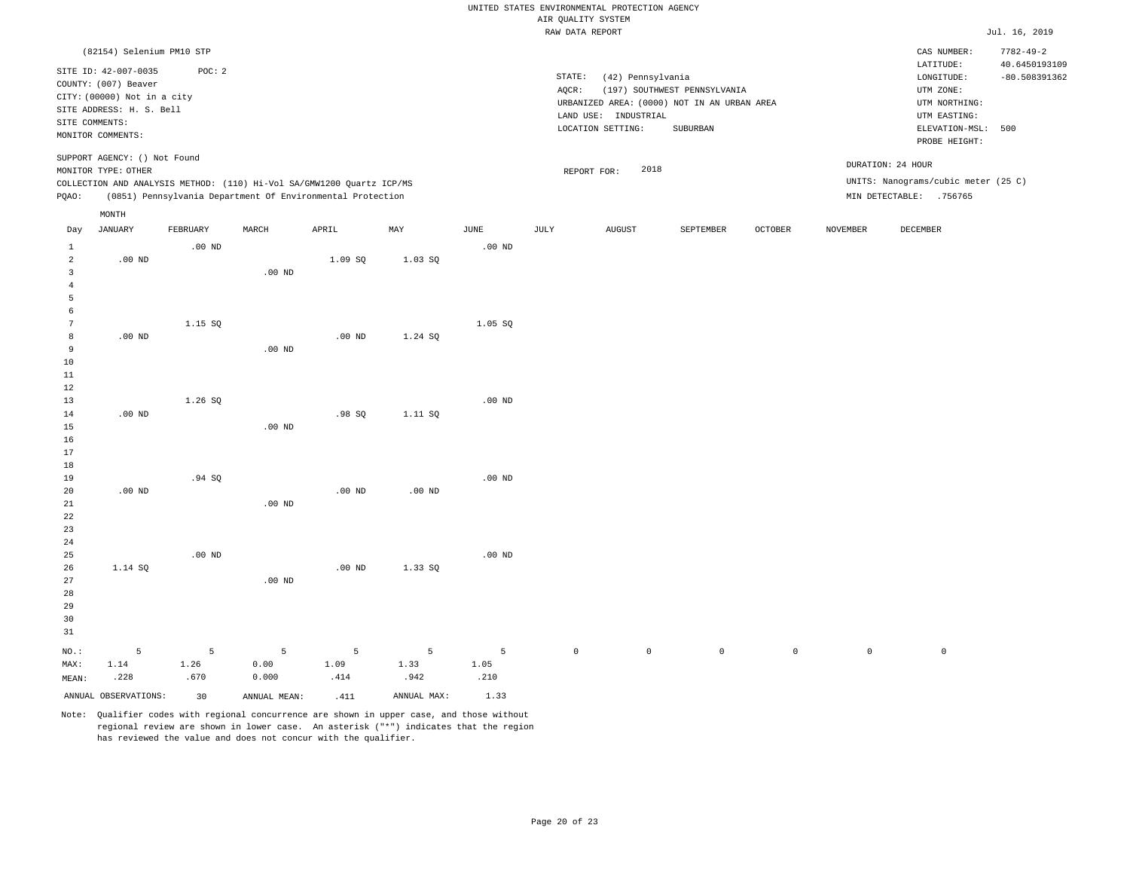|                                  |                              |          |          |                                                                       |           |                   |                    | UNITED STATES ENVIRONMENTAL PROTECTION AGENCY |                                                                             |                |          |                                     |                 |
|----------------------------------|------------------------------|----------|----------|-----------------------------------------------------------------------|-----------|-------------------|--------------------|-----------------------------------------------|-----------------------------------------------------------------------------|----------------|----------|-------------------------------------|-----------------|
|                                  |                              |          |          |                                                                       |           |                   | AIR QUALITY SYSTEM |                                               |                                                                             |                |          |                                     |                 |
|                                  |                              |          |          |                                                                       |           |                   | RAW DATA REPORT    |                                               |                                                                             |                |          |                                     | Jul. 16, 2019   |
|                                  | (82154) Selenium PM10 STP    |          |          |                                                                       |           |                   |                    |                                               |                                                                             |                |          | CAS NUMBER:                         | $7782 - 49 - 2$ |
|                                  | SITE ID: 42-007-0035         | POC: 2   |          |                                                                       |           |                   |                    |                                               |                                                                             |                |          | LATITUDE:                           | 40.6450193109   |
|                                  | COUNTY: (007) Beaver         |          |          |                                                                       |           |                   | STATE:             | (42) Pennsylvania                             |                                                                             |                |          | LONGITUDE:                          | $-80.508391362$ |
|                                  | CITY: (00000) Not in a city  |          |          |                                                                       |           |                   | AQCR:              |                                               | (197) SOUTHWEST PENNSYLVANIA<br>URBANIZED AREA: (0000) NOT IN AN URBAN AREA |                |          | UTM ZONE:<br>UTM NORTHING:          |                 |
|                                  | SITE ADDRESS: H. S. Bell     |          |          |                                                                       |           |                   |                    | LAND USE: INDUSTRIAL                          |                                                                             |                |          | UTM EASTING:                        |                 |
|                                  | SITE COMMENTS:               |          |          |                                                                       |           |                   |                    | LOCATION SETTING:                             | SUBURBAN                                                                    |                |          | ELEVATION-MSL:                      | 500             |
|                                  | MONITOR COMMENTS:            |          |          |                                                                       |           |                   |                    |                                               |                                                                             |                |          | PROBE HEIGHT:                       |                 |
|                                  | SUPPORT AGENCY: () Not Found |          |          |                                                                       |           |                   |                    | 2018                                          |                                                                             |                |          | DURATION: 24 HOUR                   |                 |
|                                  | MONITOR TYPE: OTHER          |          |          | COLLECTION AND ANALYSIS METHOD: (110) Hi-Vol SA/GMW1200 Quartz ICP/MS |           |                   |                    | REPORT FOR:                                   |                                                                             |                |          | UNITS: Nanograms/cubic meter (25 C) |                 |
| PQAO:                            |                              |          |          | (0851) Pennsylvania Department Of Environmental Protection            |           |                   |                    |                                               |                                                                             |                |          | MIN DETECTABLE: .756765             |                 |
|                                  | MONTH                        |          |          |                                                                       |           |                   |                    |                                               |                                                                             |                |          |                                     |                 |
| Day                              | <b>JANUARY</b>               | FEBRUARY | MARCH    | APRIL                                                                 | MAY       | JUNE              | JULY               | <b>AUGUST</b>                                 | SEPTEMBER                                                                   | <b>OCTOBER</b> | NOVEMBER | DECEMBER                            |                 |
| $\mathbf{1}$                     |                              | $.00$ ND |          |                                                                       |           | $.00$ ND          |                    |                                               |                                                                             |                |          |                                     |                 |
| $\overline{a}$<br>$\overline{3}$ | $.00$ ND                     |          | $.00$ ND | 1.09 SQ                                                               | $1.03S$ Q |                   |                    |                                               |                                                                             |                |          |                                     |                 |
| $\overline{4}$                   |                              |          |          |                                                                       |           |                   |                    |                                               |                                                                             |                |          |                                     |                 |
| 5                                |                              |          |          |                                                                       |           |                   |                    |                                               |                                                                             |                |          |                                     |                 |
| 6                                |                              |          |          |                                                                       |           |                   |                    |                                               |                                                                             |                |          |                                     |                 |
| 7                                |                              | 1.15 SQ  |          |                                                                       |           | 1.05 SQ           |                    |                                               |                                                                             |                |          |                                     |                 |
| 8                                | $.00$ ND                     |          |          | $.00$ ND                                                              | 1.24 SQ   |                   |                    |                                               |                                                                             |                |          |                                     |                 |
| $\overline{9}$                   |                              |          | $.00$ ND |                                                                       |           |                   |                    |                                               |                                                                             |                |          |                                     |                 |
| 10                               |                              |          |          |                                                                       |           |                   |                    |                                               |                                                                             |                |          |                                     |                 |
| 11                               |                              |          |          |                                                                       |           |                   |                    |                                               |                                                                             |                |          |                                     |                 |
| 12                               |                              |          |          |                                                                       |           |                   |                    |                                               |                                                                             |                |          |                                     |                 |
| 13                               |                              | 1.26 SO  |          |                                                                       |           | $.00$ ND          |                    |                                               |                                                                             |                |          |                                     |                 |
| 14                               | $.00$ ND                     |          |          | .98SQ                                                                 | 1.11 SQ   |                   |                    |                                               |                                                                             |                |          |                                     |                 |
| 15                               |                              |          | $.00$ ND |                                                                       |           |                   |                    |                                               |                                                                             |                |          |                                     |                 |
| 16                               |                              |          |          |                                                                       |           |                   |                    |                                               |                                                                             |                |          |                                     |                 |
| 17<br>18                         |                              |          |          |                                                                       |           |                   |                    |                                               |                                                                             |                |          |                                     |                 |
| 19                               |                              | .94SQ    |          |                                                                       |           | $.00$ ND          |                    |                                               |                                                                             |                |          |                                     |                 |
| 20                               | $.00$ ND                     |          |          | $.00$ ND                                                              | $.00$ ND  |                   |                    |                                               |                                                                             |                |          |                                     |                 |
| 21                               |                              |          | $.00$ ND |                                                                       |           |                   |                    |                                               |                                                                             |                |          |                                     |                 |
| 22                               |                              |          |          |                                                                       |           |                   |                    |                                               |                                                                             |                |          |                                     |                 |
| 23                               |                              |          |          |                                                                       |           |                   |                    |                                               |                                                                             |                |          |                                     |                 |
| 24                               |                              |          |          |                                                                       |           |                   |                    |                                               |                                                                             |                |          |                                     |                 |
| 25                               |                              | $.00$ ND |          |                                                                       |           | .00 <sub>ND</sub> |                    |                                               |                                                                             |                |          |                                     |                 |
| 26                               | 1.14 SQ                      |          |          | $.00$ ND                                                              | 1.33 SQ   |                   |                    |                                               |                                                                             |                |          |                                     |                 |
| 27                               |                              |          | $.00$ ND |                                                                       |           |                   |                    |                                               |                                                                             |                |          |                                     |                 |
| 28                               |                              |          |          |                                                                       |           |                   |                    |                                               |                                                                             |                |          |                                     |                 |
| 29                               |                              |          |          |                                                                       |           |                   |                    |                                               |                                                                             |                |          |                                     |                 |
| 30                               |                              |          |          |                                                                       |           |                   |                    |                                               |                                                                             |                |          |                                     |                 |
| 31                               |                              |          |          |                                                                       |           |                   |                    |                                               |                                                                             |                |          |                                     |                 |

|  |  |                                      | NO.: 5 5 5 5 5 5 5 0 0 0 0 0 0 |  |  |  |
|--|--|--------------------------------------|--------------------------------|--|--|--|
|  |  | MAX: 1.14 1.26 0.00 1.09 1.33 1.05   |                                |  |  |  |
|  |  | MEAN: .228 .670 0.000 .414 .942 .210 |                                |  |  |  |

ANNUAL OBSERVATIONS: 30 ANNUAL MEAN: .411 ANNUAL MAX: 1.33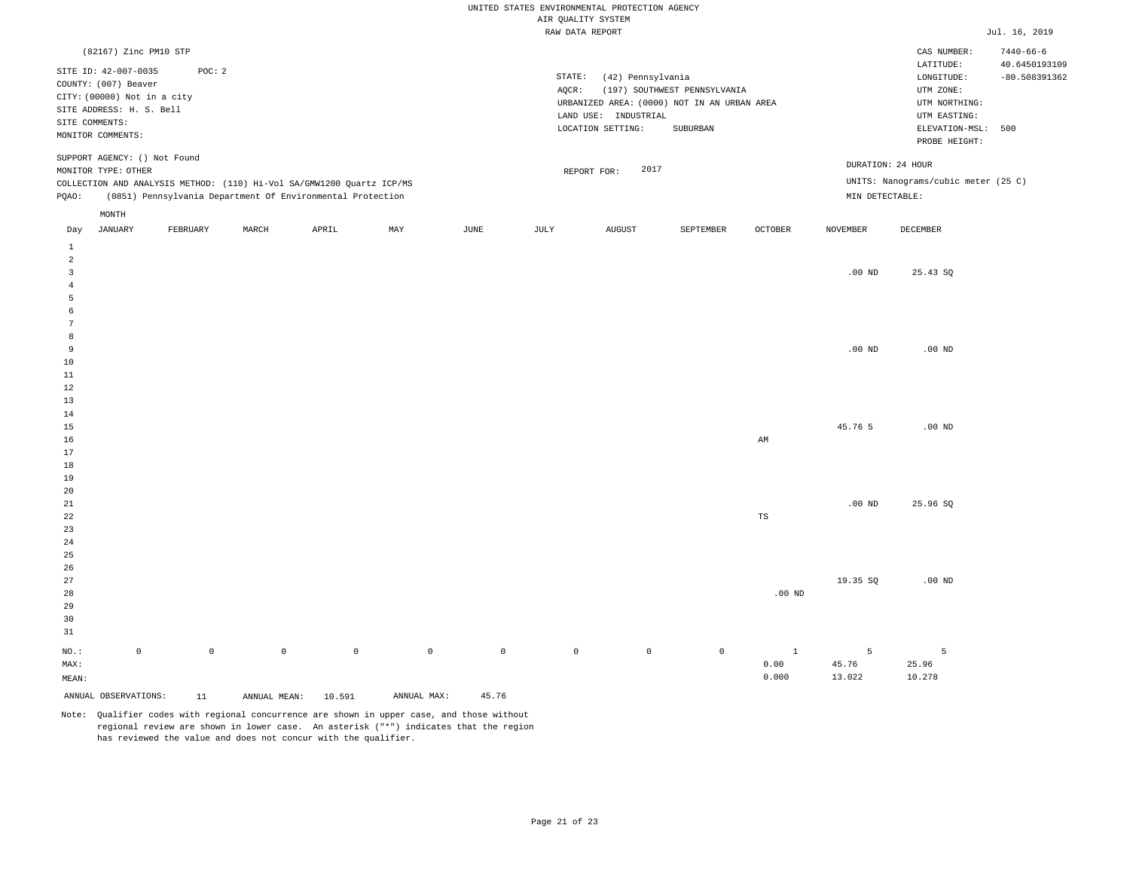|                                           |                                                                                                                                                |             |                     |                                                                                                                                     |             |                     | AIR QUALITY SYSTEM | UNITED STATES ENVIRONMENTAL PROTECTION AGENCY                  |                                                                                                 |                |                 |                                                                                                              |                                  |
|-------------------------------------------|------------------------------------------------------------------------------------------------------------------------------------------------|-------------|---------------------|-------------------------------------------------------------------------------------------------------------------------------------|-------------|---------------------|--------------------|----------------------------------------------------------------|-------------------------------------------------------------------------------------------------|----------------|-----------------|--------------------------------------------------------------------------------------------------------------|----------------------------------|
|                                           |                                                                                                                                                |             |                     |                                                                                                                                     |             |                     | RAW DATA REPORT    |                                                                |                                                                                                 |                |                 |                                                                                                              | Jul. 16, 2019                    |
|                                           | (82167) Zinc PM10 STP                                                                                                                          |             |                     |                                                                                                                                     |             |                     |                    |                                                                |                                                                                                 |                |                 | CAS NUMBER:                                                                                                  | $7440 - 66 - 6$                  |
|                                           | SITE ID: 42-007-0035<br>COUNTY: (007) Beaver<br>CITY: (00000) Not in a city<br>SITE ADDRESS: H. S. Bell<br>SITE COMMENTS:<br>MONITOR COMMENTS: | POC: 2      |                     |                                                                                                                                     |             |                     | STATE:<br>$AQCR$ : | (42) Pennsylvania<br>LAND USE: INDUSTRIAL<br>LOCATION SETTING: | (197) SOUTHWEST PENNSYLVANIA<br>URBANIZED AREA: (0000) NOT IN AN URBAN AREA<br>${\tt SUBURBAN}$ |                |                 | LATITUDE:<br>LONGITUDE:<br>UTM ZONE:<br>UTM NORTHING:<br>UTM EASTING:<br>ELEVATION-MSL: 500<br>PROBE HEIGHT: | 40.6450193109<br>$-80.508391362$ |
|                                           | SUPPORT AGENCY: () Not Found<br>MONITOR TYPE: OTHER                                                                                            |             |                     |                                                                                                                                     |             |                     |                    | 2017<br>REPORT FOR:                                            |                                                                                                 |                |                 | DURATION: 24 HOUR<br>UNITS: Nanograms/cubic meter (25 C)                                                     |                                  |
| PQAO:                                     |                                                                                                                                                |             |                     | COLLECTION AND ANALYSIS METHOD: (110) Hi-Vol SA/GMW1200 Quartz ICP/MS<br>(0851) Pennsylvania Department Of Environmental Protection |             |                     |                    |                                                                |                                                                                                 |                | MIN DETECTABLE: |                                                                                                              |                                  |
|                                           | MONTH                                                                                                                                          |             |                     |                                                                                                                                     |             |                     |                    |                                                                |                                                                                                 |                |                 |                                                                                                              |                                  |
| Day                                       | <b>JANUARY</b>                                                                                                                                 | FEBRUARY    | MARCH               | APRIL                                                                                                                               | MAY         | JUNE                | JULY               | <b>AUGUST</b>                                                  | SEPTEMBER                                                                                       | <b>OCTOBER</b> | <b>NOVEMBER</b> | DECEMBER                                                                                                     |                                  |
| $\,1\,$<br>2                              |                                                                                                                                                |             |                     |                                                                                                                                     |             |                     |                    |                                                                |                                                                                                 |                |                 |                                                                                                              |                                  |
| $\overline{\mathbf{3}}$<br>$\overline{4}$ |                                                                                                                                                |             |                     |                                                                                                                                     |             |                     |                    |                                                                |                                                                                                 |                | $.00$ ND        | 25.43 SQ                                                                                                     |                                  |
| 5                                         |                                                                                                                                                |             |                     |                                                                                                                                     |             |                     |                    |                                                                |                                                                                                 |                |                 |                                                                                                              |                                  |
| 6<br>$7\phantom{.0}$                      |                                                                                                                                                |             |                     |                                                                                                                                     |             |                     |                    |                                                                |                                                                                                 |                |                 |                                                                                                              |                                  |
| 8                                         |                                                                                                                                                |             |                     |                                                                                                                                     |             |                     |                    |                                                                |                                                                                                 |                |                 |                                                                                                              |                                  |
| 9                                         |                                                                                                                                                |             |                     |                                                                                                                                     |             |                     |                    |                                                                |                                                                                                 |                | $.00$ ND        | $.00$ ND                                                                                                     |                                  |
| 10                                        |                                                                                                                                                |             |                     |                                                                                                                                     |             |                     |                    |                                                                |                                                                                                 |                |                 |                                                                                                              |                                  |
| 11<br>12                                  |                                                                                                                                                |             |                     |                                                                                                                                     |             |                     |                    |                                                                |                                                                                                 |                |                 |                                                                                                              |                                  |
| 13                                        |                                                                                                                                                |             |                     |                                                                                                                                     |             |                     |                    |                                                                |                                                                                                 |                |                 |                                                                                                              |                                  |
| 14                                        |                                                                                                                                                |             |                     |                                                                                                                                     |             |                     |                    |                                                                |                                                                                                 |                |                 |                                                                                                              |                                  |
| 15                                        |                                                                                                                                                |             |                     |                                                                                                                                     |             |                     |                    |                                                                |                                                                                                 |                | 45.76 5         | $.00$ ND                                                                                                     |                                  |
| 16                                        |                                                                                                                                                |             |                     |                                                                                                                                     |             |                     |                    |                                                                |                                                                                                 | AM             |                 |                                                                                                              |                                  |
| 17<br>18                                  |                                                                                                                                                |             |                     |                                                                                                                                     |             |                     |                    |                                                                |                                                                                                 |                |                 |                                                                                                              |                                  |
| 19                                        |                                                                                                                                                |             |                     |                                                                                                                                     |             |                     |                    |                                                                |                                                                                                 |                |                 |                                                                                                              |                                  |
| 20                                        |                                                                                                                                                |             |                     |                                                                                                                                     |             |                     |                    |                                                                |                                                                                                 |                |                 |                                                                                                              |                                  |
| $2\sqrt{1}$                               |                                                                                                                                                |             |                     |                                                                                                                                     |             |                     |                    |                                                                |                                                                                                 |                | $.00$ ND        | 25.96 SQ                                                                                                     |                                  |
| 22                                        |                                                                                                                                                |             |                     |                                                                                                                                     |             |                     |                    |                                                                |                                                                                                 | $_{\rm TS}$    |                 |                                                                                                              |                                  |
| 23                                        |                                                                                                                                                |             |                     |                                                                                                                                     |             |                     |                    |                                                                |                                                                                                 |                |                 |                                                                                                              |                                  |
| 24<br>25                                  |                                                                                                                                                |             |                     |                                                                                                                                     |             |                     |                    |                                                                |                                                                                                 |                |                 |                                                                                                              |                                  |
| 26                                        |                                                                                                                                                |             |                     |                                                                                                                                     |             |                     |                    |                                                                |                                                                                                 |                |                 |                                                                                                              |                                  |
| 27                                        |                                                                                                                                                |             |                     |                                                                                                                                     |             |                     |                    |                                                                |                                                                                                 |                | 19.35 SQ        | $.00$ ND                                                                                                     |                                  |
| 28                                        |                                                                                                                                                |             |                     |                                                                                                                                     |             |                     |                    |                                                                |                                                                                                 | $.00$ ND       |                 |                                                                                                              |                                  |
| 29                                        |                                                                                                                                                |             |                     |                                                                                                                                     |             |                     |                    |                                                                |                                                                                                 |                |                 |                                                                                                              |                                  |
| 30                                        |                                                                                                                                                |             |                     |                                                                                                                                     |             |                     |                    |                                                                |                                                                                                 |                |                 |                                                                                                              |                                  |
| 31                                        |                                                                                                                                                |             |                     |                                                                                                                                     |             |                     |                    |                                                                |                                                                                                 |                |                 |                                                                                                              |                                  |
| NO.:                                      | $\mathbb O$                                                                                                                                    | $\mathbb O$ | $\mathsf{O}\xspace$ | $\mathbb O$                                                                                                                         | $\mathbb O$ | $\mathsf{O}\xspace$ | $\mathbb O$        | $\circ$                                                        | $\mathbb O$                                                                                     | $\mathbf{1}$   | 5               | 5                                                                                                            |                                  |
| MAX:                                      |                                                                                                                                                |             |                     |                                                                                                                                     |             |                     |                    |                                                                |                                                                                                 | 0.00           | 45.76           | 25.96                                                                                                        |                                  |
| MEAN:                                     |                                                                                                                                                |             |                     |                                                                                                                                     |             |                     |                    |                                                                |                                                                                                 | 0.000          | 13.022          | 10.278                                                                                                       |                                  |
|                                           | ANNUAL OBSERVATIONS:                                                                                                                           | 11          | ANNUAL MEAN:        | 10.591                                                                                                                              | ANNUAL MAX: | 45.76               |                    |                                                                |                                                                                                 |                |                 |                                                                                                              |                                  |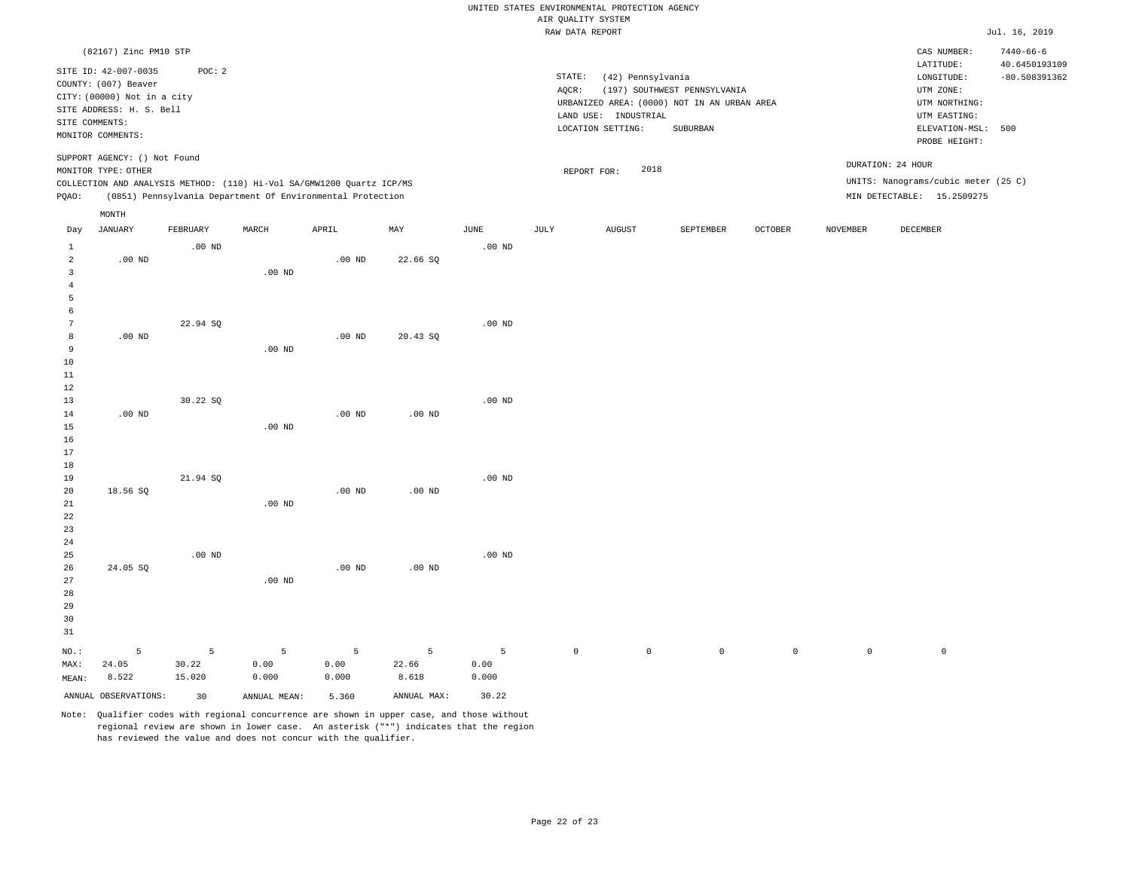|                   |                                            |                   |                                                                       |                   |                   |                   |                    | UNITED STATES ENVIRONMENTAL PROTECTION AGENCY |                                             |             |                 |                                     |                                  |
|-------------------|--------------------------------------------|-------------------|-----------------------------------------------------------------------|-------------------|-------------------|-------------------|--------------------|-----------------------------------------------|---------------------------------------------|-------------|-----------------|-------------------------------------|----------------------------------|
|                   |                                            |                   |                                                                       |                   |                   |                   | AIR QUALITY SYSTEM |                                               |                                             |             |                 |                                     |                                  |
|                   |                                            |                   |                                                                       |                   |                   |                   | RAW DATA REPORT    |                                               |                                             |             |                 |                                     | Jul. 16, 2019                    |
|                   | (82167) Zinc PM10 STP                      |                   |                                                                       |                   |                   |                   |                    |                                               |                                             |             |                 | CAS NUMBER:<br>LATITUDE:            | $7440 - 66 - 6$<br>40.6450193109 |
|                   | SITE ID: 42-007-0035                       | POC: 2            |                                                                       |                   |                   |                   | STATE:             | (42) Pennsylvania                             |                                             |             |                 | LONGITUDE:                          | $-80.508391362$                  |
|                   | COUNTY: (007) Beaver                       |                   |                                                                       |                   |                   |                   | AOCR:              |                                               | (197) SOUTHWEST PENNSYLVANIA                |             |                 | UTM ZONE:                           |                                  |
|                   | CITY: (00000) Not in a city                |                   |                                                                       |                   |                   |                   |                    |                                               | URBANIZED AREA: (0000) NOT IN AN URBAN AREA |             |                 | UTM NORTHING:                       |                                  |
|                   | SITE ADDRESS: H. S. Bell<br>SITE COMMENTS: |                   |                                                                       |                   |                   |                   |                    | LAND USE: INDUSTRIAL                          |                                             |             |                 | UTM EASTING:                        |                                  |
|                   | MONITOR COMMENTS:                          |                   |                                                                       |                   |                   |                   |                    | LOCATION SETTING:                             | SUBURBAN                                    |             |                 | ELEVATION-MSL: 500                  |                                  |
|                   |                                            |                   |                                                                       |                   |                   |                   |                    |                                               |                                             |             |                 | PROBE HEIGHT:                       |                                  |
|                   | SUPPORT AGENCY: () Not Found               |                   |                                                                       |                   |                   |                   |                    | 2018                                          |                                             |             |                 | DURATION: 24 HOUR                   |                                  |
|                   | MONITOR TYPE: OTHER                        |                   | COLLECTION AND ANALYSIS METHOD: (110) Hi-Vol SA/GMW1200 Quartz ICP/MS |                   |                   |                   | REPORT FOR:        |                                               |                                             |             |                 | UNITS: Nanograms/cubic meter (25 C) |                                  |
| PQAO:             |                                            |                   | (0851) Pennsylvania Department Of Environmental Protection            |                   |                   |                   |                    |                                               |                                             |             |                 | MIN DETECTABLE: 15.2509275          |                                  |
|                   |                                            |                   |                                                                       |                   |                   |                   |                    |                                               |                                             |             |                 |                                     |                                  |
| Day               | MONTH<br><b>JANUARY</b>                    | FEBRUARY          | MARCH                                                                 | APRIL             | MAX               | JUNE              | JULY               | AUGUST                                        | SEPTEMBER                                   | OCTOBER     | <b>NOVEMBER</b> | DECEMBER                            |                                  |
| $\mathbf{1}$      |                                            | $.00$ ND          |                                                                       |                   |                   | .00 <sub>ND</sub> |                    |                                               |                                             |             |                 |                                     |                                  |
| $\overline{a}$    | $.00$ ND                                   |                   |                                                                       | $.00$ ND          | 22.66 SQ          |                   |                    |                                               |                                             |             |                 |                                     |                                  |
| $\overline{3}$    |                                            |                   | $.00$ ND                                                              |                   |                   |                   |                    |                                               |                                             |             |                 |                                     |                                  |
| $\sqrt{4}$        |                                            |                   |                                                                       |                   |                   |                   |                    |                                               |                                             |             |                 |                                     |                                  |
| $\overline{5}$    |                                            |                   |                                                                       |                   |                   |                   |                    |                                               |                                             |             |                 |                                     |                                  |
| 6                 |                                            |                   |                                                                       |                   |                   |                   |                    |                                               |                                             |             |                 |                                     |                                  |
| $7\phantom{.0}$   |                                            | 22.94 SQ          |                                                                       |                   |                   | .00 <sub>ND</sub> |                    |                                               |                                             |             |                 |                                     |                                  |
| 8                 | $.00$ ND                                   |                   |                                                                       | $.00$ ND          | 20.43 SQ          |                   |                    |                                               |                                             |             |                 |                                     |                                  |
| 9                 |                                            |                   | .00 <sub>ND</sub>                                                     |                   |                   |                   |                    |                                               |                                             |             |                 |                                     |                                  |
| 10                |                                            |                   |                                                                       |                   |                   |                   |                    |                                               |                                             |             |                 |                                     |                                  |
| $11\,$<br>12      |                                            |                   |                                                                       |                   |                   |                   |                    |                                               |                                             |             |                 |                                     |                                  |
| 13                |                                            | 30.22 SO          |                                                                       |                   |                   | .00 <sub>ND</sub> |                    |                                               |                                             |             |                 |                                     |                                  |
| 14                | $.00$ ND                                   |                   |                                                                       | $.00$ ND          | .00 <sub>ND</sub> |                   |                    |                                               |                                             |             |                 |                                     |                                  |
| 15                |                                            |                   | $.00$ ND                                                              |                   |                   |                   |                    |                                               |                                             |             |                 |                                     |                                  |
| 16                |                                            |                   |                                                                       |                   |                   |                   |                    |                                               |                                             |             |                 |                                     |                                  |
| 17                |                                            |                   |                                                                       |                   |                   |                   |                    |                                               |                                             |             |                 |                                     |                                  |
| $18$              |                                            |                   |                                                                       |                   |                   |                   |                    |                                               |                                             |             |                 |                                     |                                  |
| 19                |                                            | 21.94 SQ          |                                                                       |                   |                   | .00 <sub>ND</sub> |                    |                                               |                                             |             |                 |                                     |                                  |
| 20                | 18.56 SO                                   |                   |                                                                       | .00 <sub>ND</sub> | $.00$ ND          |                   |                    |                                               |                                             |             |                 |                                     |                                  |
| $2\sqrt{1}$<br>22 |                                            |                   | $.00$ ND                                                              |                   |                   |                   |                    |                                               |                                             |             |                 |                                     |                                  |
| 23                |                                            |                   |                                                                       |                   |                   |                   |                    |                                               |                                             |             |                 |                                     |                                  |
| 24                |                                            |                   |                                                                       |                   |                   |                   |                    |                                               |                                             |             |                 |                                     |                                  |
| 25                |                                            | .00 <sub>ND</sub> |                                                                       |                   |                   | $.00$ ND          |                    |                                               |                                             |             |                 |                                     |                                  |
| 26                | 24.05 SQ                                   |                   |                                                                       | $.00$ ND          | $.00$ ND          |                   |                    |                                               |                                             |             |                 |                                     |                                  |
| 27                |                                            |                   | $.00$ ND                                                              |                   |                   |                   |                    |                                               |                                             |             |                 |                                     |                                  |
| 28                |                                            |                   |                                                                       |                   |                   |                   |                    |                                               |                                             |             |                 |                                     |                                  |
| 29                |                                            |                   |                                                                       |                   |                   |                   |                    |                                               |                                             |             |                 |                                     |                                  |
| 30                |                                            |                   |                                                                       |                   |                   |                   |                    |                                               |                                             |             |                 |                                     |                                  |
| 31                |                                            |                   |                                                                       |                   |                   |                   |                    |                                               |                                             |             |                 |                                     |                                  |
| NO.:              | 5                                          | 5                 | 5                                                                     | 5                 | 5                 | 5                 | $\circ$            | $\mathbb O$                                   | $\mathsf 0$                                 | $\mathbb O$ | $\mathbb O$     | $\,0\,$                             |                                  |
| MAX:              | 24.05                                      | 30.22             | 0.00                                                                  | 0.00              | 22.66             | 0.00              |                    |                                               |                                             |             |                 |                                     |                                  |
| MEAN:             | 8.522                                      | 15.020            | 0.000                                                                 | 0.000             | 8.618             | 0.000             |                    |                                               |                                             |             |                 |                                     |                                  |
|                   | ANNUAL OBSERVATIONS:                       | 30                | ANNUAL MEAN:                                                          | 5.360             | ANNUAL MAX:       | 30.22             |                    |                                               |                                             |             |                 |                                     |                                  |